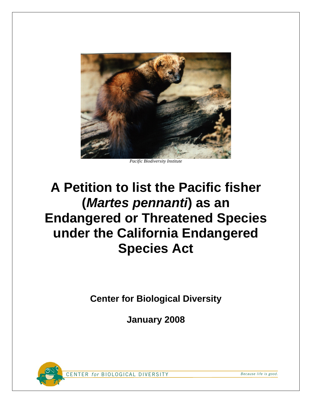

*Pacific Biodiversity Institute* 

# **A Petition to list the Pacific fisher (***Martes pennanti***) as an Endangered or Threatened Species under the California Endangered Species Act**

**Center for Biological Diversity** 

**January 2008**



CENTER for BIOLOGICAL DIVERSITY Because life is good.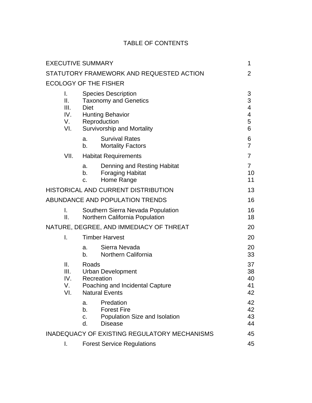# TABLE OF CONTENTS

| <b>EXECUTIVE SUMMARY</b>             |                      |                                                                                                                                            | 1                                                  |
|--------------------------------------|----------------------|--------------------------------------------------------------------------------------------------------------------------------------------|----------------------------------------------------|
|                                      |                      | STATUTORY FRAMEWORK AND REQUESTED ACTION                                                                                                   | $\overline{2}$                                     |
| <b>ECOLOGY OF THE FISHER</b>         |                      |                                                                                                                                            |                                                    |
| I.<br>Ш.<br>III.<br>IV.<br>V.<br>VI. | <b>Diet</b>          | <b>Species Description</b><br><b>Taxonomy and Genetics</b><br><b>Hunting Behavior</b><br>Reproduction<br><b>Survivorship and Mortality</b> | $\ensuremath{\mathsf{3}}$<br>3<br>4<br>4<br>5<br>6 |
|                                      | a.<br>b.             | <b>Survival Rates</b><br><b>Mortality Factors</b>                                                                                          | 6<br>$\overline{7}$                                |
| VII.                                 |                      | <b>Habitat Requirements</b>                                                                                                                | $\overline{7}$                                     |
|                                      | a.<br>b.<br>C.       | Denning and Resting Habitat<br><b>Foraging Habitat</b><br>Home Range                                                                       | $\overline{7}$<br>10<br>11                         |
| HISTORICAL AND CURRENT DISTRIBUTION  |                      |                                                                                                                                            | 13                                                 |
|                                      |                      | ABUNDANCE AND POPULATION TRENDS                                                                                                            | 16                                                 |
| I.<br>Ш.                             |                      | Southern Sierra Nevada Population<br><b>Northern California Population</b>                                                                 | 16<br>18                                           |
|                                      |                      | NATURE, DEGREE, AND IMMEDIACY OF THREAT                                                                                                    | 20                                                 |
| Ι.                                   |                      | <b>Timber Harvest</b>                                                                                                                      | 20                                                 |
|                                      | a.<br>b.             | Sierra Nevada<br>Northern California                                                                                                       | 20<br>33                                           |
| ΙΙ.<br>III.<br>IV.<br>V.<br>VI.      | Roads                | <b>Urban Development</b><br>Recreation<br>Poaching and Incidental Capture<br><b>Natural Events</b>                                         | 37<br>38<br>40<br>41<br>42                         |
|                                      | a.<br>b.<br>c.<br>d. | Predation<br><b>Forest Fire</b><br>Population Size and Isolation<br><b>Disease</b>                                                         | 42<br>42<br>43<br>44                               |
|                                      |                      | <b>INADEQUACY OF EXISTING REGULATORY MECHANISMS</b>                                                                                        | 45                                                 |
| I.                                   |                      | <b>Forest Service Regulations</b>                                                                                                          | 45                                                 |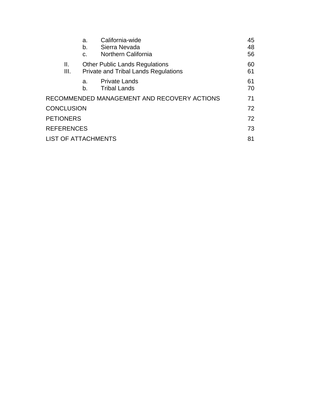|                            | a.<br>b. | California-wide<br>Sierra Nevada                                                     | 45<br>48 |
|----------------------------|----------|--------------------------------------------------------------------------------------|----------|
|                            | C.       | Northern California                                                                  | 56       |
| Ш.<br>III.                 |          | <b>Other Public Lands Regulations</b><br><b>Private and Tribal Lands Regulations</b> | 60<br>61 |
|                            | a.<br>b. | <b>Private Lands</b><br><b>Tribal Lands</b>                                          | 61<br>70 |
|                            |          | RECOMMENDED MANAGEMENT AND RECOVERY ACTIONS                                          | 71       |
| <b>CONCLUSION</b>          |          |                                                                                      | 72       |
| <b>PETIONERS</b>           |          |                                                                                      | 72       |
| <b>REFERENCES</b>          |          |                                                                                      | 73       |
| <b>LIST OF ATTACHMENTS</b> |          |                                                                                      | 81       |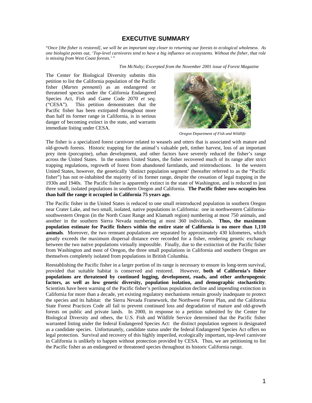# **EXECUTIVE SUMMARY**

"*Once [the fisher is restored], we will be an important step closer to returning our forests to ecological wholeness. As one biologist points out, 'Top-level carnivores tend to have a big influence on ecosystems. Without the fisher, that role is missing from West Coast forests.'* "

 *Tim McNulty; Excerpted from the November 2001 issue of Forest Magazine*

The Center for Biological Diversity submits this petition to list the California population of the Pacific fisher (*Martes pennanti*) as an endangered or threatened species under the California Endangered Species Act, Fish and Game Code 2070 *et seq*. ("CESA"). This petition demonstrates that the Pacific fisher has been extirpated throughout more than half its former range in California, is in serious danger of becoming extinct in the state, and warrants immediate listing under CESA.



 *Oregon Department of Fish and Wildlife*

The fisher is a specialized forest carnivore related to weasels and otters that is associated with mature and old-growth forests. Historic trapping for the animal's valuable pelt, timber harvest, loss of an important prey item (porcupine), urban development, and other factors have severely reduced the fisher's range across the United States. In the eastern United States, the fisher recovered much of its range after strict trapping regulations, regrowth of forest from abandoned farmlands, and reintroductions. In the western United States, however, the genetically 'distinct population segment' (hereafter referred to as the "Pacific fisher") has not re-inhabited the majority of its former range, despite the cessation of legal trapping in the 1930s and 1940s. The Pacific fisher is apparently extinct in the state of Washington, and is reduced to just three small, isolated populations in southern Oregon and California. **The Pacific fisher now occupies less than half the range it occupied in California 75 years ago**.

The Pacific fisher in the United States is reduced to one small reintroduced population in southern Oregon near Crater Lake, and two small, isolated, native populations in California: one in northwestern Californiasouthwestern Oregon (in the North Coast Range and Klamath region) numbering at most 750 animals, and another in the southern Sierra Nevada numbering at most 360 individuals. **Thus, the maximum population estimate for Pacific fishers within the entire state of California is no more than 1,110 animals**. Moreover, the two remnant populations are separated by approximately 430 kilometers, which greatly exceeds the maximum dispersal distance ever recorded for a fisher, rendering genetic exchange between the two native populations virtually impossible. Finally, due to the extinction of the Pacific fisher from Washington and most of Oregon, the three small populations in California and southern Oregon are themselves completely isolated from populations in British Columbia.

Reestablishing the Pacific fisher in a larger portion of its range is necessary to ensure its long-term survival, provided that suitable habitat is conserved and restored. However, **both of California's fisher populations are threatened by continued logging, development, roads, and other anthropogenic factors, as well as low genetic diversity, population isolation, and demographic stochasticity**. Scientists have been warning of the Pacific fisher's perilous population decline and impending extinction in California for more than a decade, yet existing regulatory mechanisms remain grossly inadequate to protect the species and its habitat: the Sierra Nevada Framework, the Northwest Forest Plan, and the California State Forest Practices Code all fail to prevent continued loss and degradation of mature and old-growth forests on public and private lands. In 2000, in response to a petition submitted by the Center for Biological Diversity and others, the U.S. Fish and Wildlife Service determined that the Pacific fisher warranted listing under the federal Endangered Species Act: the distinct population segment is designated as a candidate species. Unfortunately, candidate status under the federal Endangered Species Act offers no legal protection. Survival and recovery of this highly imperiled, ecologically important, top-level carnivore in California is unlikely to happen without protection provided by CESA. Thus, we are petitioning to list the Pacific fisher as an endangered or threatened species throughout its historic California range.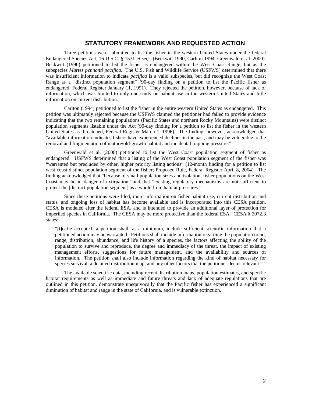# **STATUTORY FRAMEWORK AND REQUESTED ACTION**

Three petitions were submitted to list the fisher in the western United States under the federal Endangered Species Act, 16 U.S.C. § 1531 *et seq*. (Beckwitt 1990, Carlton 1994, Greenwald et al. 2000). Beckwitt (1990) petitioned to list the fisher as endangered within the West Coast Range, but as the subspecies *Martes pennanti pacifica*. The U.S. Fish and Wildlife Service (USFWS) determined that there was insufficient information to indicate *pacifica* is a valid subspecies, but did recognize the West Coast Range as a "distinct population segment" (90-day finding on a petition to list the Pacific fisher as endangered, Federal Register January 11, 1991). They rejected the petition, however, because of lack of information, which was limited to only one study on habitat use in the western United States and little information on current distribution.

Carlton (1994) petitioned to list the fisher in the entire western United States as endangered. This petition was ultimately rejected because the USFWS claimed the petitioner had failed to provide evidence indicating that the two remaining populations (Pacific States and northern Rocky Mountains) were distinct population segments listable under the Act (90-day finding for a petition to list the fisher in the western United States as threatened, Federal Register March 1, 1996). The finding, however, acknowledged that "available information indicates fishers have experienced declines in the past, and may be vulnerable to the removal and fragmentation of mature/old-growth habitat and incidental trapping pressure."

Greenwald et al. (2000) petitioned to list the West Coast population segment of fisher as endangered. USFWS determined that a listing of the West Coast population segment of the fisher was "warranted but precluded by other, higher priority listing actions" (12-month finding for a petition to list west coast distinct population segment of the fisher; Proposed Rule, Federal Register April 8, 2004). The finding acknowledged that "because of small population sizes and isolation, fisher populations on the West Coast may be in danger of extirpation" and that "existing regulatory mechanisms are not sufficient to protect the [distinct population segment] as a whole from habitat pressures."

Since these petitions were filed, more information on fisher habitat use, current distribution and status, and ongoing loss of habitat has become available and is incorporated into this CESA petition. CESA is modeled after the federal ESA, and is intended to provide an additional layer of protection for imperiled species in California. The CESA may be more protective than the federal ESA. CESA § 2072.3 states:

"[t]o be accepted, a petition shall, at a minimum, include sufficient scientific information that a petitioned action may be warranted. Petitions shall include information regarding the population trend, range, distribution, abundance, and life history of a species, the factors affecting the ability of the population to survive and reproduce, the degree and immediacy of the threat, the impact of existing management efforts, suggestions for future management, and the availability and sources of information. The petition shall also include information regarding the kind of habitat necessary for species survival, a detailed distribution map, and any other factors that the petitioner deems relevant."

The available scientific data, including recent distribution maps, population estimates, and specific habitat requirements as well as immediate and future threats and lack of adequate regulations that are outlined in this petition, demonstrate unequivocally that the Pacific fisher has experienced a significant diminution of habitat and range in the state of California, and is vulnerable extinction.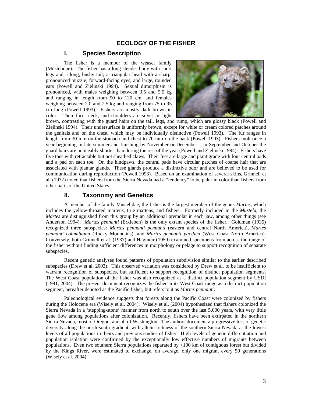# **ECOLOGY OF THE FISHER**

# **I. Species Description**

 The fisher is a member of the weasel family (Mustelidae). The fisher has a long slender body with short legs and a long, bushy tail; a triangular head with a sharp, pronounced muzzle; forward-facing eyes; and large, rounded ears (Powell and Zielinski 1994). Sexual dimorphism is pronounced, with males weighing between 3.5 and 5.5 kg and ranging in length from 90 to 120 cm, and females weighing between 2.0 and 2.5 kg and ranging from 75 to 95 cm long (Powell 1993). Fishers are mostly dark brown in color. Their face, neck, and shoulders are silver or light



brown, contrasting with the guard hairs on the tail, legs, and rump, which are glossy black (Powell and Zielinski 1994). Their undersurface is uniformly brown, except for white or cream colored patches around the genitals and on the chest, which may be individually distinctive (Powell 1993). The fur ranges in length from 30 mm on the stomach and chest to 70 mm on the back (Powell 1993). Fishers molt once a year beginning in late summer and finishing by November or December – in September and October the guard hairs are noticeably shorter than during the rest of the year (Powell and Zielinski 1994). Fishers have five toes with retractable but not sheathed claws. Their feet are large and plantigrade with four central pads and a pad on each toe. On the hindpaws, the central pads have circular patches of coarse hair that are associated with plantar glands. These glands produce a distinctive odor and are believed to be used for communication during reproduction (Powell 1993). Based on an examination of several skins, Grinnell et al. (1937) noted that fishers from the Sierra Nevada had a "tendency" to be paler in color than fishers from other parts of the United States.

# **II. Taxonomy and Genetics**

A member of the family Mustelidae, the fisher is the largest member of the genus *Martes*, which includes the yellow-throated martens, true martens, and fishers. Formerly included in the *Mustela*, the *Martes* are distinguished from this group by an additional premolar in each jaw, among other things (see Anderson 1994). *Martes pennanti* (Erxleben) is the only extant species of the fisher. Goldman (1935) recognized three subspecies: *Martes pennanti pennanti* (eastern and central North America), *Martes pennanti columbiana* (Rocky Mountains), and *Martes pennanti pacifica* (West Coast North America). Conversely, both Grinnell et al. (1937) and Hagmeir (1959) examined specimens from across the range of the fisher without finding sufficient differences in morphology or pelage to support recognition of separate subspecies.

Recent genetic analyses found patterns of population subdivision similar to the earlier described subspecies (Drew et al. 2003). This observed variation was considered by Drew et al. to be insufficient to warrant recognition of subspecies, but sufficient to support recognition of distinct population segments. The West Coast population of the fisher was also recognized as a distinct population segment by USDI (1991, 2004). The present document recognizes the fisher in its West Coast range as a distinct population segment, hereafter denoted as the Pacific fisher, but refers to it as *Martes pennanti*.

Paleonological evidence suggests that forests along the Pacific Coast were colonized by fishers during the Holocene era (Wisely et al. 2004). Wisely et al. (2004) hypothesized that fishers colonized the Sierra Nevada in a 'stepping-stone' manner from north to south over the last 5,000 years, with very little gene flow among populations after colonization. Recently, fishers have been extirpated in the northern Sierra Nevada, most of Oregon, and all of Washington. The authors document a progressive loss of genetic diversity along the north-south gradient, with allelic richness of the southern Sierra Nevada at the lowest levels of all populations in theirs and previous studies of fisher. High levels of genetic differentiation and population isolation were confirmed by the exceptionally low effective numbers of migrants between populations. Even two southern Sierra populations separated by <100 km of contiguous forest but divided by the Kings River, were estimated to exchange, on average, only one migrant every 50 generations (Wisely et al. 2004).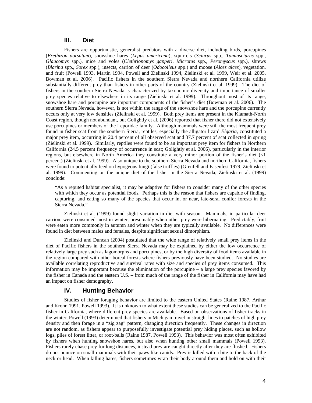# **III. Diet**

Fishers are opportunistic, generalist predators with a diverse diet, including birds, porcupines (*Erethizon dorsatum*), snowshoe hares (*Lepus americana*), squirrels (*Sciurus* spp., *Tamiasciurus* spp., *Glaucomys* spp.), mice and voles (*Clethrionomys gapperi*, *Microtus* spp., *Peromyscus* spp.), shrews (*Blarina* spp., *Sorex* spp.), insects, carrion of deer (*Odocoileus* spp.) and moose (*Alces alces*), vegetation, and fruit (Powell 1993, Martin 1994, Powell and Zielinski 1994, Zielinski et al. 1999, Weir et al. 2005, Bowman et al. 2006). Pacific fishers in the southern Sierra Nevada and northern California utilize substantially different prey than fishers in other parts of the country (Zielinski et al. 1999). The diet of fishers in the southern Sierra Nevada is characterized by taxonomic diversity and importance of smaller prey species relative to elsewhere in its range (Zielinski et al. 1999). Throughout most of its range, snowshoe hare and porcupine are important components of the fisher's diet (Bowman et al. 2006). The southern Sierra Nevada, however, is not within the range of the snowshoe hare and the porcupine currently occurs only at very low densities (Zielinski et al. 1999). Both prey items are present in the Klamath-North Coast region, though not abundant, but Golightly et al. (2006) reported that fisher there did not extensively use porcupines or members of the Leporidae family. Although mammals were still the most frequent prey found in fisher scat from the southern Sierra, reptiles, especially the alligator lizard *Elgaria*, constituted a major prey item, occurring in 20.4 percent of all observed scat and 37.7 percent of scat collected in spring (Zielinski et al. 1999). Similarly, reptiles were found to be an important prey item for fishers in Northern California (24.5 percent frequency of occurrence in scat; Golightly et al. 2006), particularly in the interior regions, but elsewhere in North America they constitute a very minor portion of the fisher's diet (<1 percent) (Zielinski et al. 1999). Also unique to the southern Sierra Nevada and northern California, fishers were found to potentially feed on hypogeous fungi (false truffles) (Grenfell and Fasenfest 1979, Zielinski et al. 1999). Commenting on the unique diet of the fisher in the Sierra Nevada, Zielinski et al. (1999) conclude:

"As a reputed habitat specialist, it may be adaptive for fishers to consider many of the other species with which they occur as potential foods. Perhaps this is the reason that fishers are capable of finding, capturing, and eating so many of the species that occur in, or near, late-seral conifer forests in the Sierra Nevada."

 Zielinski et al. (1999) found slight variation in diet with season. Mammals, in particular deer carrion, were consumed most in winter, presumably when other prey were hibernating. Predictably, fruit were eaten more commonly in autumn and winter when they are typically available. No differences were found in diet between males and females, despite significant sexual dimorphism.

 Zielinski and Duncan (2004) postulated that the wide range of relatively small prey items in the diet of Pacific fishers in the southern Sierra Nevada may be explained by either the low occurrence of relatively large prey such as lagomorphs and porcupines, or by the high diversity of food items available in the region compared with other boreal forests where fishers previously have been studied. No studies are available correlating reproductive and survival rates with size and species of prey items consumed. This information may be important because the elimination of the porcupine – a large prey species favored by the fisher in Canada and the eastern U.S. – from much of the range of the fisher in California may have had an impact on fisher demography.

#### **IV. Hunting Behavior**

Studies of fisher foraging behavior are limited to the eastern United States (Raine 1987, Arthur and Krohn 1991, Powell 1993). It is unknown to what extent these studies can be generalized to the Pacific fisher in California, where different prey species are available. Based on observations of fisher tracks in the winter, Powell (1993) determined that fishers in Michigan travel in straight lines to patches of high prey density and then forage in a "zig zag" pattern, changing direction frequently. These changes in direction are not random, as fishers appear to purposefully investigate potential prey hiding places, such as hollow logs, piles of forest litter, or root-balls (Raine 1987, Powell 1993). This behavior was most often exhibited by fishers when hunting snowshoe hares, but also when hunting other small mammals (Powell 1993). Fishers rarely chase prey for long distances, instead prey are caught directly after they are flushed. Fishers do not pounce on small mammals with their paws like canids. Prey is killed with a bite to the back of the neck or head. When killing hares, fishers sometimes wrap their body around them and hold on with their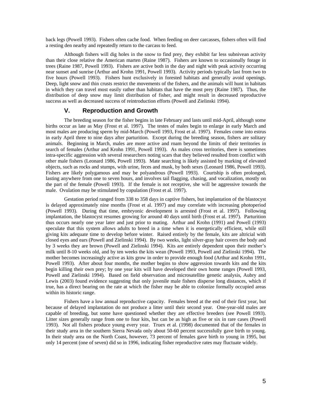back legs (Powell 1993). Fishers often cache food. When feeding on deer carcasses, fishers often will find a resting den nearby and repeatedly return to the carcass to feed.

Although fishers will dig holes in the snow to find prey, they exhibit far less subnivean activity than their close relative the American marten (Raine 1987). Fishers are known to occasionally forage in trees (Raine 1987, Powell 1993). Fishers are active both in the day and night with peak activity occurring near sunset and sunrise (Arthur and Krohn 1991, Powell 1993). Activity periods typically last from two to five hours (Powell 1993). Fishers hunt exclusively in forested habitats and generally avoid openings. Deep, light snow and thin crusts restrict the movements of the fishers, and the animals will hunt in habitats in which they can travel most easily rather than habitats that have the most prey (Raine 1987). Thus, the distribution of deep snow may limit distribution of fisher, and might result in decreased reproductive success as well as decreased success of reintroduction efforts (Powell and Zielinski 1994).

# **V. Reproduction and Growth**

The breeding season for the fisher begins in late February and lasts until mid-April, although some births occur as late as May (Frost et al. 1997). The testes of males begin to enlarge in early March and most males are producing sperm by mid-March (Powell 1993, Frost et al. 1997). Females come into estrus in early April three to nine days after parturition. Except during the breeding season, fishers are solitary animals. Beginning in March, males are more active and roam beyond the limits of their territories in search of females (Arthur and Krohn 1991, Powell 1993). As males cross territories, there is sometimes intra-specific aggression with several researchers noting scars that they believed resulted from conflict with other male fishers (Leonard 1986, Powell 1993). Mate searching is likely assisted by marking of elevated objects, such as rocks and stumps, with urine, feces and musk, by both sexes (Leonard 1986, Powell 1993). Fishers are likely polygamous and may be polyandrous (Powell 1993). Courtship is often prolonged, lasting anywhere from one to seven hours, and involves tail flagging, chasing, and vocalization, mostly on the part of the female (Powell 1993). If the female is not receptive, she will be aggressive towards the male. Ovulation may be stimulated by copulation (Frost et al. 1997).

Gestation period ranged from 338 to 358 days in captive fishers, but implantation of the blastocyst is delayed approximately nine months (Frost et al. 1997) and may correlate with increasing photoperiod (Powell 1993). During that time, embryonic development is arrested (Frost et al. 1997). Following implantation, the blastocyst resumes growing for around 40 days until birth (Frost et al. 1997). Parturition thus occurs nearly one year later and just prior to mating. Arthur and Krohn (1991) and Powell (1993) speculate that this system allows adults to breed in a time when it is energetically efficient, while still giving kits adequate time to develop before winter. Raised entirely by the female, kits are altricial with closed eyes and ears (Powell and Zielinski 1994). By two weeks, light silver-gray hair covers the body and by 3 weeks they are brown (Powell and Zielinski 1994). Kits are entirely dependent upon their mother's milk until 8-10 weeks old, and by ten weeks the kits wean (Powell 1993, Powell and Zielinski 1994). The mother becomes increasingly active as kits grow in order to provide enough food (Arthur and Krohn 1991, Powell 1993). After about four months, the mother begins to show aggression towards kits and the kits begin killing their own prey; by one year kits will have developed their own home ranges (Powell 1993, Powell and Zielinski 1994). Based on field observation and microsatellite genetic analysis, Aubry and Lewis (2003) found evidence suggesting that only juvenile male fishers disperse long distances, which if true, has a direct bearing on the rate at which the fisher may be able to colonize formally occupied areas within its historic range.

Fishers have a low annual reproductive capacity. Females breed at the end of their first year, but because of delayed implantation do not produce a litter until their second year. One-year-old males are capable of breeding, but some have questioned whether they are effective breeders (see Powell 1993). Litter sizes generally range from one to four kits, but can be as high as five or six in rare cases (Powell 1993). Not all fishers produce young every year. Truex et al. (1998) documented that of the females in their study area in the southern Sierra Nevada only about 50-60 percent successfully gave birth to young. In their study area on the North Coast, however, 73 percent of females gave birth to young in 1995, but only 14 percent (one of seven) did so in 1996, indicating fisher reproductive rates may fluctuate widely.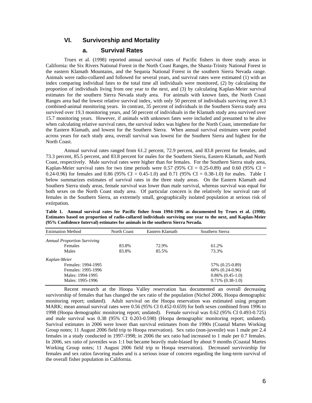# **VI. Survivorship and Mortality**

# **a. Survival Rates**

Truex et al. (1998) reported annual survival rates of Pacific fishers in three study areas in California: the Six Rivers National Forest in the North Coast Ranges, the Shasta-Trinity National Forest in the eastern Klamath Mountains, and the Sequoia National Forest in the southern Sierra Nevada range. Animals were radio-collared and followed for several years, and survival rates were estimated (1) with an index comparing individual fates to the total time all individuals were monitored, (2) by calculating the proportion of individuals living from one year to the next, and (3) by calculating Kaplan-Meier survival estimates for the southern Sierra Nevada study area. For animals with known fates, the North Coast Ranges area had the lowest relative survival index, with only 50 percent of individuals surviving over 8.3 combined-animal monitoring years. In contrast, 35 percent of individuals in the Southern Sierra study area survived over 19.3 monitoring years, and 50 percent of individuals in the Klamath study area survived over 15.7 monitoring years. However, if animals with unknown fates were included and presumed to be alive when calculating relative survival rates, the survival index was highest for the North Coast, intermediate for the Eastern Klamath, and lowest for the Southern Sierra. When annual survival estimates were pooled across years for each study area, overall survival was lowest for the Southern Sierra and highest for the North Coast.

Annual survival rates ranged from 61.2 percent, 72.9 percent, and 83.8 percent for females, and 73.3 percent, 85.5 percent, and 83.8 percent for males for the Southern Sierra, Eastern Klamath, and North Coast, respectively. Male survival rates were higher than for females. For the Southern Sierra study area, Kaplan-Meier survival rates for two time periods were 0.57 (95% CI = 0.25-0.89) and 0.60 (95% CI = 0.24-0.96) for females and 0.86 (95% CI = 0.45-1.0) and 0.71 (95% CI = 0.38-1.0) for males. Table 1 below summarizes estimates of survival rates in the three study areas. On the Eastern Klamath and Southern Sierra study areas, female survival was lower than male survival, whereas survival was equal for both sexes on the North Coast study area. Of particular concern is the relatively low survival rate of females in the Southern Sierra, an extremely small, geographically isolated population at serious risk of extirpation.

| <b>Estimation Method</b>           | North Coast | Eastern Klamath | Southern Sierra       |  |
|------------------------------------|-------------|-----------------|-----------------------|--|
| <b>Annual Proportion Surviving</b> |             |                 |                       |  |
| <b>Females</b>                     | 83.8%       | 72.9%           | 61.2%                 |  |
| Males                              | 83.8%       | 85.5%           | 73.3%                 |  |
| Kaplan-Meier                       |             |                 |                       |  |
| Females: 1994-1995                 |             |                 | 57% (0.25-0.89)       |  |
| Females: 1995-1996                 |             |                 | $60\%$ $(0.24-0.96)$  |  |
| Males: 1994-1995                   |             |                 | $0.86\%$ $(0.45-1.0)$ |  |
| Males: 1995-1996                   |             |                 | $0.71\%$ $(0.38-1.0)$ |  |

**Table 1. Annual survival rates for Pacific fisher from 1994-1996 as documented by Truex et al. (1998). Estimates based on proportion of radio-collared individuals surviving one year to the next, and Kaplan-Meier (95% Confidence Interval) estimates for animals in the southern Sierra Nevada.** 

 Recent research at the Hoopa Valley reservation has documented an overall decreasing survivorship of females that has changed the sex ratio of the population (Nichol 2006, Hoopa demographic monitoring report; undated). Adult survival on the Hoopa reservation was estimated using program MARK; mean annual survival rates were 0.56 (95% CI 0.452-0.659) for both sexes combined from 1996 to 1998 (Hoopa demographic monitoring report; undated). Female survival was 0.62 (95% CI 0.493-0.725) and male survival was 0.38 (95% CI 0.203-0.598) (Hoopa demographic monitoring report; undated). Survival estimates in 2006 were lower than survival estimates from the 1990s (Coastal Martes Working Group notes; 11 August 2006 field trip to Hoopa reservation). Sex ratio (non-juvenile) was 1 male per 2.4 females in a study conducted in 1997-1998; in 2006 the sex ratio had increased to 1 male per 0.7 females. In 2006, sex ratio of juveniles was 1:1 but became heavily male-biased by about 9 months (Coastal Martes Working Group notes; 11 August 2006 field trip to Hoopa reservation). Decreased survivorship for females and sex ratios favoring males and is a serious issue of concern regarding the long-term survival of the overall fisher population in California.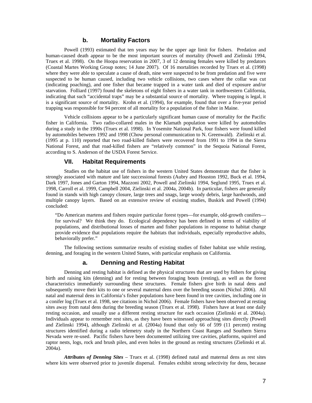#### **b. Mortality Factors**

Powell (1993) estimated that ten years may be the upper age limit for fishers. Predation and human-caused death appear to be the most important sources of mortality (Powell and Zielinski 1994, Truex et al. 1998). On the Hoopa reservation in 2007, 3 of 12 denning females were killed by predators (Coastal Martes Working Group notes; 14 June 2007). Of 16 mortalities recorded by Truex et al. (1998) where they were able to speculate a cause of death, nine were suspected to be from predation and five were suspected to be human caused, including two vehicle collisions, two cases where the collar was cut (indicating poaching), and one fisher that became trapped in a water tank and died of exposure and/or starvation. Folliard (1997) found the skeletons of eight fishers in a water tank in northwestern California, indicating that such "accidental traps" may be a substantial source of mortality. Where trapping is legal, it is a significant source of mortality. Krohn et al. (1994), for example, found that over a five-year period trapping was responsible for 94 percent of all mortality for a population of the fisher in Maine.

Vehicle collisions appear to be a particularly significant human cause of mortality for the Pacific fisher in California. Two radio-collared males in the Klamath population were killed by automobiles during a study in the 1990s (Truex et al. 1998). In Yosemite National Park, four fishers were found killed by automobiles between 1992 and 1998 (Chow personal communication to N. Greenwald). Zielinski et al. (1995 at p. 110) reported that two road-killed fishers were recovered from 1991 to 1994 in the Sierra National Forest, and that road-killed fishers are "relatively common" in the Sequoia National Forest, according to S. Anderson of the USDA Forest Service.

#### **VII. Habitat Requirements**

Studies on the habitat use of fishers in the western United States demonstrate that the fisher is strongly associated with mature and late successional forests (Aubry and Houston 1992, Buck et al. 1994, Dark 1997, Jones and Garton 1994, Mazzoni 2002, Powell and Zielinski 1994, Seglund 1995, Truex et al. 1998, Carroll et al. 1999, Campbell 2004, Zielinski et al. 2004a, 2004b). In particular, fishers are generally found in stands with high canopy closure, large trees and snags, large woody debris, large hardwoods, and multiple canopy layers. Based on an extensive review of existing studies, Buskirk and Powell (1994) concluded:

"Do American martens and fishers require particular forest types—for example, old-growth conifers for survival? We think they do. Ecological dependency has been defined in terms of viability of populations, and distributional losses of marten and fisher populations in response to habitat change provide evidence that populations require the habitats that individuals, especially reproductive adults, behaviorally prefer."

The following sections summarize results of existing studies of fisher habitat use while resting, denning, and foraging in the western United States, with particular emphasis on California.

# **a. Denning and Resting Habitat**

Denning and resting habitat is defined as the physical structures that are used by fishers for giving birth and raising kits (denning) and for resting between foraging bouts (resting), as well as the forest characteristics immediately surrounding these structures. Female fishers give birth in natal dens and subsequently move their kits to one or several maternal dens over the breeding season (Nichol 2006). All natal and maternal dens in California's fisher populations have been found in tree cavities, including one in a conifer log (Truex et al. 1998, see citations in Nichol 2006). Female fishers have been observed at resting sites away from natal dens during the breeding season (Truex et al. 1998). Fishers have at least one daily resting occasion, and usually use a different resting structure for each occasion (Zielinski et al. 2004a). Individuals appear to remember rest sites, as they have been witnessed approaching sites directly (Powell and Zielinski 1994), although Zielinski et al. (2004a) found that only 66 of 599 (11 percent) resting structures identified during a radio telemetry study in the Northern Coast Ranges and Southern Sierra Nevada were re-used. Pacific fishers have been documented utilizing tree cavities, platforms, squirrel and raptor nests, logs, rock and brush piles, and even holes in the ground as resting structures (Zielinski et al. 2004a).

*Attributes of Denning Sites* – Truex et al. (1998) defined natal and maternal dens as rest sites where kits were observed prior to juvenile dispersal. Females exhibit strong selectivity for dens, because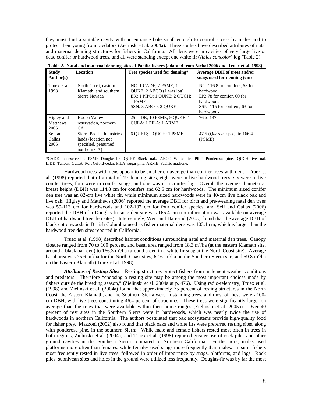they must find a suitable cavity with an entrance hole small enough to control access by males and to protect their young from predators (Zielinski et al. 2004a). Three studies have described attributes of natal and maternal denning structures for fishers in California. All dens were in cavities of very large live or dead conifer or hardwood trees, and all were standing except one white fir (*Abies concolor*) log (Table 2).

| <b>Study</b><br>Author(s)             | <b>Location</b>                                                                         | Tree species used for denning*                                                                                    | <b>Average DBH</b> of trees and/or<br>snags used for denning (cm)                                                                     |
|---------------------------------------|-----------------------------------------------------------------------------------------|-------------------------------------------------------------------------------------------------------------------|---------------------------------------------------------------------------------------------------------------------------------------|
| Truex et al.<br>1998                  | North Coast, eastern<br>Klamath, and southern<br>Sierra Nevada                          | NC: 1 CADE; 2 PSME; 1<br>QUKE, 2 ABCO (1 was log)<br>EK: 1 PIPO; 1 OUKE; 2 OUCH;<br>1 PSME<br>SSN: 3 ABCO; 2 OUKE | NC: $116.8$ for conifers; 53 for<br>hardwood<br>EK: 78 for conifer, 60 for<br>hardwoods<br>SSN: 115 for conifers; 63 for<br>hardwoods |
| Higley and<br><b>Matthews</b><br>2006 | Hoopa Valley<br>reservation, northern<br>CA.                                            | 25 LIDE; 10 PSME; 9 OUKE; 1<br><b>CULA: 1 PILA: 1 ARME</b>                                                        | 76 to 137                                                                                                                             |
| Self and<br>Callas<br>2006            | Sierra Pacific Industries<br>lands (location not<br>specified, presumed<br>northern CA) | 6 OUKE; 2 OUCH; 1 PSME                                                                                            | 47.5 ( <i>Quercus</i> spp.) to 166.4<br>(PSME)                                                                                        |

**Table 2. Natal and maternal denning sites of Pacific fishers (adapted from Nichol 2006 and Truex et al. 1998).**

\*CADE=Incense-cedar, PSME=Douglas-fir, QUKE=Black oak, ABCO=White fir, PIPO=Ponderosa pine, QUCH=live oak LIDE=Tanoak, CULA=Port Orford-cedar, PILA=sugar pine, ARME=Pacific madrone,

Hardwood trees with dens appear to be smaller on average than conifer trees with dens. Truex et al. (1998) reported that of a total of 19 denning sites, eight were in live hardwood trees, six were in live conifer trees, four were in conifer snags, and one was in a conifer log. Overall the average diameter at breast height (DBH) was 114.8 cm for conifers and 62.5 cm for hardwoods. The minimum sized conifer den tree was an 82-cm live white fir, while minimum sized hardwoods were in 40-cm live black oak and live oak. Higley and Matthews (2006) reported the average DBH for birth and pre-weaning natal den trees was 59-113 cm for hardwoods and 102-137 cm for four conifer species, and Self and Callas (2006) reported the DBH of a Douglas-fir snag den site was 166.4 cm (no information was available on average DBH of hardwood tree den sites). Interestingly, Weir and Harestad (2003) found that the average DBH of black cottonwoods in British Columbia used as fisher maternal dens was 103.1 cm, which is larger than the hardwood tree den sites reported in California.

Truex et al. (1998) described habitat conditions surrounding natal and maternal den trees. Canopy closure ranged from 70 to 100 percent, and basal area ranged from  $18.3 \text{ m}^2/\text{ha}$  (at the eastern Klamath site, around a black oak den) to  $166.3 \text{ m}^2/\text{ha}$  (around a den in a white fir snag at the North Coast site). Average basal area was 75.6 m<sup>2</sup>/ha for the North Coast sites, 62.6 m<sup>2</sup>/ha on the Southern Sierra site, and 59.8 m<sup>2</sup>/ha on the Eastern Klamath (Truex et al. 1998).

*Attributes of Resting Sites* – Resting structures protect fishers from inclement weather conditions and predators. Therefore "choosing a resting site may be among the most important choices made by fishers outside the breeding season," (Zielinski et al. 2004a at p. 476). Using radio-telemetry, Truex et al. (1998) and Zielinski et al. (2004a) found that approximately 75 percent of resting structures in the North Coast, the Eastern Klamath, and the Southern Sierra were in standing trees, and most of these were >100 cm DBH, with live trees constituting 46.4 percent of structures. These trees were significantly larger on average than the trees that were available within their home ranges (Zielinski et al. 2005a). Over 40 percent of rest sites in the Southern Sierra were in hardwoods, which was nearly twice the use of hardwoods in northern California. The authors postulated that oak ecosystems provide high-quality food for fisher prey. Mazzoni (2002) also found that black oaks and white firs were preferred resting sites, along with ponderosa pine, in the southern Sierra. While male and female fishers rested most often in trees in both regions, Zielinski et al. (2004a) and Truex et al. (1998) reported greater use of rock piles and other ground cavities in the Southern Sierra compared to Northern California. Furthermore, males used platforms more often than females, while females used snags more frequently than males. In sum, fishers most frequently rested in live trees, followed in order of importance by snags, platforms, and logs. Rock piles, subnivean sites and holes in the ground were utilized less frequently. Douglas-fir was by far the most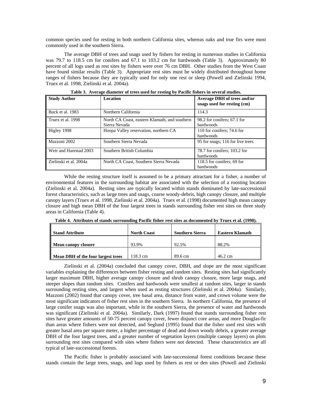common species used for resting in both northern California sites, whereas oaks and true firs were most commonly used in the southern Sierra.

The average DBH of trees and snags used by fishers for resting in numerous studies in California was 79.7 to 118.5 cm for conifers and 67.1 to 103.2 cm for hardwoods (Table 3). Approximately 80 percent of all logs used as rest sites by fishers were over 76 cm DBH. Other studies from the West Coast have found similar results (Table 3). Appropriate rest sites must be widely distributed throughout home ranges of fishers because they are typically used for only one rest or sleep (Powell and Zielinski 1994, Truex et al. 1998, Zielinski et al. 2004a).

| <b>Study Author</b>    | <b>Location</b>                                                | Average DBH of trees and/or<br>snags used for resting (cm) |
|------------------------|----------------------------------------------------------------|------------------------------------------------------------|
| Buck et al. 1983       | Northern California                                            | 114.3                                                      |
| Truex et al. 1998      | North CA Coast, eastern Klamath, and southern<br>Sierra Nevada | 98.2 for conifers; 67.1 for<br>hardwoods                   |
| Higley 1998            | Hoopa Valley reservation, northern CA                          | 110 for conifers; 74.6 for<br>hardwoods                    |
| Mazzoni 2002           | Southern Sierra Nevada                                         | 95 for snags; 116 for live trees                           |
| Weir and Harestad 2003 | Southern British Columbia                                      | 78.7 for conifers; 103.2 for<br>hardwoods                  |
| Zielinski et al. 2004a | North CA Coast, Southern Sierra Nevada                         | 118.5 for conifers; 69 for<br>hardwoods                    |

**Table 3. Average diameter of trees used for resting by Pacific fishers in several studies.** 

While the resting structure itself is assumed to be a primary attractant for a fisher, a number of environmental features in the surrounding habitat are associated with the selection of a roosting location (Zielinski et al. 2004a). Resting sites are typically located within stands dominated by late-successional forest characteristics, such as large trees and snags, coarse woody-debris, high canopy closure, and multiple canopy layers (Truex et al. 1998, Zielinski et al. 2004a). Truex et al. (1998) documented high mean canopy closure and high mean DBH of the four largest trees in stands surrounding fisher rest sites on three study areas in California (Table 4).

| <b>Stand Attribute</b>             | <b>North Coast</b> | <b>Southern Sierra</b> | Eastern Klamath   |
|------------------------------------|--------------------|------------------------|-------------------|
| <b>Mean canopy closure</b>         | 93.9%              | 92.5%                  | 88.2%             |
| Mean DBH of the four largest trees | 118.3 cm           | 89.6 cm                | $46.2 \text{ cm}$ |

**Table 4. Attributes of stands surrounding Pacific fisher rest sites as documented by Truex et al. (1998).**

Zielinski et al. (2004a) concluded that canopy cover, DBH, and slope are the most significant variables explaining the differences between fisher resting and random sites. Resting sites had significantly larger maximum DBH, higher average canopy closure and shrub canopy closure, more large snags, and steeper slopes than random sites. Conifers and hardwoods were smallest at random sites, larger in stands surrounding resting sites, and largest when used as resting structures (Zielinski et al. 2004a). Similarly, Mazzoni (2002) found that canopy cover, tree basal area, distance from water, and crown volume were the most significant indicators of fisher rest sites in the southern Sierra. In northern California, the presence of large conifer snags was also important, while in the southern Sierra, the presence of water and hardwoods was significant (Zielinski et al. 2004a). Similarly, Dark (1997) found that stands surrounding fisher rest sites have greater amounts of 50-75 percent canopy cover, fewer disjunct core areas, and more Douglas-fir than areas where fishers were not detected, and Seglund (1995) found that the fisher used rest sites with greater basal area per square meter, a higher percentage of dead and down woody debris, a greater average DBH of the four largest trees, and a greater number of vegetation layers (multiple canopy layers) on plots surrounding rest sites compared with sites where fishers were not detected. These characteristics are all typical of late-successional forests.

 The Pacific fisher is probably associated with late-successional forest conditions because these stands contain the large trees, snags, and logs used by fishers as rest or den sites (Powell and Zielinski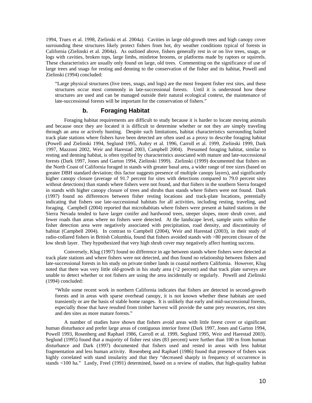1994, Truex et al. 1998, Zielinski et al. 2004a). Cavities in large old-growth trees and high canopy cover surrounding these structures likely protect fishers from hot, dry weather conditions typical of forests in California (Zielinski et al. 2004a). As outlined above, fishers generally rest in or on live trees, snags, or logs with cavities, broken tops, large limbs, mistletoe brooms, or platforms made by raptors or squirrels. These characteristics are usually only found on large, old trees. Commenting on the significance of use of large trees and snags for resting and denning to the conservation of the fisher and its habitat, Powell and Zielinski (1994) concluded:

"Large physical structures (live trees, snags, and logs) are the most frequent fisher rest sites, and these structures occur most commonly in late-successional forests. Until it is understood how these structures are used and can be managed outside their natural ecological context, the maintenance of late-successional forests will be important for the conservation of fishers."

# **b. Foraging Habitat**

Foraging habitat requirements are difficult to study because it is harder to locate moving animals and because once they are located it is difficult to determine whether or not they are simply traveling through an area or actively hunting. Despite such limitations, habitat characteristics surrounding baited track plate stations where fishers have been detected are often used as a proxy to describe foraging habitat (Powell and Zielinski 1994, Seglund 1995, Aubry et al. 1996, Carroll et al. 1999, Zielinski 1999, Dark 1997, Mazzoni 2002, Weir and Harestad 2003, Campbell 2004). Presumed foraging habitat, similar to resting and denning habitat, is often typified by characteristics associated with mature and late-successional forests (Dark 1997, Jones and Garton 1994, Zielinski 1999). Zielinski (1999) documented that fishers on the North Coast of California foraged in stands with greater basal area, a wider range of tree sizes (based on greater DBH standard deviation; this factor suggests presence of multiple canopy layers), and significantly higher canopy closure (average of 91.7 percent for sites with detections compared to 79.0 percent sites without detections) than stands where fishers were not found, and that fishers in the southern Sierra foraged in stands with higher canopy closure of trees and shrubs than stands where fishers were not found. Dark (1997) found no differences between fisher resting locations and track-plate locations, potentially indicating that fishers use late-successional habitats for all activities, including resting, traveling, and foraging. Campbell (2004) reported that microhabitats where fishers were present at baited stations in the Sierra Nevada tended to have larger conifer and hardwood trees, steeper slopes, more shrub cover, and fewer roads than areas where no fishers were detected. At the landscape level, sample units within the fisher detection area were negatively associated with precipitation, road density, and discontinuity of habitat (Campbell 2004). In contrast to Campbell (2004), Weir and Harestad (2003), in their study of radio-collared fishers in British Columbia, found that fishers avoided stands with >80 percent closure of the low shrub layer. They hypothesized that very high shrub cover may negatively affect hunting success.

 Conversely, Klug (1997) found no difference in age between stands where fishers were detected at track plate stations and where fishers were not detected, and thus found no relationship between fishers and late-successional forests in his study on private timber lands in coastal northern California. However, Klug noted that there was very little old-growth in his study area (<2 percent) and that track plate surveys are unable to detect whether or not fishers are using the area incidentally or regularly. Powell and Zielinski (1994) concluded:

"While some recent work in northern California indicates that fishers are detected in second-growth forests and in areas with sparse overhead canopy, it is not known whether these habitats are used transiently or are the basis of stable home ranges. It is unlikely that early and mid-successional forests, especially those that have resulted from timber harvest will provide the same prey resources, rest sites and den sites as more mature forests."

A number of studies have shown that fishers avoid areas with little forest cover or significant human disturbance and prefer large areas of contiguous interior forest (Dark 1997, Jones and Garton 1994, Powell 1993, Rosenberg and Raphael 1986, Carroll et al. 1999, Seglund 1995, Weir and Harestad 2003). Seglund (1995) found that a majority of fisher rest sites (83 percent) were further than 100 m from human disturbance and Dark (1997) documented that fishers used and rested in areas with less habitat fragmentation and less human activity. Rosenberg and Raphael (1986) found that presence of fishers was highly correlated with stand insularity and that they "decreased sharply in frequency of occurrence in stands <100 ha." Lastly, Freel (1991) determined, based on a review of studies, that high-quality habitat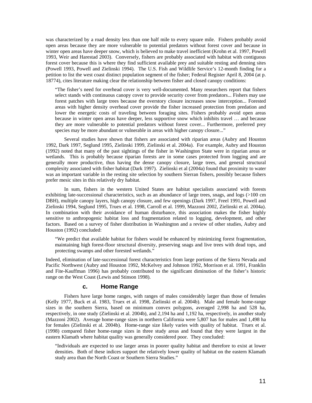was characterized by a road density less than one half mile to every square mile. Fishers probably avoid open areas because they are more vulnerable to potential predators without forest cover and because in winter open areas have deeper snow, which is believed to make travel inefficient (Krohn et al. 1997, Powell 1993, Weir and Harestad 2003). Conversely, fishers are probably associated with habitat with contiguous forest cover because this is where they find sufficient available prey and suitable resting and denning sites (Powell 1993, Powell and Zielinski 1994). The U.S. Fish and Wildlife Service's 12-month finding for a petition to list the west coast distinct population segment of the fisher; Federal Register April 8, 2004 (at p. 18774), cites literature making clear the relationship between fisher and closed canopy conditions:

"The fisher's need for overhead cover is very well-documented. Many researchers report that fishers select stands with continuous canopy cover to provide security cover from predators... Fishers may use forest patches with large trees because the overstory closure increases snow interception... Forested areas with higher density overhead cover provide the fisher increased protection from predation and lower the energetic costs of traveling between foraging sites. Fishers probably avoid open areas because in winter open areas have deeper, less supportive snow which inhibits travel … and because they are more vulnerable to potential predators without forest cover... Furthermore, preferred prey species may be more abundant or vulnerable in areas with higher canopy closure..."

Several studies have shown that fishers are associated with riparian areas (Aubry and Houston 1992, Dark 1997, Seglund 1995, Zielinski 1999, Zielinski et al. 2004a). For example, Aubry and Houston (1992) noted that many of the past sightings of the fisher in Washington State were in riparian areas or wetlands. This is probably because riparian forests are in some cases protected from logging and are generally more productive, thus having the dense canopy closure, large trees, and general structural complexity associated with fisher habitat (Dark 1997). Zielinski et al (2004a) found that proximity to water was an important variable in the resting site selection by southern Sierran fishers, possibly because fishers prefer mesic sites in this relatively dry habitat.

In sum, fishers in the western United States are habitat specialists associated with forests exhibiting late-successional characteristics, such as an abundance of large trees, snags, and logs (>100 cm DBH), multiple canopy layers, high canopy closure, and few openings (Dark 1997, Freel 1991, Powell and Zielinski 1994, Seglund 1995, Truex et al. 1998, Carroll et al. 1999, Mazzoni 2002, Zielinski et al. 2004a). In combination with their avoidance of human disturbance, this association makes the fisher highly sensitive to anthropogenic habitat loss and fragmentation related to logging, development, and other factors. Based on a survey of fisher distribution in Washington and a review of other studies, Aubry and Houston (1992) concluded:

"We predict that available habitat for fishers would be enhanced by minimizing forest fragmentation, maintaining high forest-floor structural diversity, preserving snags and live trees with dead tops, and protecting swamps and other forested wetlands."

Indeed, elimination of late-successional forest characteristics from large portions of the Sierra Nevada and Pacific Northwest (Aubry and Houston 1992, McKelvey and Johnson 1992, Morrison et al. 1991, Franklin and Fite-Kauffman 1996) has probably contributed to the significant diminution of the fisher's historic range on the West Coast (Lewis and Stinson 1998).

#### **c. Home Range**

Fishers have large home ranges, with ranges of males considerably larger than those of females (Kelly 1977, Buck et al. 1983, Truex et al. 1998, Zielinski et al. 2004b). Male and female home-range sizes in the southern Sierra, based on minimum convex polygons, averaged 2,998 ha and 528 ha, respectively, in one study (Zielinski et al. 2004b), and 2,194 ha and 1,192 ha, respectively, in another study (Mazzoni 2002). Average home-range sizes in northern California were 5,807 has for males and 1,498 ha for females (Zielinski et al. 2004b). Home-range size likely varies with quality of habitat. Truex et al. (1998) compared fisher home-range sizes in three study areas and found that they were largest in the eastern Klamath where habitat quality was generally considered poor. They concluded:

"Individuals are expected to use larger areas in poorer quality habitat and therefore to exist at lower densities. Both of these indices support the relatively lower quality of habitat on the eastern Klamath study area than the North Coast or Southern Sierra Studies."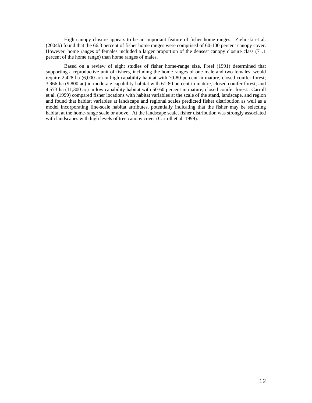High canopy closure appears to be an important feature of fisher home ranges. Zielinski et al. (2004b) found that the 66.3 percent of fisher home ranges were comprised of 60-100 percent canopy cover. However, home ranges of females included a larger proportion of the densest canopy closure class (71.1 percent of the home range) than home ranges of males.

Based on a review of eight studies of fisher home-range size, Freel (1991) determined that supporting a reproductive unit of fishers, including the home ranges of one male and two females, would require 2,428 ha (6,000 ac) in high capability habitat with 70-80 percent in mature, closed conifer forest; 3,966 ha (9,800 ac) in moderate capability habitat with 61-80 percent in mature, closed conifer forest; and 4,573 ha (11,300 ac) in low capability habitat with 50-60 percent in mature, closed conifer forest. Carroll et al. (1999) compared fisher locations with habitat variables at the scale of the stand, landscape, and region and found that habitat variables at landscape and regional scales predicted fisher distribution as well as a model incorporating fine-scale habitat attributes, potentially indicating that the fisher may be selecting habitat at the home-range scale or above. At the landscape scale, fisher distribution was strongly associated with landscapes with high levels of tree canopy cover (Carroll et al. 1999).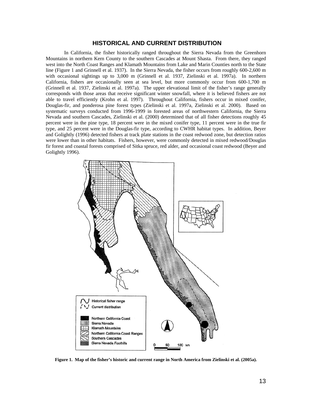#### **HISTORICAL AND CURRENT DISTRIBUTION**

In California, the fisher historically ranged throughout the Sierra Nevada from the Greenhorn Mountains in northern Kern County to the southern Cascades at Mount Shasta. From there, they ranged west into the North Coast Ranges and Klamath Mountains from Lake and Marin Counties north to the State line (Figure 1 and Grinnell et al. 1937). In the Sierra Nevada, the fisher occurs from roughly 600-2,600 m with occasional sightings up to 3,000 m (Grinnell et al. 1937, Zielinski et al. 1997a). In northern California, fishers are occasionally seen at sea level, but more commonly occur from 600-1,700 m (Grinnell et al. 1937, Zielinski et al. 1997a). The upper elevational limit of the fisher's range generally corresponds with those areas that receive significant winter snowfall, where it is believed fishers are not able to travel efficiently (Krohn et al. 1997). Throughout California, fishers occur in mixed conifer, Douglas-fir, and ponderosa pine forest types (Zielinski et al. 1997a, Zielinski et al. 2000). Based on systematic surveys conducted from 1996-1999 in forested areas of northwestern California, the Sierra Nevada and southern Cascades, Zielinski et al. (2000) determined that of all fisher detections roughly 45 percent were in the pine type, 18 percent were in the mixed conifer type, 11 percent were in the true fir type, and 25 percent were in the Douglas-fir type, according to CWHR habitat types. In addition, Beyer and Golightly (1996) detected fishers at track plate stations in the coast redwood zone, but detection ratios were lower than in other habitats. Fishers, however, were commonly detected in mixed redwood/Douglas fir forest and coastal forests comprised of Sitka spruce, red alder, and occasional coast redwood (Beyer and Golightly 1996).



**Figure 1. Map of the fisher's historic and current range in North America from Zielinski et al. (2005a).**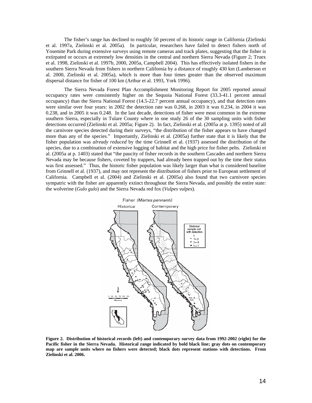The fisher's range has declined to roughly 50 percent of its historic range in California (Zielinski et al. 1997a, Zielinski et al. 2005a). In particular, researchers have failed to detect fishers north of Yosemite Park during extensive surveys using remote cameras and track plates, suggesting that the fisher is extirpated or occurs at extremely low densities in the central and northern Sierra Nevada (Figure 2; Truex et al. 1998, Zielinski et al. 1997b, 2000, 2005a, Campbell 2004). This has effectively isolated fishers in the southern Sierra Nevada from fishers in northern California by a distance of roughly 430 km (Lamberson et al. 2000, Zielinski et al. 2005a), which is more than four times greater than the observed maximum dispersal distance for fisher of 100 km (Arthur et al. 1993, York 1996).

The Sierra Nevada Forest Plan Accomplishment Monitoring Report for 2005 reported annual occupancy rates were consistently higher on the Sequoia National Forest (33.3-41.1 percent annual occupancy) than the Sierra National Forest (14.5-22.7 percent annual occupancy), and that detection rates were similar over four years: in 2002 the detection rate was 0.268, in 2003 it was 0.234, in 2004 it was 0.238, and in 2005 it was 0.248. In the last decade, detections of fisher were most common in the extreme southern Sierra, especially in Tulare County where in one study 26 of the 30 sampling units with fisher detections occurred (Zielinski et al. 2005a; Figure 2). In fact, Zielinski et al. (2005a at p. 1395) noted of all the carnivore species detected during their surveys, "the distribution of the fisher appears to have changed more than any of the species." Importantly, Zielinski et al. (2005a) further state that it is likely that the fisher population was *already reduced* by the time Grinnell et al. (1937) assessed the distribution of the species, due to a combination of extensive logging of habitat and the high price for fisher pelts. Zielinski et al. (2005a at p. 1403) stated that "the paucity of fisher records in the southern Cascades and northern Sierra Nevada may be because fishers, coveted by trappers, had already been trapped out by the time their status was first assessed." Thus, the historic fisher population was likely larger than what is considered baseline from Grinnell et al. (1937), and may not represent the distribution of fishers prior to European settlement of California. Campbell et al. (2004) and Zielinski et al. (2005a) also found that two carnivore species sympatric with the fisher are apparently extinct throughout the Sierra Nevada, and possibly the entire state: the wolverine (*Gulo gulo*) and the Sierra Nevada red fox (*Vulpes vulpes*).



**Figure 2. Distribution of historical records (left) and contemporary survey data from 1992-2002 (right) for the Pacific fisher in the Sierra Nevada. Historical range indicated by bold black line; gray dots on contemporary map are sample units where no fishers were detected; black dots represent stations with detections. From Zielinski et al. 2006.**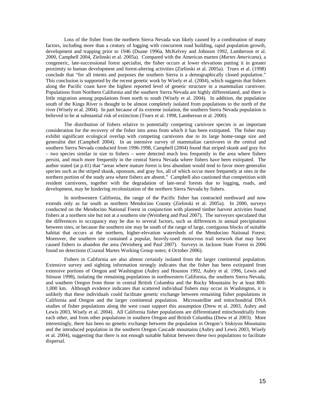Loss of the fisher from the northern Sierra Nevada was likely caused by a combination of many factors, including more than a century of logging with concurrent road building, rapid population growth, development and trapping prior to 1946 (Duane 1996a, McKelvey and Johnson 1992, Lamberson et al. 2000, Campbell 2004, Zielinski et al. 2005a). Compared with the American marten (*Martes Americana*), a congeneric, late-successional forest specialist, the fisher occurs at lower elevations putting it in greater proximity to human development and forest-altering activities (Zielinski et al. 2005a). Truex et al. (1998) conclude that "for all intents and purposes the southern Sierra is a demographically closed population." This conclusion is supported by the recent genetic work by Wisely et al. (2004), which suggests that fishers along the Pacific coast have the highest reported level of genetic structure in a mammalian carnivore. Populations from Northern California and the southern Sierra Nevada are highly differentiated, and there is little migration among populations from north to south (Wisely et al. 2004). In addition, the population south of the Kings River is thought to be almost completely isolated from populations to the north of the river (Wisely et al. 2004). In part because of its extreme isolation, the southern Sierra Nevada population is believed to be at substantial risk of extinction (Truex et al. 1998, Lamberson et al. 2000).

The distribution of fishers relative to potentially competing carnivore species is an important consideration for the recovery of the fisher into areas from which it has been extirpated. The fisher may exhibit significant ecological overlap with competing carnivores due to its large home-range size and generalist diet (Campbell 2004). In an intensive survey of mammalian carnivores in the central and southern Sierra Nevada conducted from 1996-1998, Campbell (2004) found that striped skunk and gray fox – two species similar in size to fishers – were detected much less frequently in the area where fishers persist, and much more frequently in the central Sierra Nevada where fishers have been extirpated. The author stated (at p.41) that "areas where mature forest is less abundant would tend to favor more generalist species such as the striped skunk, opossum, and gray fox, all of which occur more frequently at sites in the northern portion of the study area where fishers are absent." Campbell also cautioned that competition with resident carnivores, together with the degradation of late-seral forests due to logging, roads, and development, may be hindering recolonization of the northern Sierra Nevada by fishers.

In northwestern California, the range of the Pacific fisher has contracted northward and now extends only as far south as northern Mendocino County (Zielinski et al. 2005a). In 2000, surveys conducted on the Mendocino National Forest in conjunction with planned timber harvest activities found fishers at a northern site but not at a southern site (Weinberg and Paul 2007). The surveyors speculated that the differences in occupancy may be due to several factors, such as differences in annual precipitation between sites, or because the southern site may be south of the range of large, contiguous blocks of suitable habitat that occurs at the northern, higher-elevation watersheds of the Mendocino National Forest. Moreover, the southern site contained a popular, heavily-used motocross trail network that may have caused fishers to abandon the area (Weinberg and Paul 2007). Surveys in Jackson State Forest in 2006 found no detections (Coastal Martes Working Group notes; 4 October 2006).

Fishers in California are also almost certainly isolated from the larger continental population. Extensive survey and sighting information strongly indicates that the fisher has been extirpated from extensive portions of Oregon and Washington (Aubry and Houston 1992, Aubry et al. 1996, Lewis and Stinson 1998), isolating the remaining populations in northwestern California, the southern Sierra Nevada, and southern Oregon from those in central British Columbia and the Rocky Mountains by at least 800- 1,000 km. Although evidence indicates that scattered individual fishers may occur in Washington, it is unlikely that these individuals could facilitate genetic exchange between remaining fisher populations in California and Oregon and the larger continental population. Microsatellite and mitochondrial DNA studies of fisher populations along the west coast support this assumption (Drew et al. 2003, Aubry and Lewis 2003, Wisely et al. 2004). All California fisher populations are differentiated mitochondrially from each other, and from other populations in southern Oregon and British Columbia (Drew et al 2003). More interestingly, there has been no genetic exchange between the population in Oregon's Siskiyou Mountains and the introduced population in the southern Oregon Cascade mountains (Aubry and Lewis 2003, Wisely et al. 2004), suggesting that there is not enough suitable habitat between these two populations to facilitate dispersal.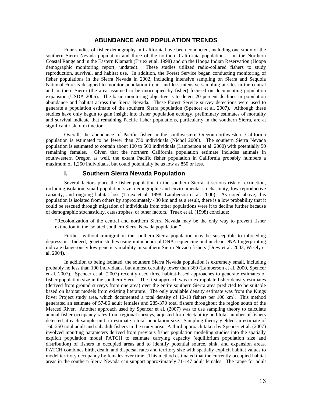# **ABUNDANCE AND POPULATION TRENDS**

Four studies of fisher demography in California have been conducted, including one study of the southern Sierra Nevada population and three of the northern California populations – in the Northern Coastal Range and in the Eastern Klamath (Truex et al. 1998) and on the Hoopa Indian Reservation (Hoopa demographic monitoring report; undated). These studies utilized radio-collared fishers to study reproduction, survival, and habitat use. In addition, the Forest Service began conducting monitoring of fisher populations in the Sierra Nevada in 2002, including intensive sampling on Sierra and Sequoia National Forests designed to monitor population trend, and less intensive sampling at sites in the central and northern Sierra (the area assumed to be unoccupied by fisher) focused on documenting population expansion (USDA 2006). The basic monitoring objective is to detect 20 percent declines in population abundance and habitat across the Sierra Nevada. These Forest Service survey detections were used to generate a population estimate of the southern Sierra population (Spencer et al. 2007). Although these studies have only begun to gain insight into fisher population ecology, preliminary estimates of mortality and survival indicate that remaining Pacific fisher populations, particularly in the southern Sierra, are at significant risk of extinction.

Overall, the abundance of Pacific fisher in the southwestern Oregon-northwestern California population is estimated to be fewer than 750 individuals (Nichol 2006). The southern Sierra Nevada population is estimated to contain about 100 to 500 individuals (Lamberson et al. 2000) with potentially 50 remaining females. Given that the northern California population estimate includes animals in southwestern Oregon as well, the extant Pacific fisher population in California probably numbers a maximum of 1,250 individuals, but could potentially be as low as 850 or less.

# **I. Southern Sierra Nevada Population**

Several factors place the fisher population in the southern Sierra at serious risk of extinction, including isolation, small population size, demographic and environmental stochasticity, low reproductive capacity, and ongoing habitat loss (Truex et al. 1998, Lamberson et al. 2000). As noted above, this population is isolated from others by approximately 430 km and as a result, there is a low probability that it could be rescued through migration of individuals from other populations were it to decline further because of demographic stochasticity, catastrophes, or other factors. Truex et al. (1998) conclude:

"Recolonization of the central and northern Sierra Nevada may be the only way to prevent fisher extinction in the isolated southern Sierra Nevada population."

 Further, without immigration the southern Sierra population may be susceptible to inbreeding depression. Indeed, genetic studies using mitochondrial DNA sequencing and nuclear DNA fingerprinting indicate dangerously low genetic variability in southern Sierra Nevada fishers (Drew et al. 2003, Wisely et al. 2004).

In addition to being isolated, the southern Sierra Nevada population is extremely small, including probably no less than 100 individuals, but almost certainly fewer than 360 (Lamberson et al. 2000, Spencer et al. 2007). Spencer et al. (2007) recently used three habitat-based approaches to generate estimates of fisher population size in the southern Sierra. The first approach was to extrapolate fisher density estimates (derived from ground surveys from one area) over the entire southern Sierra area predicted to be suitable based on habitat models from existing literature. The only available density estimate was from the Kings River Project study area, which documented a total density of  $10-13$  fishers per  $100 \text{ km}^2$ . This method generated an estimate of 57-86 adult females and 285-370 total fishers throughout the region south of the Merced River. Another approach used by Spencer et al. (2007) was to use sampling theory to calculate annual fisher occupancy rates from regional surveys, adjusted for detectability and total number of fishers detected at each sample unit, to estimate a total population size. Sampling theory yielded an estimate of 160-250 total adult and subadult fishers in the study area. A third approach taken by Spencer et al. (2007) involved inputting parameters derived from previous fisher population modeling studies into the spatially explicit population model PATCH to estimate carrying capacity (equilibrium population size and distribution) of fishers in occupied areas and to identify potential source, sink, and expansion areas. PATCH combines birth, death, and dispersal rates and territory size with spatially explicit habitat values to model territory occupancy by females over time. This method estimated that the currently occupied habitat areas in the southern Sierra Nevada can support approximately 71-147 adult females. The range for adult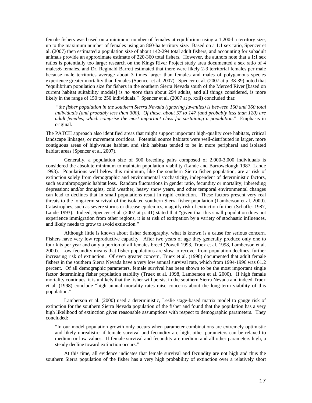female fishers was based on a minimum number of females at equilibrium using a 1,200-ha territory size, up to the maximum number of females using an 860-ha territory size. Based on a 1:1 sex ratio, Spencer et al. (2007) then estimated a population size of about 142-294 total adult fishers, and accounting for subadult animals provide an approximate estimate of 220-360 total fishers. However, the authors note that a 1:1 sex ratios is potentially too large: research on the Kings River Project study area documented a sex ratio of 4 males:6 females, and Dr. Reginald Barrett estimated that there were likely 2-3 territorial females per male because male territories average about 3 times larger than females and males of polygamous species experience greater mortality than females (Spencer et al. 2007). Spencer et al. (2007 at p. 38-39) noted that "equilibrium population size for fishers in the southern Sierra Nevada south of the Merced River [based on current habitat suitability models] is *no more* than about 294 adults, and all things considered, is more likely in the range of 150 to 250 individuals." Spencer et al. (2007 at p. xxii) concluded that:

 "*the fisher population in the southern Sierra Nevada (ignoring juveniles) is between 160 and 360 total individuals (and probably less than 300). Of these, about 57 to 147 (and probably less than 120) are adult females, which comprise the most important class for sustaining a population*." Emphasis in original.

The PATCH approach also identified areas that might support important high-quality core habitats, critical landscape linkages, or movement corridors. Potential source habitats were well-distributed in larger, more contiguous areas of high-value habitat, and sink habitats tended to be in more peripheral and isolated habitat areas (Spencer et al. 2007).

Generally, a population size of 500 breeding pairs composed of 2,000-3,000 individuals is considered the absolute minimum to maintain population viability (Lande and Barrowclough 1987, Lande 1993). Populations well below this minimum, like the southern Sierra fisher population, are at risk of extinction solely from demographic and environmental stochasticity, independent of deterministic factors, such as anthropogenic habitat loss. Random fluctuations in gender ratio, fecundity or mortality; inbreeding depression; and/or droughts, cold weather, heavy snow years, and other temporal environmental changes can lead to declines that in small populations result in rapid extinction. These factors present very real threats to the long-term survival of the isolated southern Sierra fisher population (Lamberson et al. 2000). Catastrophes, such as severe storms or disease epidemics, magnify risk of extinction further (Schaffer 1987, Lande 1993). Indeed, Spencer et al. (2007 at p. 41) stated that "given that this small population does not experience immigration from other regions, it is at risk of extirpation by a variety of stochastic influences, and likely needs to grow to avoid extinction."

Although little is known about fisher demography, what is known is a cause for serious concern. Fishers have very low reproductive capacity. After two years of age they generally produce only one to four kits per year and only a portion of all females breed (Powell 1993, Truex et al. 1998, Lamberson et al. 2000). Low fecundity means that fisher populations are slow to recover from population declines, further increasing risk of extinction. Of even greater concern, Truex et al. (1998) documented that adult female fishers in the southern Sierra Nevada have a very low annual survival rate, which from 1994-1996 was 61.2 percent. Of all demographic parameters, female survival has been shown to be the most important single factor determining fisher population stability (Truex et al. 1998, Lamberson et al. 2000). If high female mortality continues, it is unlikely that the fisher will persist in the southern Sierra Nevada and indeed Truex et al. (1998) conclude "high annual mortality rates raise concerns about the long-term viability of this population."

Lamberson et al. (2000) used a deterministic, Leslie stage-based matrix model to gauge risk of extinction for the southern Sierra Nevada population of the fisher and found that the population has a very high likelihood of extinction given reasonable assumptions with respect to demographic parameters. They concluded:

"In our model population growth only occurs when parameter combinations are extremely optimistic and likely unrealistic: if female survival and fecundity are high, other parameters can be relaxed to medium or low values. If female survival and fecundity are medium and all other parameters high, a steady decline toward extinction occurs."

 At this time, all evidence indicates that female survival and fecundity are not high and thus the southern Sierra population of the fisher has a very high probability of extinction over a relatively short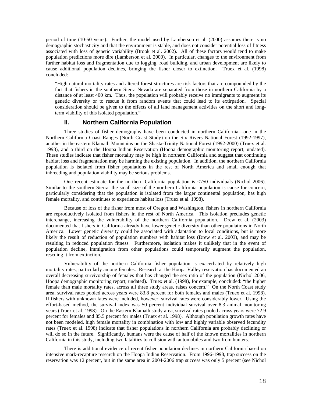period of time (10-50 years). Further, the model used by Lamberson et al. (2000) assumes there is no demographic stochasticity and that the environment is stable, and does not consider potential loss of fitness associated with loss of genetic variability (Brook et al. 2002). All of these factors would tend to make population predictions more dire (Lamberson et al. 2000). In particular, changes to the environment from further habitat loss and fragmentation due to logging, road building, and urban development are likely to cause additional population declines, bringing the fisher closer to extinction. Truex et al. (1998) concluded:

"High natural mortality rates and altered forest structures are risk factors that are compounded by the fact that fishers in the southern Sierra Nevada are separated from those in northern California by a distance of at least 400 km. Thus, the population will probably receive no immigrants to augment its genetic diversity or to rescue it from random events that could lead to its extirpation. Special consideration should be given to the effects of all land management activities on the short and longterm viability of this isolated population."

# **II. Northern California Population**

Three studies of fisher demography have been conducted in northern California—one in the Northern California Coast Ranges (North Coast Study) on the Six Rivers National Forest (1992-1997), another in the eastern Klamath Mountains on the Shasta-Trinity National Forest (1992-2000) (Truex et al. 1998), and a third on the Hoopa Indian Reservation (Hoopa demographic monitoring report; undated). These studies indicate that fisher mortality may be high in northern California and suggest that continuing habitat loss and fragmentation may be harming the existing population. In addition, the northern California population is isolated from fisher populations in the rest of North America and small enough that inbreeding and population viability may be serious problems.

One recent estimate for the northern California population is <750 individuals (Nichol 2006). Similar to the southern Sierra, the small size of the northern California population is cause for concern, particularly considering that the population is isolated from the larger continental population, has high female mortality, and continues to experience habitat loss (Truex et al. 1998).

Because of loss of the fisher from most of Oregon and Washington, fishers in northern California are reproductively isolated from fishers in the rest of North America. This isolation precludes genetic interchange, increasing the vulnerability of the northern California population. Drew et al. (2003) documented that fishers in California already have lower genetic diversity than other populations in North America. Lower genetic diversity could be associated with adaptation to local conditions, but is more likely the result of reduction of population numbers with habitat loss (Drew et al. 2003), and may be resulting in reduced population fitness. Furthermore, isolation makes it unlikely that in the event of population decline, immigration from other populations could temporarily augment the population, rescuing it from extinction.

Vulnerability of the northern California fisher population is exacerbated by relatively high mortality rates, particularly among females. Research at the Hoopa Valley reservation has documented an overall decreasing survivorship of females that has changed the sex ratio of the population (Nichol 2006, Hoopa demographic monitoring report; undated). Truex et al. (1998), for example, concluded: "the higher female than male mortality rates, across all three study areas, raises concern." On the North Coast study area, survival rates pooled across years were 83.8 percent for both females and males (Truex et al. 1998). If fishers with unknown fates were included, however, survival rates were considerably lower. Using the effort-based method, the survival index was 50 percent individual survival over 8.3 animal monitoring years (Truex et al. 1998). On the Eastern Klamath study area, survival rates pooled across years were 72.9 percent for females and 85.5 percent for males (Truex et al. 1998). Although population growth rates have not been modeled, high female mortality in combination with low and highly variable observed fecundity rates (Truex et al. 1998) indicate that fisher populations in northern California are probably declining or will do so in the future. Significantly, humans were the cause of half of the known mortalities in northern California in this study, including two fatalities to collision with automobiles and two from hunters.

There is additional evidence of recent fisher population declines in northern California based on intensive mark-recapture research on the Hoopa Indian Reservation. From 1996-1998, trap success on the reservation was 12 percent, but in the same area in 2004-2006 trap success was only 5 percent (see Nichol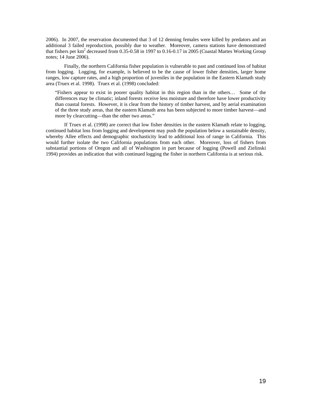2006). In 2007, the reservation documented that 3 of 12 denning females were killed by predators and an additional 3 failed reproduction, possibly due to weather. Moreover, camera stations have demonstrated that fishers per  $km^2$  decreased from 0.35-0.58 in 1997 to 0.16-0.17 in 2005 (Coastal Martes Working Group notes; 14 June 2006).

Finally, the northern California fisher population is vulnerable to past and continued loss of habitat from logging. Logging, for example, is believed to be the cause of lower fisher densities, larger home ranges, low capture rates, and a high proportion of juveniles in the population in the Eastern Klamath study area (Truex et al. 1998). Truex et al. (1998) concluded:

"Fishers appear to exist in poorer quality habitat in this region than in the others… Some of the differences may be climatic; inland forests receive less moisture and therefore have lower productivity than coastal forests. However, it is clear from the history of timber harvest, and by aerial examination of the three study areas, that the eastern Klamath area has been subjected to more timber harvest—and more by clearcutting—than the other two areas."

If Truex et al. (1998) are correct that low fisher densities in the eastern Klamath relate to logging, continued habitat loss from logging and development may push the population below a sustainable density, whereby Allee effects and demographic stochasticity lead to additional loss of range in California. This would further isolate the two California populations from each other. Moreover, loss of fishers from substantial portions of Oregon and all of Washington in part because of logging (Powell and Zielinski 1994) provides an indication that with continued logging the fisher in northern California is at serious risk.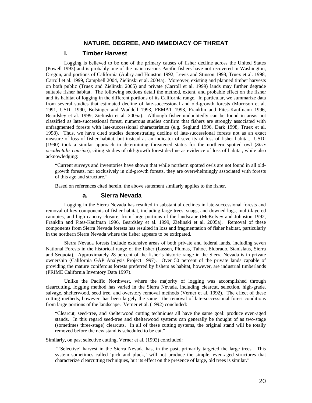# **NATURE, DEGREE, AND IMMEDIACY OF THREAT**

# **I. Timber Harvest**

Logging is believed to be one of the primary causes of fisher decline across the United States (Powell 1993) and is probably one of the main reasons Pacific fishers have not recovered in Washington, Oregon, and portions of California (Aubry and Houston 1992, Lewis and Stinson 1998, Truex et al. 1998, Carroll et al. 1999, Campbell 2004, Zielinski et al. 2004a). Moreover, existing and planned timber harvests on both public (Truex and Zielinski 2005) and private (Carroll et al. 1999) lands may further degrade suitable fisher habitat. The following sections detail the method, extent, and probable effect on the fisher and its habitat of logging in the different portions of its California range. In particular, we summarize data from several studies that estimated decline of late-successional and old-growth forests (Morrison et al. 1991, USDI 1990, Bolsinger and Waddell 1993, FEMAT 1993, Franklin and Fites-Kaufmann 1996, Beardsley et al. 1999, Zielinski et al. 2005a). Although fisher undoubtedly can be found in areas not classified as late-successional forest, numerous studies confirm that fishers are strongly associated with unfragmented forests with late-successional characteristics (e.g. Seglund 1996, Dark 1998, Truex et al. 1998). Thus, we have cited studies demonstrating decline of late-successional forests not as an exact measure of loss of fisher habitat, but instead as an indicator of severity of loss of fisher habitat. USDI (1990) took a similar approach in determining threatened status for the northern spotted owl (*Strix occidentalis caurina*), citing studies of old-growth forest decline as evidence of loss of habitat, while also acknowledging:

"Current surveys and inventories have shown that while northern spotted owls are not found in all oldgrowth forests, nor exclusively in old-growth forests, they are overwhelmingly associated with forests of this age and structure."

Based on references cited herein, the above statement similarly applies to the fisher.

# **a. Sierra Nevada**

Logging in the Sierra Nevada has resulted in substantial declines in late-successional forests and removal of key components of fisher habitat, including large trees, snags, and downed logs, multi-layered canopies, and high canopy closure, from large portions of the landscape (McKelvey and Johnston 1992, Franklin and Fites-Kaufman 1996, Beardsley et al. 1999, Zielinski et al. 2005a). Removal of these components from Sierra Nevada forests has resulted in loss and fragmentation of fisher habitat, particularly in the northern Sierra Nevada where the fisher appears to be extirpated.

Sierra Nevada forests include extensive areas of both private and federal lands, including seven National Forests in the historical range of the fisher (Lassen, Plumas, Tahoe, Eldorado, Stanislaus, Sierra and Sequoia). Approximately 28 percent of the fisher's historic range in the Sierra Nevada is in private ownership (California GAP Analysis Project 1997). Over 50 percent of the private lands capable of providing the mature coniferous forests preferred by fishers as habitat, however, are industrial timberlands (PRIME California Inventory Data 1997).

Unlike the Pacific Northwest, where the majority of logging was accomplished through clearcutting, logging method has varied in the Sierra Nevada, including clearcut, selection, high-grade, salvage, shelterwood, seed tree, and overstory removal methods (Verner et al. 1992). The effect of these cutting metheds, however, has been largely the same—the removal of late-successional forest conditions from large portions of the landscape. Verner et al. (1992) concluded:

"Clearcut, seed-tree, and shelterwood cutting techniques all have the same goal: produce even-aged stands. In this regard seed-tree and shelterwood systems can generally be thought of as two-stage (sometimes three-stage) clearcuts. In all of these cutting systems, the original stand will be totally removed before the new stand is scheduled to be cut."

Similarly, on past selective cutting, Verner et al. (1992) concluded:

"'Selective' harvest in the Sierra Nevada has, in the past, primarily targeted the large trees. This system sometimes called 'pick and pluck,' will not produce the simple, even-aged structures that characterize clearcutting techniques, but its effect on the presence of large, old trees is similar."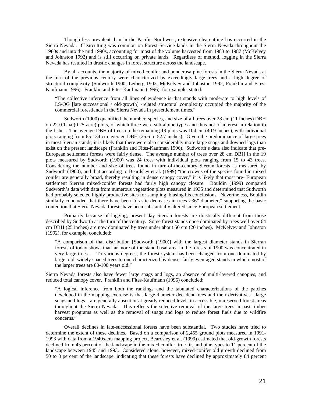Though less prevalent than in the Pacific Northwest, extensive clearcutting has occurred in the Sierra Nevada. Clearcutting was common on Forest Service lands in the Sierra Nevada throughout the 1980s and into the mid 1990s, accounting for most of the volume harvested from 1983 to 1987 (McKelvey and Johnston 1992) and is still occurring on private lands. Regardless of method, logging in the Sierra Nevada has resulted in drastic changes in forest structure across the landscape.

By all accounts, the majority of mixed-conifer and ponderosa pine forests in the Sierra Nevada at the turn of the previous century were characterized by exceedingly large trees and a high degree of structural complexity (Sudworth 1900, Leiberg 1902, McKelvey and Johnston 1992, Franklin and Fites-Kaufmann 1996). Franklin and Fites-Kaufmann (1996), for example, stated:

"The collective inference from all lines of evidence is that stands with moderate to high levels of LS/OG [late successional / old-growth] -related structural complexity occupied the majority of the commercial forestlands in the Sierra Nevada in presettlement times."

Sudworth (1900) quantified the number, species, and size of all trees over 28 cm (11 inches) DBH on 22 0.1-ha (0.25-acre) plots, of which three were sub-alpine types and thus not of interest in relation to the fisher. The average DBH of trees on the remaining 19 plots was 104 cm (40.9 inches), with individual plots ranging from 65-134 cm average DBH (25.6 to 52.7 inches). Given the predominance of large trees in most Sierran stands, it is likely that there were also considerably more large snags and downed logs than exist on the present landscape (Franklin and Fites-Kaufman 1996). Sudworth's data also indicate that pre-European settlement forests were fairly dense. The average number of trees over 28 cm DBH in the 19 plots measured by Sudworth (1900) was 24 trees with individual plots ranging from 15 to 43 trees. Considering the number and size of trees found in turn-of-the-century Sierran forests as measured by Sudworth (1900), and that according to Beardsley et al. (1999) "the crowns of the species found in mixed conifer are generally broad, thereby resulting in dense canopy cover," it is likely that most pre- European settlement Sierran mixed-conifer forests had fairly high canopy closure. Bouldin (1999) compared Sudworth's data with data from numerous vegetation plots measured in 1935 and determined that Sudworth had probably selected highly productive sites for sampling, biasing his conclusions. Nevertheless, Bouldin similarly concluded that there have been "drastic decreases in trees >36" diameter," supporting the basic contention that Sierra Nevada forests have been substantially altered since European settlement.

Primarily because of logging, present day Sierran forests are drastically different from those described by Sudworth at the turn of the century. Some forest stands once dominated by trees well over 64 cm DBH (25 inches) are now dominated by trees under about 50 cm (20 inches). McKelvey and Johnston (1992), for example, concluded:

"A comparison of that distribution [Sudworth (1900)] with the largest diameter stands in Sierran forests of today shows that far more of the stand basal area in the forests of 1900 was concentrated in very large trees… To various degrees, the forest system has been changed from one dominated by large, old, widely spaced trees to one characterized by dense, fairly even-aged stands in which most of the larger trees are 80-100 years old."

Sierra Nevada forests also have fewer large snags and logs, an absence of multi-layered canopies, and reduced total canopy cover. Franklin and Fites-Kaufmann (1996) concluded:

"A logical inference from both the rankings and the tabulated characterizations of the patches developed in the mapping exercise is that large-diameter decadent trees and their derivatives—large snags and logs—are generally absent or at greatly reduced levels in accessible, unreserved forest areas throughout the Sierra Nevada. This reflects the selective removal of the large trees in past timber harvest programs as well as the removal of snags and logs to reduce forest fuels due to wildfire concerns."

Overall declines in late-successional forests have been substantial. Two studies have tried to determine the extent of these declines. Based on a comparison of 2,455 ground plots measured in 1991- 1993 with data from a 1940s-era mapping project, Beardsley et al. (1999) estimated that old-growth forests declined from 45 percent of the landscape in the mixed conifer, true fir, and pine types to 11 percent of the landscape between 1945 and 1993. Considered alone, however, mixed-conifer old growth declined from 50 to 8 percent of the landscape, indicating that these forests have declined by approximately 84 percent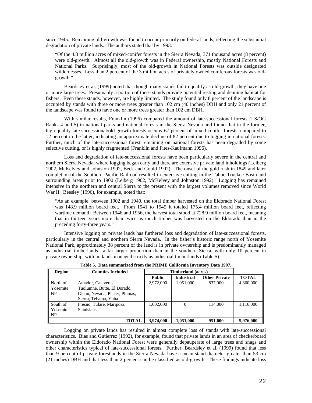since 1945. Remaining old-growth was found to occur primarily on federal lands, reflecting the substantial degradation of private lands. The authors stated that by 1993:

"Of the 4.8 million acres of mixed-conifer forests in the Sierra Nevada, 371 thousand acres (8 percent) were old-growth. Almost all the old-growth was in Federal ownership, mostly National Forests and National Parks. Surprisingly, most of the old-growth in National Forests was outside designated wildernesses. Less than 2 percent of the 3 million acres of privately owned coniferous forests was oldgrowth."

Beardsley et al. (1999) noted that though many stands fail to qualify as old-growth, they have one or more large trees. Presumably a portion of these stands provide potential resting and denning habitat for fishers. Even these stands, however, are highly limited. The study found only 8 percent of the landscape is occupied by stands with three or more trees greater than 102 cm (40 inches) DBH and only 21 percent of the landscape was found to have one or more trees greater than 102 cm DBH.

With similar results, Franklin (1996) compared the amount of late-successional forests (LS/OG Ranks 4 and 5) in national parks and national forests in the Sierra Nevada and found that in the former, high-quality late successional/old-growth forests occupy 67 percent of mixed conifer forests, compared to 12 percent in the latter, indicating an approximate decline of 82 percent due to logging in national forests. Further, much of the late-successional forest remaining on national forests has been degraded by some selective cutting, or is highly fragmented (Franklin and Fites-Kaufmann 1996).

Loss and degradation of late-successional forests have been particularly severe in the central and northern Sierra Nevada, where logging began early and there are extensive private land inholdings (Leiberg 1902, McKelvey and Johnston 1992, Beck and Gould 1992). The onset of the gold rush in 1849 and later completion of the Southern Pacific Railroad resulted in extensive cutting in the Tahoe-Truckee Basin and surrounding areas prior to 1900 (Leiberg 1902, McKelvey and Johnston 1992). Logging has remained intensive in the northern and central Sierra to the present with the largest volumes removed since World War II. Beesley (1996), for example, noted that:

"As an example, between 1902 and 1940, the total timber harvested on the Eldorado National Forest was 148.9 million board feet. From 1941 to 1945 it totaled 175.4 million board feet, reflecting wartime demand. Between 1946 and 1956, the harvest total stood at 728.9 million board feet, meaning that in thirteen years more than twice as much timber was harvested on the Eldorado than in the preceding forty-three years."

Intensive logging on private lands has furthered loss and degradation of late-successional forests, particularly in the central and northern Sierra Nevada. In the fisher's historic range north of Yosemite National Park, approximately 38 percent of the land is in private ownership and is predominantly managed as industrial timberlands—a far larger proportion than in the southern Sierra, with only 10 percent in private ownership, with no lands managed strictly as industrial timberlands (Table 5).

| <b>Region</b> | <b>Counties Included</b>       |               | <b>Timberland (acres)</b> |                      |              |
|---------------|--------------------------------|---------------|---------------------------|----------------------|--------------|
|               |                                | <b>Public</b> | <b>Industrial</b>         | <b>Other Private</b> | <b>TOTAL</b> |
| North of      | Amador, Calaveras,             | 2,972,000     | 1,051,000                 | 837,000              | 4,860,000    |
| Yosemite      | Tuolumne, Butte, El Dorado,    |               |                           |                      |              |
| <b>NP</b>     | Glenn, Nevada, Placer, Plumas, |               |                           |                      |              |
|               | Sierra, Tehama, Yuba           |               |                           |                      |              |
| South of      | Fresno, Tulare, Mariposa,      | 1,002,000     |                           | 114,000              | 1,116,000    |
| Yosemite      | <b>Stanislaus</b>              |               |                           |                      |              |
| NP            |                                |               |                           |                      |              |
|               | TOTAL                          | 3,974,000     | 1,051,000                 | 951,000              | 5,976,000    |

T**able 5. Data summarized from the PRIME California Inventory Data 1997.** 

Logging on private lands has resulted in almost complete loss of stands with late-successional characteristics. Bias and Gutierrez (1992), for example, found that private lands in an area of checkerboard ownership within the Eldorado National Forest were generally depauperate of large trees and snags and other characteristics typical of late-successional forests. Further, Beardsley et al. (1999) found that less than 9 percent of private forestlands in the Sierra Nevada have a mean stand diameter greater than 53 cm (21 inches) DBH and that less than 2 percent can be classified as old-growth. These findings indicate loss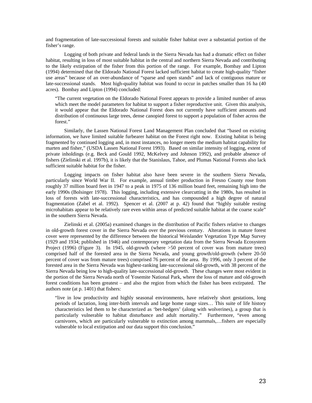and fragmentation of late-successional forests and suitable fisher habitat over a substantial portion of the fisher's range.

Logging of both private and federal lands in the Sierra Nevada has had a dramatic effect on fisher habitat, resulting in loss of most suitable habitat in the central and northern Sierra Nevada and contributing to the likely extirpation of the fisher from this portion of the range. For example, Bombay and Lipton (1994) determined that the Eldorado National Forest lacked sufficient habitat to create high-quality "fisher use areas" because of an over-abundance of "sparse and open stands" and lack of contiguous mature or late-successional stands. Most high-quality habitat was found to occur in patches smaller than 16 ha (40 acres). Bombay and Lipton (1994) concluded:

"The current vegetation on the Eldorado National Forest appears to provide a limited number of areas which meet the model parameters for habitat to support a fisher reproductive unit. Given this analysis, it would appear that the Eldorado National Forest does not currently have sufficient amounts and distribution of continuous large trees, dense canopied forest to support a population of fisher across the forest."

Similarly, the Lassen National Forest Land Management Plan concluded that "based on existing information, we have limited suitable furbearer habitat on the Forest right now. Existing habitat is being fragmented by continued logging and, in most instances, no longer meets the medium habitat capability for marten and fisher," (USDA Lassen National Forest 1993). Based on similar intensity of logging, extent of private inholdings (e.g. Beck and Gould 1992, McKelvey and Johnson 1992), and probable absence of fishers (Zielinski et al. 1997b), it is likely that the Stanislaus, Tahoe, and Plumas National Forests also lack sufficient suitable habitat for the fisher.

Logging impacts on fisher habitat also have been severe in the southern Sierra Nevada, particularly since World War II. For example, annual timber production in Fresno County rose from roughly 37 million board feet in 1947 to a peak in 1975 of 136 million board feet, remaining high into the early 1990s (Bolsinger 1978). This logging, including extensive clearcutting in the 1980s, has resulted in loss of forests with late-successional characteristics, and has compounded a high degree of natural fragmentation (Zabel et al. 1992). Spencer et al. (2007 at p. 42) found that "highly suitable resting microhabitats appear to be relatively rare even within areas of predicted suitable habitat at the coarse scale" in the southern Sierra Nevada.

Zielinski et al. (2005a) examined changes in the distribution of Pacific fishers relative to changes in old-growth forest cover in the Sierra Nevada over the previous century. Alterations in mature forest cover were represented by the difference between the historical Weislander Vegetation Type Map Survey (1929 and 1934; published in 1946) and contemporary vegetation data from the Sierra Nevada Ecosystem Project (1996) (Figure 3). In 1945, old-growth (where >50 percent of cover was from mature trees) comprised half of the forested area in the Sierra Nevada, and young growth/old-growth (where 20-50 percent of cover was from mature trees) comprised 76 percent of the area. By 1996, only 3 percent of the forested area in the Sierra Nevada was highest-ranking late-successional old-growth, with 38 percent of the Sierra Nevada being low to high-quality late-successional old-growth. These changes were most evident in the portion of the Sierra Nevada north of Yosemite National Park, where the loss of mature and old-growth forest conditions has been greatest – and also the region from which the fisher has been extirpated. The authors note (at p. 1401) that fishers:

"live in low productivity and highly seasonal environments, have relatively short gestations, long periods of lactation, long inter-birth intervals and large home range sizes… This suite of life history characteristics led them to be characterized as 'bet-hedgers' (along with wolverines), a group that is particularly vulnerable to habitat disturbance and adult mortality." Furthermore, "even among carnivores, which are particularly vulnerable to extinction among mammals,…fishers are especially vulnerable to local extirpation and our data support this conclusion."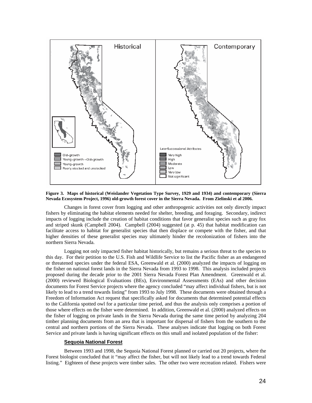

**Figure 3. Maps of historical (Weislander Vegetation Type Survey, 1929 and 1934) and contemporary (Sierra Nevada Ecosystem Project, 1996) old-growth forest cover in the Sierra Nevada. From Zielinski et al 2006.** 

Changes in forest cover from logging and other anthropogenic activities not only directly impact fishers by eliminating the habitat elements needed for shelter, breeding, and foraging. Secondary, indirect impacts of logging include the creation of habitat conditions that favor generalist species such as gray fox and striped skunk (Campbell 2004). Campbell (2004) suggested (at p. 45) that habitat modification can facilitate access to habitat for generalist species that then displace or compete with the fisher, and that higher densities of these generalist species may ultimately hinder the recolonization of fishers into the northern Sierra Nevada.

Logging not only impacted fisher habitat historically, but remains a serious threat to the species to this day. For their petition to the U.S. Fish and Wildlife Service to list the Pacific fisher as an endangered or threatened species under the federal ESA, Greenwald et al. (2000) analyzed the impacts of logging on the fisher on national forest lands in the Sierra Nevada from 1993 to 1998. This analysis included projects proposed during the decade prior to the 2001 Sierra Nevada Forest Plan Amendment. Greenwald et al. (2000) reviewed Biological Evaluations (BEs), Environmental Assessments (EAs) and other decision documents for Forest Service projects where the agency concluded "may affect individual fishers, but is not likely to lead to a trend towards listing" from 1993 to July 1998. These documents were obtained through a Freedom of Information Act request that specifically asked for documents that determined potential effects to the California spotted owl for a particular time period, and thus the analysis only comprises a portion of those where effects on the fisher were determined. In addition, Greenwald et al. (2000) analyzed effects on the fisher of logging on private lands in the Sierra Nevada during the same time period by analyzing 204 timber planning documents from an area that is important for dispersal of fishers from the southern to the central and northern portions of the Sierra Nevada. These analyses indicate that logging on both Forest Service and private lands is having significant effects on this small and isolated population of the fisher:

#### **Sequoia National Forest**

Between 1993 and 1998, the Sequoia National Forest planned or carried out 20 projects, where the Forest biologist concluded that it "may affect the fisher, but will not likely lead to a trend towards Federal listing." Eighteen of these projects were timber sales. The other two were recreation related. Fishers were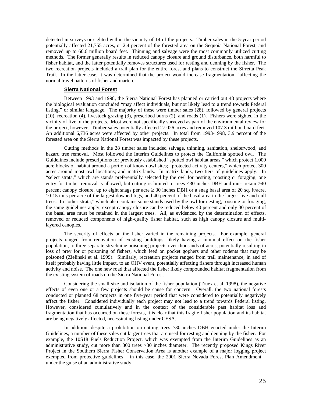detected in surveys or sighted within the vicinity of 14 of the projects. Timber sales in the 5-year period potentially affected 21,755 acres, or 2.4 percent of the forested area on the Sequoia National Forest, and removed up to 60.6 million board feet. Thinning and salvage were the most commonly utilized cutting methods. The former generally results in reduced canopy closure and ground disturbance, both harmful to fisher habitat, and the latter potentially removes structures used for resting and denning by the fisher. The two recreation projects included a trail plan for the entire forest and plans to construct the Sirretta Peak Trail. In the latter case, it was determined that the project would increase fragmentation, "affecting the normal travel patterns of fisher and marten."

#### **Sierra National Forest**

Between 1993 and 1998, the Sierra National Forest has planned or carried out 48 projects where the biological evaluation concluded "may affect individuals, but not likely lead to a trend towards Federal listing," or similar language. The majority of these were timber sales (28), followed by general projects (10), recreation (4), livestock grazing (3), prescribed burns (2), and roads (1). Fishers were sighted in the vicinity of five of the projects. Most were not specifically surveyed as part of the environmental review for the project, however. Timber sales potentially affected 27,026 acres and removed 107.3 million board feet. An additional 6,736 acres were affected by other projects. In total from 1993-1998, 3.9 percent of the forested area on the Sierra National Forest was impacted by these projects.

Cutting methods in the 28 timber sales included salvage, thinning, sanitation, shelterwood, and hazard tree removal. Most followed the Interim Guidelines to protect the California spotted owl. The Guidelines include prescriptions for previously established "spotted owl habitat areas," which protect 1,000 acre blocks of habitat around a portion of known owl sites; "protected activity centers," which protect 300 acres around most owl locations; and matrix lands. In matrix lands, two tiers of guidelines apply. In "select strata," which are stands preferentially selected by the owl for nesting, roosting or foraging, one entry for timber removal is allowed, but cutting is limited to trees <30 inches DBH and must retain ≥40 percent canopy closure, up to eight snags per acre  $\geq$  30 inches DBH or a snag basal area of 20 sq. ft/acre, 10-15 tons per acre of the largest downed logs, and 40 percent of the basal area in the largest live and cull trees. In "other strata," which also contains some stands used by the owl for nesting, roosting or foraging, the same guidelines apply, except canopy closure can be reduced below 40 percent and only 30 percent of the basal area must be retained in the largest trees. All, as evidenced by the determination of effects, removed or reduced components of high-quality fisher habitat, such as high canopy closure and multilayered canopies.

The severity of effects on the fisher varied in the remaining projects. For example, general projects ranged from renovation of existing buildings, likely having a minimal effect on the fisher population, to three separate strychnine poisoning projects over thousands of acres, potentially resulting in loss of prey for or poisoning of fishers, which feed on pocket gophers and other rodents that may be poisoned (Zielinski et al. 1999). Similarly, recreation projects ranged from trail maintenance, in and of itself probably having little impact, to an OHV event, potentially affecting fishers through increased human activity and noise. The one new road that affected the fisher likely compounded habitat fragmentation from the existing system of roads on the Sierra National Forest.

Considering the small size and isolation of the fisher population (Truex et al. 1998), the negative effects of even one or a few projects should be cause for concern. Overall, the two national forests conducted or planned 68 projects in one five-year period that were considered to potentially negatively affect the fisher. Considered individually each project may not lead to a trend towards Federal listing. However, considered cumulatively and in the context of the considerable past habitat loss and fragmentation that has occurred on these forests, it is clear that this fragile fisher population and its habitat are being negatively affected, necessitating listing under CESA.

In addition, despite a prohibition on cutting trees >30 inches DBH enacted under the Interim Guidelines, a number of these sales cut larger trees that are used for resting and denning by the fisher. For example, the 10S18 Fuels Reduction Project, which was exempted from the Interim Guidelines as an administrative study, cut more than 300 trees >30 inches diameter. The recently proposed Kings River Project in the Southern Sierra Fisher Conservation Area is another example of a major logging project exempted from protective guidelines – in this case, the 2001 Sierra Nevada Forest Plan Amendment – under the guise of an administrative study.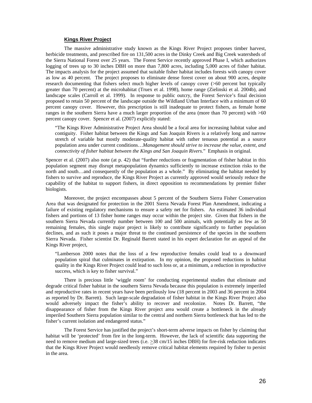#### **Kings River Project**

The massive administrative study known as the Kings River Project proposes timber harvest, herbicide treatments, and prescribed fire on 131,500 acres in the Dinky Creek and Big Creek watersheds of the Sierra National Forest over 25 years. The Forest Service recently approved Phase I, which authorizes logging of trees up to 30 inches DBH on more than 7,800 acres, including 5,000 acres of fisher habitat. The impacts analysis for the project assumed that suitable fisher habitat includes forests with canopy cover as low as 40 percent. The project proposes to eliminate dense forest cover on about 900 acres, despite research documenting that fishers select much higher levels of canopy cover (>60 percent but typically greater than 70 percent) at the microhabitat (Truex et al. 1998), home range (Zielinski et al. 2004b), and landscape scales (Carroll et al. 1999). In response to public outcry, the Forest Service's final decision proposed to retain 50 percent of the landscape outside the Wildland Urban Interface with a minimum of 60 percent canopy cover. However, this prescription is still inadequate to protect fishers, as female home ranges in the southern Sierra have a much larger proportion of the area (more than 70 percent) with >60 percent canopy cover. Spencer et al. (2007) explicitly stated:

"The Kings River Administrative Project Area should be a focal area for increasing habitat value and contiguity. Fisher habitat between the Kings and San Joaquin Rivers is a relatively long and narrow stretch of variable but mostly moderate-quality habitat with rather tenuous potential as a source population area under current conditions…*Management should strive to increase the value, extent, and connectivity of fisher habitat between the Kings and San Joaquin Rivers*." Emphasis in original.

Spencer et al. (2007) also note (at p. 42) that "further reductions or fragmentation of fisher habitat in this population segment may disrupt metapopulation dynamics sufficiently to increase extinction risks to the north and south…and consequently of the population as a whole." By eliminating the habitat needed by fishers to survive and reproduce, the Kings River Project as currently approved would seriously reduce the capability of the habitat to support fishers, in direct opposition to recommendations by premier fisher biologists.

Moreover, the project encompasses about 5 percent of the Southern Sierra Fisher Conservation Area that was designated for protection in the 2001 Sierra Nevada Forest Plan Amendment, indicating a failure of existing regulatory mechanisms to ensure a safety net for fishers. An estimated 36 individual fishers and portions of 13 fisher home ranges may occur within the project site. Given that fishers in the southern Sierra Nevada currently number between 100 and 500 animals, with potentially as few as 50 remaining females, this single major project is likely to contribute significantly to further population declines, and as such it poses a major threat to the continued persistence of the species in the southern Sierra Nevada. Fisher scientist Dr. Reginald Barrett stated in his expert declaration for an appeal of the Kings River project,

"Lamberson 2000 notes that the loss of a few reproductive females could lead to a downward population spiral that culminates in extirpation. In my opinion, the proposed reductions in habitat quality in the Kings River Project could lead to such loss or, at a minimum, a reduction in reproductive success, which is key to fisher survival."

There is precious little 'wiggle room' for conducting experimental studies that eliminate and degrade critical fisher habitat in the southern Sierra Nevada because this population is extremely imperiled and reproductive rates in recent years have been perilously low (18 percent in 2003 and 36 percent in 2004 as reported by Dr. Barrett). Such large-scale degradation of fisher habitat in the Kings River Project also would adversely impact the fisher's ability to recover and recolonize. Notes Dr. Barrett, "the disappearance of fisher from the Kings River project area would create a bottleneck in the already imperiled Southern Sierra population similar to the central and northern Sierra bottleneck that has led to the fisher's current isolation and endangered status."

The Forest Service has justified the project's short-term adverse impacts on fisher by claiming that habitat will be 'protected' from fire in the long-term. However, the lack of scientific data supporting the need to remove medium and large-sized trees (i.e.  $\geq$ 38 cm/15 inches DBH) for fire-risk reduction indicates that the Kings River Project would needlessly remove critical habitat elements required by fisher to persist in the area.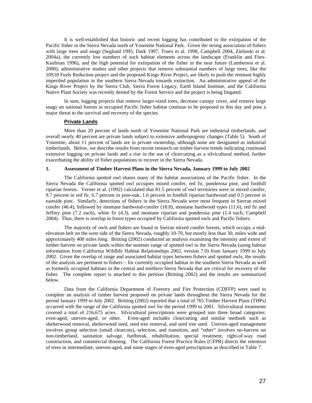It is well-established that historic and recent logging has contributed to the extirpation of the Pacific fisher in the Sierra Nevada north of Yosemite National Park. Given the strong association of fishers with large trees and snags (Seglund 1995, Dark 1997, Truex et al. 1998, Campbell 2004, Zielinski et al. 2004a), the currently low numbers of such habitat elements across the landscape (Franklin and Fites-Kaufman 1996), and the high potential for extirpation of the fisher in the near future (Lamberson et al. 2000), administrative studies and other projects that remove substantial numbers of large trees, like the 10S18 Fuels Reduction project and the proposed Kings River Project, are likely to push the remnant highly imperiled population in the southern Sierra Nevada towards extinction. An administrative appeal of the Kings River Project by the Sierra Club, Sierra Forest Legacy, Earth Island Institute, and the California Native Plant Society was recently denied by the Forest Service and the project is being litigated.

In sum, logging projects that remove larger-sized trees, decrease canopy cover, and remove large snags on national forests in occupied Pacific fisher habitat continue to be proposed to this day and pose a major threat to the survival and recovery of the species.

#### **Private Lands**

More than 20 percent of lands north of Yosemite National Park are industrial timberlands, and overall nearly 40 percent are private lands subject to extensive anthropogenic changes (Table 5). South of Yosemite, about 11 percent of lands are in private ownership, although none are designated as industrial timberlands. Below, we describe results from recent research on timber harvest trends indicating continued extensive logging on private lands and a rise in the use of clearcutting as a silvicultural method, further exacerbating the ability of fisher populations to recover in the Sierra Nevada.

#### **1. Assessment of Timber Harvest Plans in the Sierra Nevada, January 1999 to July 2002**

 The California spotted owl shares many of the habitat associations of the Pacific fisher. In the Sierra Nevada the California spotted owl occupies mixed conifer, red fir, ponderosa pine, and foothill riparian forests. Verner et al. (1992) calculated that 81.5 percent of owl territories were in mixed conifer, 9.7 percent in red fir, 6.7 percent in pine-oak, 1.6 percent in foothill riparian hardwood and 0.5 percent in eastside pine. Similarly, detections of fishers in the Sierra Nevada were most frequent in Sierran mixed conifer (46.4), followed by montane hardwood-conifer (18.8), montane hardwood types (11.6), red fir and Jeffrey pine (7.2 each), white fir (4.3), and montane riparian and ponderosa pine (1.4 each; Campbell 2004). Thus, there is overlap in forest types occupied by California spotted owls and Pacific fishers.

 The majority of owls and fishers are found in Sierran mixed conifer forests, which occupy a midelevation belt on the west side of the Sierra Nevada, roughly 10-70, but mostly less than 30, miles wide and approximately 400 miles long. Britting (2002) conducted an analysis examining the intensity and extent of timber harvest on private lands within the summer range of spotted owl in the Sierra Nevada (using habitat information from California Wildlife Habitat Relationships 2002, version 7.0) from January 1999 to July 2002. Given the overlap of range and associated habitat types between fishers and spotted owls, the results of the analysis are pertinent to fishers – for currently occupied habitat in the southern Sierra Nevada as well as formerly occupied habitats in the central and northern Sierra Nevada that are critical for recovery of the fisher. The complete report is attached to this petition (Britting 2002) and the results are summarized below.

 Data from the California Department of Forestry and Fire Protection (CDFFP) were used to complete an analysis of timber harvest proposed on private lands throughout the Sierra Nevada for the period January 1999 to July 2002. Britting (2002) reported that a total of 765 Timber Harvest Plans (THPs) occurred with the range of the California spotted owl for the period 1999 to 2001. Silvicultural treatments covered a total of 216,675 acres. Silvicultural prescriptions were grouped into three broad categories: even-aged, uneven-aged, or other. Even-aged includes clearcutting and similar methods such as shelterwood removal, shelterwood seed, seed tree removal, and seed tree seed. Uneven-aged management involves group selection (small clearcuts), selection, and transition, and "other" involves no-harvest on non-timberland, sanitation salvage, fuelbreak, rehabilitation, special treatment, right-of-way road construction, and commercial thinning. The California Forest Practice Rules (CFPR) directs the retention of trees in intermediate, uneven-aged, and some stages of even-aged prescriptions as described in Table 7.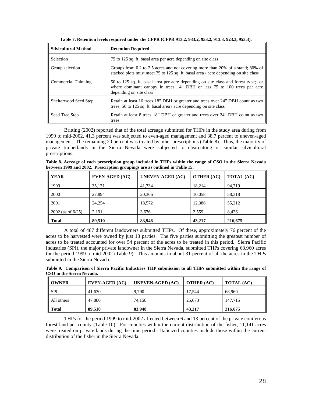| <b>Silvicultural Method</b> | <b>Retention Required</b>                                                                                                                                                               |
|-----------------------------|-----------------------------------------------------------------------------------------------------------------------------------------------------------------------------------------|
| <b>Selection</b>            | 75 to 125 sq. ft. basal area per acre depending on site class                                                                                                                           |
| Group selection             | Groups from 0.2 to 2.5 acres and not covering more than 20% of a stand; 80% of<br>stacked plots must meet 75 to 125 sq. ft. basal area / acre depending on site class                   |
| Commercial Thinning         | 50 to 125 sq. ft. basal area per acre depending on site class and forest type; or<br>where dominant canopy in trees 14" DBH or less 75 to 100 trees per acre<br>depending on site class |
| Shelterwood Seed Step       | Retain at least 16 trees 18" DBH or greater and trees over 24" DBH count as two<br>trees; 50 to 125 sq. ft. basal area / acre depending on site class                                   |
| Seed Tree Step              | Retain at least 8 trees 18" DBH or greater and trees over 24" DBH count as two<br>trees                                                                                                 |

**Table 7. Retention levels required under the CFPR (CFPR 913.2, 933.2, 953.2, 913.3, 923.3, 953.3).** 

 Britting (2002) reported that of the total acreage submitted for THPs in the study area during from 1999 to mid-2002, 41.3 percent was subjected to even-aged management and 38.7 percent to uneven-aged management. The remaining 20 percent was treated by other prescriptions (Table 8). Thus, the majority of private timberlands in the Sierra Nevada were subjected to clearcutting or similar silvicultural prescriptions.

**Table 8. Acreage of each prescription group included in THPs within the range of CSO in the Sierra Nevada between 1999 and 2002. Prescription groupings are as outlined in Table 15.** 

| <b>YEAR</b>         | <b>EVEN-AGED (AC)</b> | <b>UNEVEN-AGED (AC)</b> | <b>OTHER (AC)</b> | <b>TOTAL (AC)</b> |
|---------------------|-----------------------|-------------------------|-------------------|-------------------|
| 1999                | 35,171                | 41.334                  | 18.214            | 94,719            |
| 2000                | 27,894                | 20,366                  | 10,058            | 58,318            |
| 2001                | 24.254                | 18,572                  | 12,386            | 55,212            |
| $2002$ (as of 6/25) | 2,191                 | 3,676                   | 2,559             | 8.426             |
| <b>Total</b>        | 89.510                | 83,948                  | 43.217            | 216,675           |

 A total of 487 different landowners submitted THPs. Of these, approximately 76 percent of the acres to be harvested were owned by just 13 parties. The five parties submitting the greatest number of acres to be treated accounted for over 54 percent of the acres to be treated in this period. Sierra Pacific Industries (SPI), the major private landowner in the Sierra Nevada, submitted THPs covering 68,960 acres for the period 1999 to mid-2002 (Table 9). This amounts to about 31 percent of all the acres in the THPs submitted in the Sierra Nevada.

**Table 9. Comparison of Sierra Pacific Industries THP submission to all THPs submitted within the range of CSO in the Sierra Nevada.** 

| <b>OWNER</b> | EVEN-AGED (AC) | UNEVEN-AGED (AC) | <b>OTHER (AC)</b> | <b>TOTAL (AC)</b> |
|--------------|----------------|------------------|-------------------|-------------------|
| - SPI        | 41,630         | 9.790            | 17,544            | 68,960            |
| All others   | 47,880         | 74.158           | 25,673            | 147.715           |
| Total        | 89.510         | 83,948           | 43.217            | 216,675           |

 THPs for the period 1999 to mid-2002 affected between 6 and 13 percent of the private coniferous forest land per county (Table 10). For counties within the current distribution of the fisher, 11,141 acres were treated on private lands during the time period. Italicized counties include those within the current distribution of the fisher in the Sierra Nevada.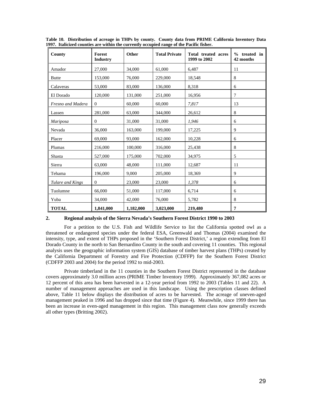| County            | Forest<br><b>Industry</b> | Other     | <b>Total Private</b> | Total treated acres<br>1999 to 2002 | $%$ treated in<br>42 months |
|-------------------|---------------------------|-----------|----------------------|-------------------------------------|-----------------------------|
| Amador            | 27,000                    | 34,000    | 61,000               | 6,487                               | 11                          |
| <b>Butte</b>      | 153,000                   | 76,000    | 229,000              | 18,548                              | 8                           |
| Calaveras         | 53,000                    | 83,000    | 136,000              | 8,318                               | 6                           |
| El Dorado         | 120,000                   | 131,000   | 251,000              | 16,956                              | 7                           |
| Fresno and Madera | $\theta$                  | 60,000    | 60,000               | 7,817                               | 13                          |
| Lassen            | 281,000                   | 63,000    | 344,000              | 26,612                              | 8                           |
| Mariposa          | $\theta$                  | 31,000    | 31,000               | 1,946                               | 6                           |
| Nevada            | 36,000                    | 163,000   | 199,000              | 17,225                              | 9                           |
| Placer            | 69,000                    | 93,000    | 162,000              | 10,228                              | 6                           |
| Plumas            | 216,000                   | 100,000   | 316,000              | 25,438                              | 8                           |
| Shasta            | 527,000                   | 175,000   | 702,000              | 34,975                              | 5                           |
| Sierra            | 63,000                    | 48,000    | 111,000              | 12,687                              | 11                          |
| Tehama            | 196,000                   | 9,000     | 205,000              | 18,369                              | 9                           |
| Tulare and Kings  | $\boldsymbol{0}$          | 23,000    | 23,000               | 1,378                               | 6                           |
| Tuolumne          | 66,000                    | 51,000    | 117,000              | 6,714                               | 6                           |
| Yuba              | 34,000                    | 42,000    | 76,000               | 5,782                               | 8                           |
| <b>TOTAL</b>      | 1,841,000                 | 1,182,000 | 3,023,000            | 219,480                             | 7                           |

**Table 10. Distribution of acreage in THPs by county. County data from PRIME California Inventory Data 1997. Italicized counties are within the currently occupied range of the Pacific fisher.** 

#### **2. Regional analysis of the Sierra Nevada's Southern Forest District 1990 to 2003**

 For a petition to the U.S. Fish and Wildlife Service to list the California spotted owl as a threatened or endangered species under the federal ESA, Greenwald and Thomas (2004) examined the intensity, type, and extent of THPs proposed in the 'Southern Forest District,' a region extending from El Dorado County in the north to San Bernardino County in the south and covering 11 counties. This regional analysis uses the geographic information system (GIS) database of timber harvest plans (THPs) created by the California Department of Forestry and Fire Protection (CDFFP) for the Southern Forest District (CDFFP 2003 and 2004) for the period 1992 to mid-2003.

 Private timberland in the 11 counties in the Southern Forest District represented in the database covers approximately 3.0 million acres (PRIME Timber Inventory 1999). Approximately 367,082 acres or 12 percent of this area has been harvested in a 12-year period from 1992 to 2003 (Tables 11 and 22). A number of management approaches are used in this landscape. Using the prescription classes defined above, Table 11 below displays the distribution of acres to be harvested. The acreage of uneven-aged management peaked in 1996 and has dropped since that time (Figure 4). Meanwhile, since 1999 there has been an increase in even-aged management in this region. This management class now generally exceeds all other types (Britting 2002).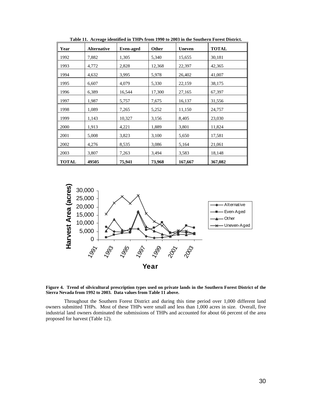| Year         | <b>Alternative</b> | <b>Even-aged</b> | Other  | <b>Uneven</b> | <b>TOTAL</b> |
|--------------|--------------------|------------------|--------|---------------|--------------|
| 1992         | 7,882              | 1,305            | 5,340  | 15,655        | 30,181       |
| 1993         | 4,772              | 2,828            | 12,368 | 22,397        | 42,365       |
| 1994         | 4,632              | 3,995            | 5,978  | 26,402        | 41,007       |
| 1995         | 6,607              | 4,079            | 5,330  | 22,159        | 38,175       |
| 1996         | 6,389              | 16,544           | 17,300 | 27,165        | 67,397       |
| 1997         | 1,987              | 5,757            | 7,675  | 16,137        | 31,556       |
| 1998         | 1,089              | 7,265            | 5,252  | 11,150        | 24,757       |
| 1999         | 1,143              | 10,327           | 3,156  | 8,405         | 23,030       |
| 2000         | 1,913              | 4,221            | 1,889  | 3,801         | 11,824       |
| 2001         | 5,008              | 3,823            | 3,100  | 5,650         | 17,581       |
| 2002         | 4,276              | 8,535            | 3,086  | 5,164         | 21,061       |
| 2003         | 3,807              | 7,263            | 3,494  | 3,583         | 18,148       |
| <b>TOTAL</b> | 49505              | 75,941           | 73,968 | 167,667       | 367,082      |

**Table 11. Acreage identified in THPs from 1990 to 2003 in the Southern Forest District.** 



**Figure 4. Trend of silvicultural prescription types used on private lands in the Southern Forest District of the Sierra Nevada from 1992 to 2003. Data values from Table 11 above.** 

 Throughout the Southern Forest District and during this time period over 1,000 different land owners submitted THPs. Most of these THPs were small and less than 1,000 acres in size. Overall, five industrial land owners dominated the submissions of THPs and accounted for about 66 percent of the area proposed for harvest (Table 12).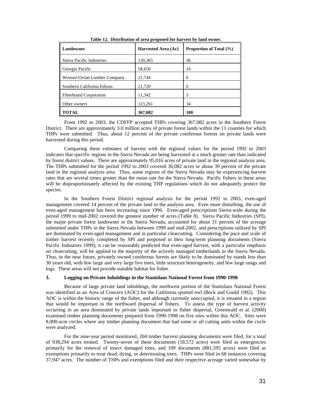| Landowner                     | Harvested Area (Ac) | <b>Proportion of Total (%)</b> |  |  |  |
|-------------------------------|---------------------|--------------------------------|--|--|--|
| Sierra Pacific Industries     | 130,365             | 36                             |  |  |  |
| Georgia Pacific               | 58,650              | 16                             |  |  |  |
| Westsel-Oviatt Lumber Company | 21,744              | 6                              |  |  |  |
| Southern California Edison    | 21,720              | 6                              |  |  |  |
| <b>Fiberboard Corporation</b> | 11,342              | 3                              |  |  |  |
| Other owners                  | 123,261             | 34                             |  |  |  |
| <b>TOTAL</b>                  | 367,082             | 100                            |  |  |  |

**Table 12. Distribution of area proposed for harvest by land owner.** 

 From 1992 to 2003, the CDFFP accepted THPs covering 367,082 acres in the Southern Forest District. There are approximately 3.0 million acres of private forest lands within the 11 counties for which THPs were submitted. Thus, about 12 percent of the private coniferous forests on private lands were harvested during this period.

 Comparing these estimates of harvest with the regional values for the period 1992 to 2003 indicates that specific regions in the Sierra Nevada are being harvested at a much greater rate than indicated by forest district values. There are approximately 95,016 acres of private land in the regional analysis area. The THPs submitted for the period 1992 to 2003 covered 36,082 acres or about 39 percent of the private land in the regional analysis area. Thus, some regions of the Sierra Nevada may be experiencing harvest rates that are several times greater than the mean rate for the Sierra Nevada. Pacific fishers in these areas will be disproportionately affected by the existing THP regulations which do not adequately protect the species.

 In the Southern Forest District regional analysis for the period 1992 to 2003, even-aged management covered 14 percent of the private land in the analysis area. Even more disturbing, the use of even-aged management has been increasing since 1996. Even-aged prescriptions Sierra-wide during the period 1999 to mid-2002 covered the greatest number of acres (Table 8). Sierra Pacific Industries (SPI), the major private forest landowner in the Sierra Nevada, accounted for about 31 percent of the acreage submitted under THPs in the Sierra Nevada between 1999 and mid-2002, and prescriptions utilized by SPI are dominated by even-aged management and in particular clearcutting. Considering the pace and scale of timber harvest recently completed by SPI and proposed in their long-term planning documents (Sierra Pacific Industries 1999), it can be reasonably predicted that even-aged harvest, with a particular emphasis on clearcutting, will be applied to the majority of the actively managed timberlands in the Sierra Nevada. Thus, in the near future, privately owned coniferous forests are likely to be dominated by stands less than 30 years old, with few large and very large live trees, little structure heterogeneity, and few large snags and logs. These areas will not provide suitable habitat for fisher.

#### **3. Logging on Private Inholdings in the Stanislaus National Forest from 1990-1998**

 Because of large private land inholdings, the northwest portion of the Stanislaus National Forest was identified as an Area of Concern (AOC) for the California spotted owl (Beck and Gould 1992). This AOC is within the historic range of the fisher, and although currently unoccupied, it is situated in a region that would be important to the northward dispersal of fishers. To assess the type of harvest activity occurring in an area dominated by private lands important to fisher dispersal, Greenwald et al. (2000) examined timber planning documents prepared from 1990-1998 on five sites within this AOC. Sites were 8,000-acre circles where any timber planning document that had some or all cutting units within the circle were analyzed.

 For the nine-year period monitored, 204 timber harvest planning documents were filed, for a total of 938,294 acres treated. Twenty-seven of these documents (18,572 acres) were filed as emergencies primarily for the removal of insect damaged trees, and 109 documents (881,595 acres) were filed as exemptions primarily to treat dead, dying, or deteriorating trees. THPs were filed in 68 instances covering 37,947 acres. The number of THPs and exemptions filed and their respective acreage varied somewhat by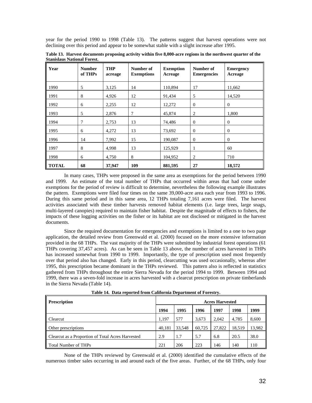year for the period 1990 to 1998 (Table 13). The patterns suggest that harvest operations were not declining over this period and appear to be somewhat stable with a slight increase after 1995.

| Year         | <b>Number</b><br>of THPs | <b>THP</b><br>acreage | Number of<br><b>Exemptions</b> | <b>Exemption</b><br>Acreage | Number of<br><b>Emergencies</b> | <b>Emergency</b><br>Acreage |  |
|--------------|--------------------------|-----------------------|--------------------------------|-----------------------------|---------------------------------|-----------------------------|--|
| 1990         | 5                        | 3,125                 | 14                             | 110,894                     | 17                              | 11,662                      |  |
| 1991         | 8                        | 4,926                 | 12                             | 91,434                      | 5                               | 14,520                      |  |
| 1992         | 6                        | 2,255                 | 12                             | 12,272                      | $\theta$                        | $\overline{0}$              |  |
| 1993         | 5                        | 2,876                 | 7                              | 45,874                      | 2                               | 1,800                       |  |
| 1994         | 7                        | 2,753                 | 13                             | 74,486                      | $\overline{0}$                  | $\overline{0}$              |  |
| 1995         | 6                        | 4,272                 | 13                             | 73,692                      | $\theta$                        | $\overline{0}$              |  |
| 1996         | 14                       | 7,992                 | 15                             | 190,087                     | $\mathbf{0}$                    | $\overline{0}$              |  |
| 1997         | 8                        | 4,998                 | 13                             | 125,929                     | 1                               | 60                          |  |
| 1998         | 6                        | 4,750                 | 8                              | 104,952                     | $\overline{2}$                  | 710                         |  |
| <b>TOTAL</b> | 68                       | 37,947                | 109                            | 881,595                     | 27                              | 18,572                      |  |

**Table 13. Harvest documents proposing activity within five 8,000-acre regions in the northwest quarter of the Stanislaus National Forest.** 

In many cases, THPs were proposed in the same area as exemptions for the period between 1990 and 1999. An estimate of the total number of THPs that occurred within areas that had come under exemptions for the period of review is difficult to determine, nevertheless the following example illustrates the pattern. Exemptions were filed four times on the same 39,000-acre area each year from 1993 to 1996. During this same period and in this same area, 12 THPs totaling 7,161 acres were filed. The harvest activities associated with these timber harvests removed habitat elements (i.e. large trees, large snags, multi-layered canopies) required to maintain fisher habitat. Despite the magnitude of effects to fishers, the impacts of these logging activities on the fisher or its habitat are not disclosed or mitigated in the harvest documents.

Since the required documentation for emergencies and exemptions is limited to a one to two page application, the detailed review from Greenwald et al. (2000) focused on the more extensive information provided in the 68 THPs. The vast majority of the THPs were submitted by industrial forest operations (61 THPs covering 37,457 acres). As can be seen in Table 13 above, the number of acres harvested in THPs has increased somewhat from 1990 to 1999. Importantly, the type of prescription used most frequently over that period also has changed. Early in this period, clearcutting was used occasionally, whereas after 1995, this prescription became dominant in the THPs reviewed. This pattern also is reflected in statistics gathered from THPs throughout the entire Sierra Nevada for the period 1994 to 1999. Between 1994 and 1999, there was a seven-fold increase in acres harvested with a clearcut prescription on private timberlands in the Sierra Nevada (Table 14).

**Table 14. Data reported from California Department of Forestry.** 

| <b>Prescription</b>                               | <b>Acres Harvested</b> |        |        |        |        |        |  |
|---------------------------------------------------|------------------------|--------|--------|--------|--------|--------|--|
|                                                   | 1994                   | 1995   | 1996   | 1997   | 1998   | 1999   |  |
| Clearcut                                          | 1.197                  | 577    | 3.673  | 2.042  | 4.785  | 8,600  |  |
| <b>Other prescriptions</b>                        | 40.181                 | 33.548 | 60.725 | 27,822 | 18.519 | 13,982 |  |
| Clearcut as a Proportion of Total Acres Harvested | 2.9                    | 1.7    | 5.7    | 6.8    | 20.5   | 38.0   |  |
| ll Total Number of THPs                           | 221                    | 206    | 223    | 146    | 140    | 110    |  |

None of the THPs reviewed by Greenwald et al. (2000) identified the cumulative effects of the numerous timber sales occurring in and around each of the five areas. Further, of the 68 THPs, only four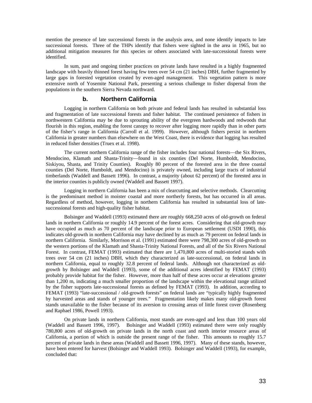mention the presence of late successional forests in the analysis area, and none identify impacts to late successional forests. Three of the THPs identify that fishers were sighted in the area in 1965, but no additional mitigation measures for this species or others associated with late-successional forests were identified.

In sum, past and ongoing timber practices on private lands have resulted in a highly fragmented landscape with heavily thinned forest having few trees over 54 cm (21 inches) DBH, further fragmented by large gaps in forested vegetation created by even-aged management. This vegetation pattern is more extensive north of Yosemite National Park, presenting a serious challenge to fisher dispersal from the populations in the southern Sierra Nevada northward.

#### **b. Northern California**

Logging in northern California on both private and federal lands has resulted in substantial loss and fragmentation of late successional forests and fisher habitat. The continued persistence of fishers in northwestern California may be due to sprouting ability of the evergreen hardwoods and redwoods that flourish in this region, enabling the forest canopy to recover after logging more rapidly than in other parts of the fisher's range in California (Carroll et al. 1999). However, although fishers persist in northern California in greater numbers than elsewhere on the West Coast, there is evidence that logging has resulted in reduced fisher densities (Truex et al. 1998).

The current northern California range of the fisher includes four national forests—the Six Rivers, Mendocino, Klamath and Shasta-Trinity—found in six counties (Del Norte, Humboldt, Mendocino, Siskiyou, Shasta, and Trinity Counties). Roughly 80 percent of the forested area in the three coastal counties (Del Norte, Humboldt, and Mendocino) is privately owned, including large tracts of industrial timberlands (Waddell and Bassett 1996). In contrast, a majority (about 62 percent) of the forested area in the interior counties is publicly owned (Waddell and Bassett 1997).

Logging in northern California has been a mix of clearcutting and selective methods. Clearcutting is the predominant method in moister coastal and more northerly forests, but has occurred in all areas. Regardless of method, however, logging in northern California has resulted in substantial loss of latesuccessional forests and high-quality fisher habitat.

Bolsinger and Waddell (1993) estimated there are roughly 668,250 acres of old-growth on federal lands in northern California or roughly 14.9 percent of the forest acres. Considering that old-growth may have occupied as much as 70 percent of the landscape prior to European settlement (USDI 1990), this indicates old-growth in northern California may have declined by as much as 79 percent on federal lands in northern California. Similarly, Morrison et al. (1991) estimated there were 798,300 acres of old-growth on the western portions of the Klamath and Shasta-Trinity National Forests, and all of the Six Rivers National Forest. In contrast, FEMAT (1993) estimated that there are 1,470,800 acres of multi-storied stands with trees over 54 cm (21 inches) DBH, which they characterized as late-successional, on federal lands in northern California, equal to roughly 32.8 percent of federal lands. Although not characterized as oldgrowth by Bolsinger and Waddell (1993), some of the additional acres identified by FEMAT (1993) probably provide habitat for the fisher. However, more than half of these acres occur at elevations greater than 1,200 m, indicating a much smaller proportion of the landscape within the elevational range utilized by the fisher supports late-successional forests as defined by FEMAT (1993). In addition, according to FEMAT (1993) "late-successional / old-growth forests" on federal lands are "typically highly fragmented by harvested areas and stands of younger trees." Fragmentation likely makes many old-growth forest stands unavailable to the fisher because of its aversion to crossing areas of little forest cover (Rosenberg and Raphael 1986, Powell 1993).

On private lands in northern California, most stands are even-aged and less than 100 years old (Waddell and Bassett 1996, 1997). Bolsinger and Waddell (1993) estimated there were only roughly 780,800 acres of old-growth on private lands in the north coast and north interior resource areas of California, a portion of which is outside the present range of the fisher. This amounts to roughly 15.7 percent of private lands in these areas (Waddell and Bassett 1996, 1997). Many of these stands, however, have been entered for harvest (Bolsinger and Waddell 1993). Bolsinger and Waddell (1993), for example, concluded that: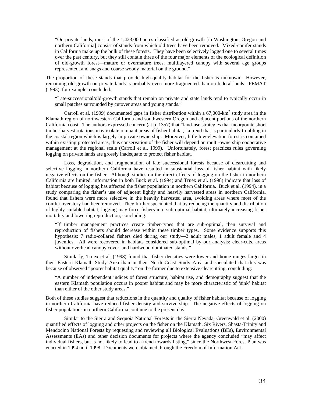"On private lands, most of the 1,423,000 acres classified as old-growth [in Washington, Oregon and northern California] consist of stands from which old trees have been removed. Mixed-conifer stands in California make up the bulk of these forests. They have been selectively logged one to several times over the past century, but they still contain three of the four major elements of the ecological definition of old-growth forest—mature or overmature trees, multilayered canopy with several age groups represented, and snags and coarse woody material on the ground."

The proportion of these stands that provide high-quality habitat for the fisher is unknown. However, remaining old-growth on private lands is probably even more fragmented than on federal lands. FEMAT (1993), for example, concluded:

"Late-successional/old-growth stands that remain on private and state lands tend to typically occur in small patches surrounded by cutover areas and young stands."

Carroll et al. (1999) documented gaps in fisher distribution within a  $67,000$ -km<sup>2</sup> study area in the Klamath region of northwestern California and southwestern Oregon and adjacent portions of the northern California coast. The authors expressed concern (at p. 1357) that "land-use strategies that incorporate short timber harvest rotations may isolate remnant areas of fisher habitat," a trend that is particularly troubling in the coastal region which is largely in private ownership. Moreover, little low-elevation forest is contained within existing protected areas, thus conservation of the fisher will depend on multi-ownership cooperative management at the regional scale (Carroll et al. 1999). Unfortunately, forest practices rules governing logging on private lands are grossly inadequate to protect fisher habitat.

Loss, degradation, and fragmentation of late successional forests because of clearcutting and selective logging in northern California have resulted in substantial loss of fisher habitat with likely negative effects on the fisher. Although studies on the direct effects of logging on the fisher in northern California are limited, information in both Buck et al. (1994) and Truex et al. (1998) indicate that loss of habitat because of logging has affected the fisher population in northern California. Buck et al. (1994), in a study comparing the fisher's use of adjacent lightly and heavily harvested areas in northern California, found that fishers were more selective in the heavily harvested area, avoiding areas where most of the conifer overstory had been removed. They further speculated that by reducing the quantity and distribution of highly suitable habitat, logging may force fishers into sub-optimal habitat, ultimately increasing fisher mortality and lowering reproduction, concluding:

"If timber management practices create timber-types that are sub-optimal, then survival and reproduction of fishers should decrease within these timber types. Some evidence supports this hypothesis: 7 radio-collared fishers died during our study—2 adult males, 1 adult female and 4 juveniles. All were recovered in habitats considered sub-optimal by our analysis: clear-cuts, areas without overhead canopy cover, and hardwood dominated stands."

Similarly, Truex et al. (1998) found that fisher densities were lower and home ranges larger in their Eastern Klamath Study Area than in their North Coast Study Area and speculated that this was because of observed "poorer habitat quality" on the former due to extensive clearcutting, concluding:

"A number of independent indices of forest structure, habitat use, and demography suggest that the eastern Klamath population occurs in poorer habitat and may be more characteristic of 'sink' habitat than either of the other study areas."

Both of these studies suggest that reductions in the quantity and quality of fisher habitat because of logging in northern California have reduced fisher density and survivorship. The negative effects of logging on fisher populations in northern California continue to the present day.

Similar to the Sierra and Sequoia National Forests in the Sierra Nevada, Greenwald et al. (2000) quantified effects of logging and other projects on the fisher on the Klamath, Six Rivers, Shasta-Trinity and Mendocino National Forests by requesting and reviewing all Biological Evaluations (BEs), Environmental Assessments (EAs) and other decision documents for projects where the agency concluded "may affect individual fishers, but is not likely to lead to a trend towards listing," since the Northwest Forest Plan was enacted in 1994 until 1998. Documents were obtained through the Freedom of Information Act.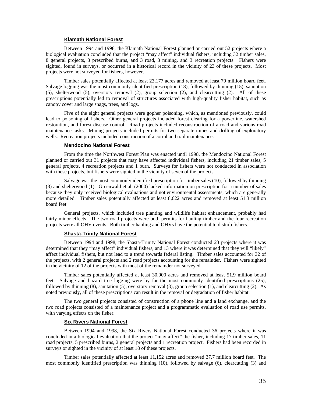### **Klamath National Forest**

Between 1994 and 1998, the Klamath National Forest planned or carried out 52 projects where a biological evaluation concluded that the project "may affect" individual fishers, including 32 timber sales, 8 general projects, 3 prescribed burns, and 3 road, 3 mining, and 3 recreation projects. Fishers were sighted, found in surveys, or occurred in a historical record in the vicinity of 23 of these projects. Most projects were not surveyed for fishers, however.

Timber sales potentially affected at least 23,177 acres and removed at least 70 million board feet. Salvage logging was the most commonly identified prescription (18), followed by thinning (15), sanitation (5), shelterwood (5), overstory removal (2), group selection (2), and clearcutting (2). All of these prescriptions potentially led to removal of structures associated with high-quality fisher habitat, such as canopy cover and large snags, trees, and logs.

Five of the eight general projects were gopher poisoning, which, as mentioned previously, could lead to poisoning of fishers. Other general projects included forest clearing for a powerline, watershed restoration, and forest disease control. Road projects included reconstruction of a road and various road maintenance tasks. Mining projects included permits for two separate mines and drilling of exploratory wells. Recreation projects included construction of a corral and trail maintenance.

#### **Mendocino National Forest**

From the time the Northwest Forest Plan was enacted until 1998, the Mendocino National Forest planned or carried out 31 projects that may have affected individual fishers, including 21 timber sales, 5 general projects, 4 recreation projects and 1 burn. Surveys for fishers were not conducted in association with these projects, but fishers were sighted in the vicinity of seven of the projects.

Salvage was the most commonly identified prescription for timber sales (10), followed by thinning (3) and shelterwood (1). Greenwald et al. (2000) lacked information on prescription for a number of sales because they only received biological evaluations and not environmental assessments, which are generally more detailed. Timber sales potentially affected at least 8,622 acres and removed at least 51.3 million board feet.

General projects, which included tree planting and wildlife habitat enhancement, probably had fairly minor effects. The two road projects were both permits for hauling timber and the four recreation projects were all OHV events. Both timber hauling and OHVs have the potential to disturb fishers.

#### **Shasta-Trinity National Forest**

Between 1994 and 1998, the Shasta-Trinity National Forest conducted 23 projects where it was determined that they "may affect" individual fishers, and 13 where it was determined that they will "likely" affect individual fishers, but not lead to a trend towards federal listing. Timber sales accounted for 32 of the projects, with 2 general projects and 2 road projects accounting for the remainder. Fishers were sighted in the vicinity of 12 of the projects with most of the remainder not surveyed.

Timber sales potentially affected at least 30,900 acres and removed at least 51.9 million board feet. Salvage and hazard tree logging were by far the most commonly identified prescriptions (25), followed by thinning (8), sanitation (5), overstory removal (3), group selection (1), and clearcutting (2). As noted previously, all of these prescriptions can result in the removal or degradation of fisher habitat.

The two general projects consisted of construction of a phone line and a land exchange, and the two road projects consisted of a maintenance project and a programmatic evaluation of road use permits, with varying effects on the fisher.

#### **Six Rivers National Forest**

Between 1994 and 1998, the Six Rivers National Forest conducted 36 projects where it was concluded in a biological evaluation that the project "may affect" the fisher, including 17 timber sales, 11 road projects, 5 prescribed burns, 2 general projects and 1 recreation project. Fishers had been recorded in surveys or sighted in the vicinity of at least 18 of these projects.

Timber sales potentially affected at least 11,152 acres and removed 37.7 million board feet. The most commonly identified prescription was thinning (10), followed by salvage (6), clearcutting (3) and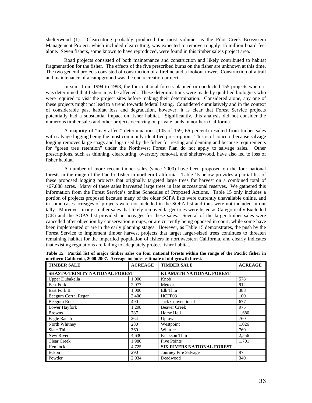shelterwood (1). Clearcutting probably produced the most volume, as the Pilot Creek Ecosystem Management Project, which included clearcutting, was expected to remove roughly 15 million board feet alone. Seven fishers, some known to have reproduced, were found in this timber sale's project area.

Road projects consisted of both maintenance and construction and likely contributed to habitat fragmentation for the fisher. The effects of the five prescribed burns on the fisher are unknown at this time. The two general projects consisted of construction of a fireline and a lookout tower. Construction of a trail and maintenance of a campground was the one recreation project.

In sum, from 1994 to 1998, the four national forests planned or conducted 155 projects where it was determined that fishers may be affected. These determinations were made by qualified biologists who were required to visit the project sites before making their determination. Considered alone, any one of these projects might not lead to a trend towards federal listing. Considered cumulatively and in the context of considerable past habitat loss and degradation, however, it is clear that Forest Service projects potentially had a substantial impact on fisher habitat. Significantly, this analysis did not consider the numerous timber sales and other projects occurring on private lands in northern California.

A majority of "may affect" determinations (105 of 159; 66 percent) resulted from timber sales with salvage logging being the most commonly identified prescription. This is of concern because salvage logging removes large snags and logs used by the fisher for resting and denning and because requirements for "green tree retention" under the Northwest Forest Plan do not apply to salvage sales. Other prescriptions, such as thinning, clearcutting, overstory removal, and shelterwood, have also led to loss of fisher habitat.

A number of more recent timber sales (since 2000) have been proposed on the four national forests in the range of the Pacific fisher in northern California. Table 15 below provides a partial list of these proposed logging projects that originally targeted large trees for harvest on a combined total of >67,888 acres. Many of these sales harvested large trees in late successional reserves. We gathered this information from the Forest Service's online Schedules of Proposed Actions. Table 15 only includes a portion of projects proposed because many of the older SOPA lists were currently unavailable online, and in some cases acreages of projects were not included in the SOPA list and thus were not included in our tally. Moreover, many smaller sales that likely removed larger trees were listed as Categorically Excluded (CE) and the SOPA list provided no acreages for these sales. Several of the larger timber sales were cancelled after objection by conservation groups, or are currently being opposed in court, while some have been implemented or are in the early planning stages. However, as Table 15 demonstrates, the push by the Forest Service to implement timber harvest projects that target larger-sized trees continues to threaten remaining habitat for the imperiled population of fishers in northwestern California, and clearly indicates that existing regulations are failing to adequately protect fisher habitat.

| <b>TIMBER SALE</b>                    | <b>ACREAGE</b> | <b>TIMBER SALE</b>                | <b>ACREAGE</b> |  |
|---------------------------------------|----------------|-----------------------------------|----------------|--|
| <b>SHASTA-TRINITY NATIONAL FOREST</b> |                | <b>KLAMATH NATIONAL FOREST</b>    |                |  |
| Upper Dubakella                       | 1,000          | Knob                              | 578            |  |
| <b>East Fork</b>                      | 2,077          | Meteor                            | 912            |  |
| East Fork II                          | 1,000          | Elk Thin                          | 388            |  |
| Beegum Corral Regan                   | 2.400          | HCFP03                            | 100            |  |
| Beegum Rock                           | 490            | <b>Jack Conventional</b>          | 677            |  |
| Lower Hayfork                         | 1,298          | <b>Beaver Creek</b>               | 975            |  |
| <b>Browns</b>                         | 787            | Horse Heli                        | 1,680          |  |
| Eagle Ranch                           | 264            | Uptown                            | 760            |  |
| North Whitney                         | 280            | Westpoint                         | 1,026          |  |
| Slate Thin                            | 360            | Whittler                          | 760            |  |
| New River                             | 4,630          | Erickson Thin                     | 2,556          |  |
| <b>Clear Creek</b>                    | 1,980          | <b>Five Points</b>                | 1.701          |  |
| Hemlock                               | 4,725          | <b>SIX RIVERS NATIONAL FOREST</b> |                |  |
| Edson                                 | 290            | Journey Fire Salvage              | 97             |  |
| Powder                                | 2,934          | Deadwood                          | 340            |  |

**Table 15. Partial list of major timber sales on four national forests within the range of the Pacific fisher in northern California, 2000-2007. Acreage includes estimate of old-growth forest.**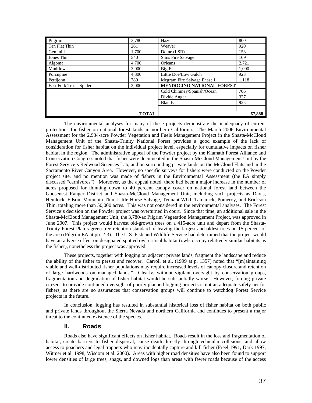| Pilgrim                | 3.780 | Hazel                       | 800    |
|------------------------|-------|-----------------------------|--------|
| Ten Flat Thin          | 261   | Weaver                      | 920    |
| Gemmill                | 1.700 | Dome (LSR)                  | 153    |
| Jones Thin             | 540   | Sims Fire Salvage           | 169    |
| Algoma                 | 4.700 | Orleans                     | 2,721  |
| Mudflow                | 3,000 | Big Flat                    | 1.000  |
| Porcupine              | 4,300 | Little Doe/Low Gulch        | 923    |
| Pettijohn              | 780   | Megram Fire Salvage Phase I | 1.118  |
| East Fork Texas Spider | 2.000 | MENDOCINO NATIONAL FOREST   |        |
|                        |       | Cold Chimney/Spanish/Ocean  | 706    |
|                        |       | Divide Auger                | 327    |
|                        |       | <b>Blands</b>               | 925    |
|                        |       |                             |        |
| <b>TOTAL</b>           |       |                             | 67,888 |

The environmental analyses for many of these projects demonstrate the inadequacy of current protections for fisher on national forest lands in northern California. The March 2006 Environmental Assessment for the 2,934-acre Powder Vegetation and Fuels Management Project in the Shasta-McCloud Management Unit of the Shasta-Trinity National Forest provides a good example of the lack of consideration for fisher habitat on the individual project level, especially for cumulative impacts on fisher habitat in the region. The administrative appeal of the Powder project by the Klamath Forest Alliance and Conservation Congress noted that fisher were documented in the Shasta-McCloud Management Unit by the Forest Service's Redwood Sciences Lab, and on surrounding private lands on the McCloud Flats and in the Sacramento River Canyon Area. However, no specific surveys for fishers were conducted on the Powder project site, and no mention was made of fishers in the Environmental Assessment (the EA simply discussed "carnivores"). Moreover, as the appeal noted, there had been a major increase in the number of acres proposed for thinning down to 40 percent canopy cover on national forest land between the Goosenest Ranger District and Shasta-McCloud Management Unit, including such projects as Davis, Hemlock, Edson, Mountain Thin, Little Horse Salvage, Tennant WUI, Tamarack, Pomeroy, and Erickson Thin, totaling more than 50,000 acres. This was not considered in the environmental analyses. The Forest Service's decision on the Powder project was overturned in court. Since that time, an additional sale in the Shasta-McCloud Management Unit, the 3,780-ac Pilgrim Vegetation Management Project, was approved in June 2007. This project would harvest old-growth trees on a 415-acre unit and depart from the Shasta-Trinity Forest Plan's green-tree retention standard of leaving the largest and oldest trees on 15 percent of the area (Pilgrim EA at pp. 2-3). The U.S. Fish and Wildlife Service had determined that the project would have an adverse effect on designated spotted owl critical habitat (owls occupy relatively similar habitats as the fisher), nonetheless the project was approved.

These projects, together with logging on adjacent private lands, fragment the landscape and reduce the ability of the fisher to persist and recover. Carroll et al. (1999 at p. 1357) noted that "[m]aintaining viable and well-distributed fisher populations may require increased levels of canopy closure and retention of large hardwoods on managed lands." Clearly, without vigilant oversight by conservation groups, fragmentation and degradation of fisher habitat would be substantially worse. However, forcing private citizens to provide continued oversight of poorly planned logging projects is not an adequate safety net for fishers, as there are no assurances that conservation groups will continue to watchdog Forest Service projects in the future.

In conclusion, logging has resulted in substantial historical loss of fisher habitat on both public and private lands throughout the Sierra Nevada and northern California and continues to present a major threat to the continued existence of the species.

## **II. Roads**

Roads also have significant effects on fisher habitat. Roads result in the loss and fragmentation of habitat, create barriers to fisher dispersal, cause death directly through vehicular collisions, and allow access to poachers and legal trappers who may incidentally capture and kill fisher (Freel 1991, Dark 1997, Witmer et al. 1998, Wisdom et al. 2000). Areas with higher road densities have also been found to support lower densities of large trees, snags, and downed logs than areas with fewer roads because of the access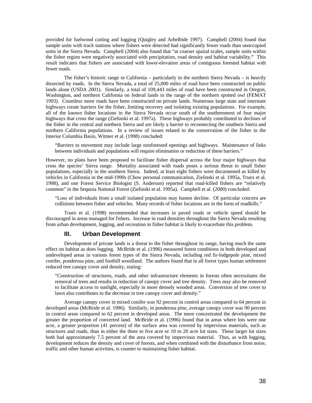provided for fuelwood cutting and logging (Quigley and Arbelbide 1997). Campbell (2004) found that sample units with track stations where fishers were detected had significantly fewer roads than unoccupied units in the Sierra Nevada. Campbell (2004) also found that "at coarser spatial scales, sample units within the fisher region were negatively associated with precipitation, road density and habitat variability." This result indicates that fishers are associated with lower-elevation areas of contiguous forested habitat with fewer roads.

The fisher's historic range in California – particularly in the northern Sierra Nevada – is heavily dissected by roads. In the Sierra Nevada, a total of 25,000 miles of road have been constructed on public lands alone (USDA 2001). Similarly, a total of 109,443 miles of road have been constructed in Oregon, Washington, and northern California on federal lands in the range of the northern spotted owl (FEMAT 1993). Countless more roads have been constructed on private lands. Numerous large state and interstate highways create barriers for the fisher, limiting recovery and isolating existing populations. For example, all of the known fisher locations in the Sierra Nevada occur south of the southernmost of four major highways that cross the range (Zielinski et al. 1997a). These highways probably contributed to declines of the fisher in the central and northern Sierra and are likely a barrier to reconnecting the southern Sierra and northern California populations. In a review of issues related to the conservation of the fisher in the Interior Columbia Basin, Witmer et al. (1998) concluded:

"Barriers to movement may include large nonforested openings and highways. Maintenance of links between individuals and populations will require elimination or reduction of these barriers."

However, no plans have been proposed to facilitate fisher dispersal across the four major highways that cross the species' Sierra range. Mortality associated with roads poses a serious threat to small fisher populations, especially in the southern Sierra. Indeed, at least eight fishers were documented as killed by vehicles in California in the mid-1990s (Chow personal communication, Zielinski et al. 1995a, Truex et al. 1998), and one Forest Service Biologist (S. Anderson) reported that road-killed fishers are "relatively common" in the Sequoia National Forest (Zielinski et al. 1995a). Campbell et al. (2000) concluded:

"Loss of individuals from a small isolated population may hasten decline. Of particular concern are collisions between fisher and vehicles. Many records of fisher locations are in the form of roadkills."

 Truex et al. (1998) recommended that increases in paved roads or vehicle speed should be discouraged in areas managed for fishers. Increase in road densities throughout the Sierra Nevada resulting from urban development, logging, and recreation in fisher habitat is likely to exacerbate this problem.

## **III. Urban Development**

Development of private lands is a threat to the fisher throughout its range, having much the same effect on habitat as does logging. McBride et al. (1996) measured forest conditions in both developed and undeveloped areas in various forest types of the Sierra Nevada, including red fir-lodgepole pine, mixed conifer, ponderosa pine, and foothill woodland. The authors found that in all forest types human settlement reduced tree canopy cover and density, stating:

"Construction of structures, roads, and other infrastructure elements in forests often necessitates the removal of trees and results in reduction of canopy cover and tree density. Trees may also be removed to facilitate access to sunlight, especially in more densely wooded areas. Conversion of tree cover to lawn also contributes to the decrease in tree canopy cover and density."

Average canopy cover in mixed conifer was 92 percent in control areas compared to 64 percent in developed areas (McBride et al. 1996). Similarly, in ponderosa pine, average canopy cover was 90 percent in control areas compared to 62 percent in developed areas. The more concentrated the development the greater the proportion of converted land. McBride et al. (1996) found that in areas where lots were one acre, a greater proportion (41 percent) of the surface area was covered by impervious materials, such as structures and roads, than in either the three to five acre or 10 to 20 acre lot sizes. These larger lot sizes both had approximately 7.5 percent of the area covered by impervious material. Thus, as with logging, development reduces the density and cover of forests, and when combined with the disturbance from noise, traffic and other human activities, is counter to maintaining fisher habitat.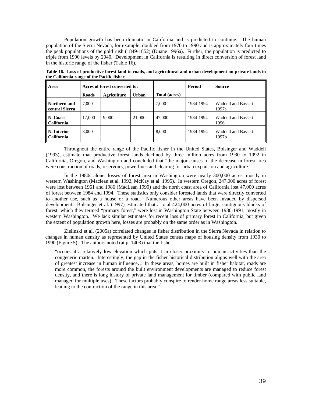Population growth has been dramatic in California and is predicted to continue. The human population of the Sierra Nevada, for example, doubled from 1970 to 1990 and is approximately four times the peak populations of the gold rush (1849-1852) (Duane 1996a). Further, the population is predicted to triple from 1990 levels by 2040. Development in California is resulting in direct conversion of forest land in the historic range of the fisher (Table 16).

| Area                           | Acres of forest converted to: |             |              | Period               | <b>Source</b> |                                     |
|--------------------------------|-------------------------------|-------------|--------------|----------------------|---------------|-------------------------------------|
|                                | <b>Roads</b>                  | Agriculture | <b>Urban</b> | <b>Total (acres)</b> |               |                                     |
| Northern and<br>central Sierra | 7,000                         |             |              | 7,000                | 1984-1994     | <b>Waddell and Bassett</b><br>1997a |
| N. Coast<br>   California      | 17,000                        | 9,000       | 21,000       | 47,000               | 1984-1994     | <b>Waddell and Bassett</b><br>1996  |
| N. Interior<br>   California   | 8,000                         |             |              | 8.000                | 1984-1994     | <b>Waddell and Bassett</b><br>1997b |

**Table 16. Loss of productive forest land to roads, and agricultural and urban development on private lands in the California range of the Pacific fisher.** 

Throughout the entire range of the Pacific fisher in the United States, Bolsinger and Waddell (1993), estimate that productive forest lands declined by three million acres from 1930 to 1992 in California, Oregon, and Washington and concluded that "the major causes of the decrease in forest area were construction of roads, reservoirs, powerlines and clearing for urban expansion and agriculture."

In the 1980s alone, losses of forest area in Washington were nearly 300,000 acres, mostly in western Washington (Maclean et al. 1992, McKay et al. 1995). In western Oregon, 247,000 acres of forest were lost between 1961 and 1986 (MacLean 1990) and the north coast area of California lost 47,000 acres of forest between 1984 and 1994. These statistics only consider forested lands that were directly converted to another use, such as a house or a road. Numerous other areas have been invaded by dispersed development. Bolsinger et al. (1997) estimated that a total 424,000 acres of large, contiguous blocks of forest, which they termed "primary forest," were lost in Washington State between 1980-1991, mostly in western Washington. We lack similar estimates for recent loss of primary forest in California, but given the extent of population growth here, losses are probably on the same order as in Washington.

Zielinski et al. (2005a) correlated changes in fisher distribution in the Sierra Nevada in relation to changes in human density as represented by United States census maps of housing density from 1930 to 1990 (Figure 5). The authors noted (at p. 1403) that the fisher:

"occurs at a relatively low elevation which puts it in closer proximity to human activities than the congeneric marten. Interestingly, the gap in the fisher historical distribution aligns well with the area of greatest increase in human influence… In these areas, homes are built in fisher habitat, roads are more common, the forests around the built environment developments are managed to reduce forest density, and there is long history of private land management for timber (compared with public land managed for multiple uses). These factors probably conspire to render home range areas less suitable, leading to the contraction of the range in this area."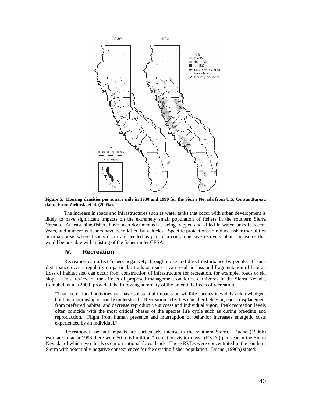

**Figure 5. Housing densities per square mile in 1930 and 1990 for the Sierra Nevada from U.S. Census Bureau data. From Zielinski et al. (2005a).** 

 The increase in roads and infrastructures such as water tanks that occur with urban development is likely to have significant impacts on the extremely small population of fishers in the southern Sierra Nevada. At least nine fishers have been documented as being trapped and killed in water tanks in recent years, and numerous fishers have been killed by vehicles. Specific protections to reduce fisher mortalities in urban areas where fishers occur are needed as part of a comprehensive recovery plan—measures that would be possible with a listing of the fisher under CESA.

# **IV. Recreation**

Recreation can affect fishers negatively through noise and direct disturbance by people. If such disturbance occurs regularly on particular trails or roads it can result in loss and fragmentation of habitat. Loss of habitat also can occur from construction of infrastructure for recreation, for example, roads or ski slopes. In a review of the effects of proposed management on forest carnivores in the Sierra Nevada, Campbell et al. (2000) provided the following summary of the potential effects of recreation:

"That recreational activities can have substantial impacts on wildlife species is widely acknowledged, but this relationship is poorly understood... Recreation activities can alter behavior, cause displacement from preferred habitat, and decrease reproductive success and individual vigor. Peak recreation levels often coincide with the most critical phases of the species life cycle such as during breeding and reproduction. Flight from human presence and interruption of behavior increases energetic costs experienced by an individual."

Recreational use and impacts are particularly intense in the southern Sierra. Duane (1996b) estimated that in 1996 there were 50 to 60 million "recreation visitor days" (RVDs) per year in the Sierra Nevada, of which two thirds occur on national forest lands. These RVDs were concentrated in the southern Sierra with potentially negative consequences for the existing fisher population. Duane (1996b) stated: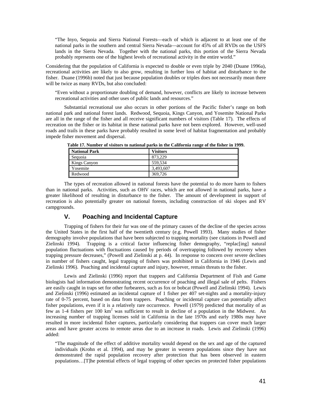"The Inyo, Sequoia and Sierra National Forests—each of which is adjacent to at least one of the national parks in the southern and central Sierra Nevada—account for 45% of all RVDs on the USFS lands in the Sierra Nevada. Together with the national parks, this portion of the Sierra Nevada probably represents one of the highest levels of recreational activity in the entire world."

Considering that the population of California is expected to double or even triple by 2040 (Duane 1996a), recreational activities are likely to also grow, resulting in further loss of habitat and disturbance to the fisher. Duane (1996b) noted that just because population doubles or triples does not necessarily mean there will be twice as many RVDs, but also concluded:

"Even without a proportionate doubling of demand, however, conflicts are likely to increase between recreational activities and other uses of public lands and resources."

Substantial recreational use also occurs in other portions of the Pacific fisher's range on both national park and national forest lands. Redwood, Sequoia, Kings Canyon, and Yosemite National Parks are all in the range of the fisher and all receive significant numbers of visitors (Table 17). The effects of recreation on the fisher or its habitat in these national parks have not been explored. However, well-used roads and trails in these parks have probably resulted in some level of habitat fragmentation and probably impede fisher movement and dispersal.

| National Park | <b>Visitors</b> |
|---------------|-----------------|
| Sequoia       | 873.229         |
| Kings Canyon  | 559.534         |
| Yosemite      | 3,493,607       |
| Redwood       | 369,726         |

**Table 17. Number of visitors to national parks in the California range of the fisher in 1999.** 

 The types of recreation allowed in national forests have the potential to do more harm to fishers than in national parks. Activities, such as OHV races, which are not allowed in national parks, have a greater likelihood of resulting in disturbance to the fisher. The amount of development in support of recreation is also potentially greater on national forests, including construction of ski slopes and RV campgrounds.

## **V. Poaching and Incidental Capture**

Trapping of fishers for their fur was one of the primary causes of the decline of the species across the United States in the first half of the twentieth century (e.g. Powell 1993). Many studies of fisher demography involve populations that have been subjected to trapping mortality (see citations in Powell and Zielinski 1994). Trapping is a critical factor influencing fisher demography, "replac[ing] natural population fluctuations with fluctuations caused by periods of overtrapping followed by recovery when trapping pressure decreases," (Powell and Zielinski at p. 44). In response to concern over severe declines in number of fishers caught, legal trapping of fishers was prohibited in California in 1946 (Lewis and Zielinski 1996). Poaching and incidental capture and injury, however, remain threats to the fisher.

Lewis and Zielinski (1996) report that trappers and California Department of Fish and Game biologists had information demonstrating recent occurrence of poaching and illegal sale of pelts. Fishers are easily caught in traps set for other furbearers, such as fox or bobcat (Powell and Zielinski 1994). Lewis and Zielinski (1996) estimated an incidental capture of 1 fisher per 407 set-nights and a mortality-injury rate of 0-75 percent, based on data from trappers. Poaching or incidental capture can potentially affect fisher populations, even if it is a relatively rare occurrence. Powell (1979) predicted that mortality of as few as 1-4 fishers per 100  $km^2$  was sufficient to result in decline of a population in the Midwest. An increasing number of trapping licenses sold in California in the late 1970s and early 1980s may have resulted in more incidental fisher captures, particularly considering that trappers can cover much larger areas and have greater access to remote areas due to an increase in roads. Lewis and Zielinski (1996) added:

"The magnitude of the effect of additive mortality would depend on the sex and age of the captured individuals (Krohn et al. 1994), and may be greater in western populations since they have not demonstrated the rapid population recovery after protection that has been observed in eastern populations…[T]he potential effects of legal trapping of other species on protected fisher populations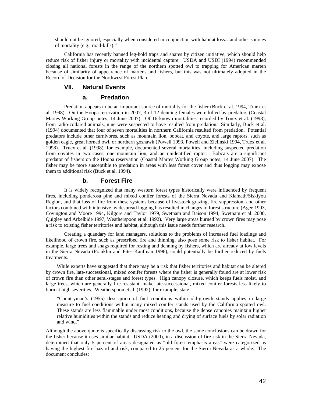should not be ignored, especially when considered in conjunction with habitat loss…and other sources of mortality (e.g., road-kills)."

California has recently banned leg-hold traps and snares by citizen initiative, which should help reduce risk of fisher injury or mortality with incidental capture. USDA and USDI (1994) recommended closing all national forests in the range of the northern spotted owl to trapping for American marten because of similarity of appearance of martens and fishers, but this was not ultimately adopted in the Record of Decision for the Northwest Forest Plan.

## **VII. Natural Events**

## **a. Predation**

Predation appears to be an important source of mortality for the fisher (Buck et al. 1994, Truex et al. 1998). On the Hoopa reservation in 2007, 3 of 12 denning females were killed by predators (Coastal Martes Working Group notes; 14 June 2007). Of 16 known mortalities recorded by Truex et al. (1998), from radio-collared animals, nine were suspected to have resulted from predation. Similarly, Buck et al. (1994) documented that four of seven mortalities in northern California resulted from predation. Potential predators include other carnivores, such as mountain lion, bobcat, and coyote, and large raptors, such as golden eagle, great horned owl, or northern goshawk (Powell 1993, Powell and Zielinski 1994, Truex et al. 1998). Truex et al. (1998), for example, documented several mortalities, including suspected predation from coyotes in two cases, one mountain lion, and an unidentified raptor. Bobcats are a significant predator of fishers on the Hoopa reservation (Coastal Martes Working Group notes; 14 June 2007). The fisher may be more susceptible to predation in areas with less forest cover and thus logging may expose them to additional risk (Buck et al. 1994).

### **b. Forest Fire**

It is widely recognized that many western forest types historically were influenced by frequent fires, including ponderosa pine and mixed conifer forests of the Sierra Nevada and Klamath/Siskiyou Region, and that loss of fire from these systems because of livestock grazing, fire suppression, and other factors combined with intensive, widespread logging has resulted in changes to forest structure (Agee 1993, Covington and Moore 1994, Kilgore and Taylor 1979, Swetnam and Baison 1994, Swetnam et al. 2000, Quigley and Arbelbide 1997, Weatherspoon et al. 1992). Very large areas burned by crown fires may pose a risk to existing fisher territories and habitat, although this issue needs further research.

Creating a quandary for land managers, solutions to the problems of increased fuel loadings and likelihood of crown fire, such as prescribed fire and thinning, also pose some risk to fisher habitat. For example, large trees and snags required for resting and denning by fishers, which are already at low levels in the Sierra Nevada (Franklin and Fites-Kaufman 1996), could potentially be further reduced by fuels treatments.

While experts have suggested that there may be a risk that fisher territories and habitat can be altered by crown fire, late-successional, mixed conifer forests where the fisher is generally found are at lower risk of crown fire than other seral-stages and forest types. High canopy closure, which keeps fuels moist, and large trees, which are generally fire resistant, make late-successional, mixed conifer forests less likely to burn at high severities. Weatherspoon et al. (1992), for example, state:

"Countryman's (1955) description of fuel conditions within old-growth stands applies in large measure to fuel conditions within many mixed conifer stands used by the California spotted owl. These stands are less flammable under most conditions, because the dense canopies maintain higher relative humidities within the stands and reduce heating and drying of surface fuels by solar radiation and wind."

Although the above quote is specifically discussing risk to the owl, the same conclusions can be drawn for the fisher because it uses similar habitat. USDA (2000), in a discussion of fire risk in the Sierra Nevada, determined that only 5 percent of areas designated as "old forest emphasis areas" were categorized as having the highest fire hazard and risk, compared to 25 percent for the Sierra Nevada as a whole. The document concludes: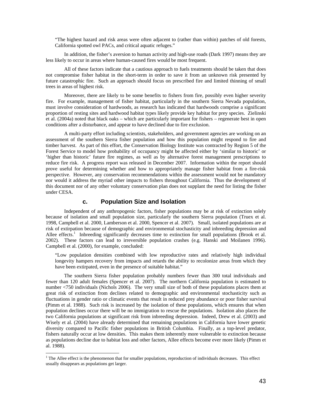"The highest hazard and risk areas were often adjacent to (rather than within) patches of old forests, California spotted owl PACs, and critical aquatic refuges."

In addition, the fisher's aversion to human activity and high-use roads (Dark 1997) means they are less likely to occur in areas where human-caused fires would be most frequent.

All of these factors indicate that a cautious approach to fuels treatments should be taken that does not compromise fisher habitat in the short-term in order to save it from an unknown risk presented by future catastrophic fire. Such an approach should focus on prescribed fire and limited thinning of small trees in areas of highest risk.

Moreover, there are likely to be some benefits to fishers from fire, possibly even higher severity fire. For example, management of fisher habitat, particularly in the southern Sierra Nevada population, must involve consideration of hardwoods, as research has indicated that hardwoods comprise a significant proportion of resting sites and hardwood habitat types likely provide key habitat for prey species. Zielinski et al. (2004a) noted that black oaks – which are particularly important for fishers – regenerate best in open conditions after a disturbance, and appear to have declined due to fire exclusion.

A multi-party effort including scientists, stakeholders, and government agencies are working on an assessment of the southern Sierra fisher population and how this population might respond to fire and timber harvest. As part of this effort, the Conservation Biology Institute was contracted by Region 5 of the Forest Service to model how probability of occupancy might be affected either by 'similar to historic' or 'higher than historic' future fire regimes, as well as by alternative forest management prescriptions to reduce fire risk. A progress report was released in December 2007. Information within the report should prove useful for determining whether and how to appropriately manage fisher habitat from a fire-risk perspective. However, any conservation recommendations within the assessment would not be mandatory nor would it address the myriad other impacts to fishers throughout California. Thus the development of this document nor of any other voluntary conservation plan does not supplant the need for listing the fisher under CESA.

## **c. Population Size and Isolation**

Independent of any anthropogenic factors, fisher populations may be at risk of extinction solely because of isolation and small population size, particularly the southern Sierra population (Truex et al. 1998, Campbell et al. 2000, Lamberson et al. 2000, Spencer et al. 2007). Small, isolated populations are at risk of extirpation because of demographic and environmental stochasticity and inbreeding depression and Allee effects.<sup>1</sup> Inbreeding significantly decreases time to extinction for small populations (Brook et al. 2002). These factors can lead to irreversible population crashes (e.g. Hanski and Moilanen 1996). Campbell et al. (2000), for example, concluded:

"Low population densities combined with low reproductive rates and relatively high individual longevity hampers recovery from impacts and retards the ability to recolonize areas from which they have been extirpated, even in the presence of suitable habitat."

The southern Sierra fisher population probably numbers fewer than 300 total individuals and fewer than 120 adult females (Spencer et al. 2007). The northern California population is estimated to number <750 individuals (Nichols 2006). The very small size of both of these populations places them at great risk of extinction from declines related to demographic and environmental stochasticity such as fluctuations in gender ratio or climatic events that result in reduced prey abundance or poor fisher survival (Pimm et al. 1988). Such risk is increased by the isolation of these populations, which ensures that when population declines occur there will be no immigration to rescue the populations. Isolation also places the two California populations at significant risk from inbreeding depression. Indeed, Drew et al. (2003) and Wisely et al. (2004) have already determined that remaining populations in California have lower genetic diversity compared to Pacific fisher populations in British Columbia. Finally, as a top-level predator, fishers naturally occur at low densities. This makes them inherently more vulnerable to extinction because as populations decline due to habitat loss and other factors, Allee effects become ever more likely (Pimm et al. 1988).

<sup>&</sup>lt;sup>1</sup> The Allee effect is the phenomenon that for smaller populations, reproduction of individuals decreases. This effect usually disappears as populations get larger.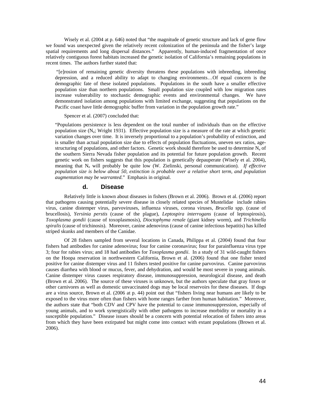Wisely et al. (2004 at p. 646) noted that "the magnitude of genetic structure and lack of gene flow we found was unexpected given the relatively recent colonization of the peninsula and the fisher's large spatial requirements and long dispersal distances." Apparently, human-induced fragmentation of once relatively contiguous forest habitats increased the genetic isolation of California's remaining populations in recent times. The authors further stated that:

 "[e]rosion of remaining genetic diversity threatens these populations with inbreeding, inbreeding depression, and a reduced ability to adapt to changing environments…Of equal concern is the demographic fate of these isolated populations. Populations in the south have a smaller effective population size than northern populations. Small population size coupled with low migration rates increase vulnerability to stochastic demographic events and environmental changes. We have demonstrated isolation among populations with limited exchange, suggesting that populations on the Pacific coast have little demographic buffer from variation in the population growth rate."

Spencer et al. (2007) concluded that:

"Populations persistence is less dependent on the total number of individuals than on the effective population size  $(N_e; Wright 1931)$ . Effective population size is a measure of the rate at which genetic variation changes over time. It is inversely proportional to a population's probability of extinction, and is smaller than actual population size due to effects of population fluctuations, uneven sex ratios, agestructuring of populations, and other factors. Genetic work should therefore be used to determine N<sub>e</sub> of the southern Sierra Nevada fisher population and its potential for future population growth. Recent genetic work on fishers suggests that this population is genetically depauperate (Wisely et al. 2004), meaning that N<sub>e</sub> will probably be quite low (W. Zielinski, personal communication). If effective *population size is below about 50, extinction is probable over a relative short term, and population augmentation may be warranted*." Emphasis in original.

#### **d. Disease**

 Relatively little is known about diseases in fishers (Brown et al. 2006). Brown et al. (2006) report that pathogens causing potentially severe disease in closely related species of Mustelidae include rabies virus, canine distemper virus, parvoviruses, influenza viruses, corona viruses, *Brucella* spp. (cause of brucellosis), *Yersinia perstis* (cause of the plague), *Leptospira interrogans* (cause of leptospirosis), *Toxoplasma gondii* (cause of toxoplasmosis), *Dioctophyma renale* (giant kidney worm), and *Trichinella spiralis* (cause of trichinosis). Moreover, canine adenovirus (cause of canine infectious hepatitis) has killed striped skunks and members of the Canidae.

 Of 28 fishers sampled from several locations in Canada, Philippa et al. (2004) found that four fishers had antibodies for canine adenovirus; four for canine coronavirus; four for parainfluenza virus type 3; four for rabies virus; and 18 had antibodies for *Toxoplasma gondii*. In a study of 31 wild-caught fishers on the Hoopa reservation in northwestern California, Brown et al. (2006) found that one fisher tested positive for canine distemper virus and 11 fishers tested positive for canine parvovirus. Canine parvovirus causes diarrhea with blood or mucus, fever, and dehydration, and would be most severe in young animals. Canine distemper virus causes respiratory disease, immunosuppression, neurological disease, and death (Brown et al. 2006). The source of these viruses is unknown, but the authors speculate that gray foxes or other carnivores as well as domestic unvaccinated dogs may be local reservoirs for these diseases. If dogs are a virus source, Brown et al. (2006 at p. 44) point out that "fishers living near humans are likely to be exposed to the virus more often than fishers with home ranges farther from human habitation." Moreover, the authors state that "both CDV and CPV have the potential to cause immunosuppression, especially of young animals, and to work synergistically with other pathogens to increase morbidity or mortality in a susceptible population." Disease issues should be a concern with potential relocation of fishers into areas from which they have been extirpated but might come into contact with extant populations (Brown et al. 2006).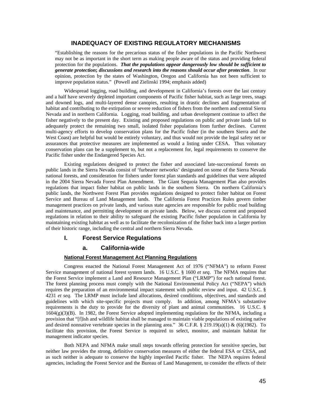# **INADEQUACY OF EXISTING REGULATORY MECHANISMS**

"Establishing the reasons for the precarious status of the fisher populations in the Pacific Northwest may not be as important in the short term as making people aware of the status and providing federal protection for the populations. *That the populations appear dangerously low should be sufficient to generate protection***;** *discussions and research into the reasons should occur after protection*. In our opinion, protection by the states of Washington, Oregon and California has not been sufficient to improve population status." (Powell and Zielinski 1994; emphasis added)

Widespread logging, road building, and development in California's forests over the last century and a half have severely depleted important components of Pacific fisher habitat, such as large trees, snags and downed logs, and multi-layered dense canopies, resulting in drastic declines and fragmentation of habitat and contributing to the extirpation or severe reduction of fishers from the northern and central Sierra Nevada and in northern California. Logging, road building, and urban development continue to affect the fisher negatively to the present day. Existing and proposed regulations on public and private lands fail to adequately protect the remaining two small, isolated fisher populations from further declines. Current multi-agency efforts to develop conservation plans for the Pacific fisher (in the southern Sierra and the West Coast) are helpful but would be entirely voluntary, and thus would not provide the legal safety net or assurances that protective measures are implemented as would a listing under CESA. Thus voluntary conservation plans can be a supplement to, but not a replacement for, legal requirements to conserve the Pacific fisher under the Endangered Species Act.

Existing regulations designed to protect the fisher and associated late-successional forests on public lands in the Sierra Nevada consist of 'furbearer networks' designated on some of the Sierra Nevada national forests, and consideration for fishers under forest plan standards and guidelines that were adopted in the 2004 Sierra Nevada Forest Plan Amendment. The Giant Sequoia Management Plan also provides regulations that impact fisher habitat on public lands in the southern Sierra. On northern California's public lands, the Northwest Forest Plan provides regulations designed to protect fisher habitat on Forest Service and Bureau of Land Management lands. The California Forest Practices Rules govern timber management practices on private lands, and various state agencies are responsible for public road building and maintenance, and permitting development on private lands. Below, we discuss current and proposed regulations in relation to their ability to safeguard the existing Pacific fisher population in California by maintaining existing habitat as well as to facilitate the recolonization of the fisher back into a larger portion of their historic range, including the central and northern Sierra Nevada.

## **I. Forest Service Regulations**

### **a. California-wide**

## **National Forest Management Act Planning Regulations**

 Congress enacted the National Forest Management Act of 1976 ("NFMA") to reform Forest Service management of national forest system lands. 16 U.S.C. § 1600 *et seq*. The NFMA requires that the Forest Service implement a Land and Resource Management Plan ("LRMP") for each national forest. The forest planning process must comply with the National Environmental Policy Act ("NEPA") which requires the preparation of an environmental impact statement with public review and input. 42 U.S.C. § 4231 *et seq*. The LRMP must include land allocations, desired conditions, objectives, and standards and guidelines with which site-specific projects must comply. In addition, among NFMA's substantive requirements is the duty to provide for the diversity of plant and animal communities. 16 U.S.C. §  $1604(g)(3)(B)$ . In 1982, the Forest Service adopted implementing regulations for the NFMA, including a provision that "[f]ish and wildlife habitat shall be managed to maintain viable populations of existing native and desired nonnative vertebrate species in the planning area." 36 C.F.R. § 219.19(a)(1) & (6)(1982). To facilitate this provision, the Forest Service is required to select, monitor, and maintain habitat for management indicator species.

 Both NEPA and NFMA make small steps towards offering protection for sensitive species, but neither law provides the strong, definitive conservation measures of either the federal ESA or CESA, and as such neither is adequate to conserve the highly imperiled Pacific fisher. The NEPA requires federal agencies, including the Forest Service and the Bureau of Land Management, to consider the effects of their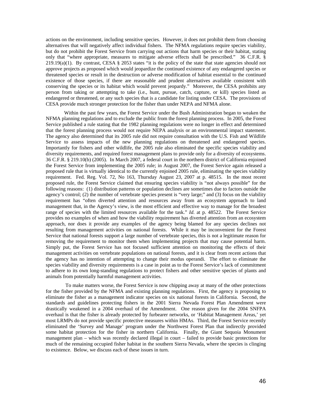actions on the environment, including sensitive species. However, it does not prohibit them from choosing alternatives that will negatively affect individual fishers. The NFMA regulations require species viability, but do not prohibit the Forest Service from carrying out actions that harm species or their habitat, stating only that "where appropriate, measures to mitigate adverse effects shall be prescribed." 36 C.F.R. §  $219.19(a)(1)$ . By contrast, CESA § 2053 states "it is the policy of the state that state agencies should not approve projects as proposed which would jeopardize the continued existence of any endangered species or threatened species or result in the destruction or adverse modification of habitat essential to the continued existence of those species, if there are reasonable and prudent alternatives available consistent with conserving the species or its habitat which would prevent jeopardy." Moreover, the CESA prohibits any person from taking or attempting to take (i.e., hunt, pursue, catch, capture, or kill) species listed as endangered or threatened, or any such species that is a candidate for listing under CESA. The provisions of CESA provide much stronger protection for the fisher than under NEPA and NFMA alone.

 Within the past few years, the Forest Service under the Bush Administration began to weaken the NFMA planning regulations and to exclude the public from the forest planning process. In 2005, the Forest Service published a rule stating that the 1982 planning regulations were no longer in effect and determined that the forest planning process would not require NEPA analysis or an environmental impact statement. The agency also determined that its 2005 rule did not require consultation with the U.S. Fish and Wildlife Service to assess impacts of the new planning regulations on threatened and endangered species. Importantly for fishers and other wildlife, the 2005 rule also eliminated the specific species viability and diversity requirements, and required forest management plans to provide only for a diversity of ecosystems. 36 C.F.R. § 219.10(b) (2005). In March 2007, a federal court in the northern district of California enjoined the Forest Service from implementing the 2005 rule; in August 2007, the Forest Service again released a proposed rule that is virtually identical to the currently enjoined 2005 rule, eliminating the species viability requirement. Fed. Reg. Vol. 72, No 163, Thursday August 23, 2007 at p. 48515. In the most recent proposed rule, the Forest Service claimed that ensuring species viability is "not always possible" for the following reasons: (1) distribution patterns or population declines are sometimes due to factors outside the agency's control; (2) the number of vertebrate species present is "very large;" and (3) focus on the viability requirement has "often diverted attention and resources away from an ecosystem approach to land management that, in the Agency's view, is the most efficient and effective way to manage for the broadest range of species with the limited resources available for the task." *Id*. at p. 48522. The Forest Service provides no examples of when and how the viability requirement has diverted attention from an ecosystem approach, nor does it provide any examples of the agency being blamed for any species declines not resulting from management activities on national forests. While it may be inconvenient for the Forest Service that national forests support a large number of vertebrate species, this is not a legitimate reason for removing the requirement to monitor them when implementing projects that may cause potential harm. Simply put, the Forest Service has not focused sufficient attention on monitoring the effects of their management activities on vertebrate populations on national forests, and it is clear from recent actions that the agency has no intention of attempting to change their modus operandi. The effort to eliminate the species viability and diversity requirements is a case in point as to the Forest Service's lack of commitment to adhere to its own long-standing regulations to protect fishers and other sensitive species of plants and animals from potentially harmful management activities.

 To make matters worse, the Forest Service is now chipping away at many of the other protections for the fisher provided by the NFMA and existing planning regulations. First, the agency is proposing to eliminate the fisher as a management indicator species on six national forests in California. Second, the standards and guidelines protecting fishers in the 2001 Sierra Nevada Forest Plan Amendment were drastically weakened in a 2004 overhaul of the Amendment. One reason given for the 2004 SNFPA overhaul is that the fisher is already protected by furbearer networks, or 'Habitat Management Areas,' yet most LRMPs do not provide specific protective measures within HMAs. Third, the Forest Service recently eliminated the 'Survey and Manage' program under the Northwest Forest Plan that indirectly provided some habitat protection for the fisher in northern California. Finally, the Giant Sequoia Monument management plan – which was recently declared illegal in court – failed to provide basic protections for much of the remaining occupied fisher habitat in the southern Sierra Nevada, where the species is clinging to existence. Below, we discuss each of these issues in turn.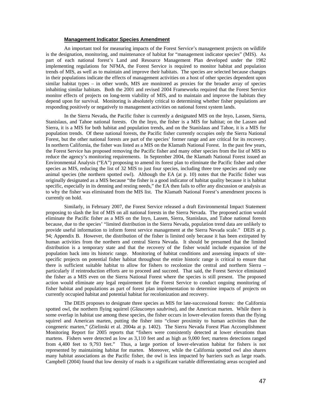### **Management Indicator Species Amendment**

An important tool for measuring impacts of the Forest Service's management projects on wildlife is the designation, monitoring, and maintenance of habitat for "management indicator species" (MIS). As part of each national forest's Land and Resource Management Plan developed under the 1982 implementing regulations for NFMA, the Forest Service is required to monitor habitat and population trends of MIS, as well as to maintain and improve their habitats. The species are selected because changes in their populations indicate the effects of management activities on a host of other species dependent upon similar habitat types – in other words, MIS are monitored as proxies for the broader array of species inhabiting similar habitats. Both the 2001 and revised 2004 Frameworks required that the Forest Service monitor effects of projects on long-term viability of MIS, and to maintain and improve the habitats they depend upon for survival. Monitoring is absolutely critical to determining whether fisher populations are responding positively or negatively to management activities on national forest system lands.

In the Sierra Nevada, the Pacific fisher is currently a designated MIS on the Inyo, Lassen, Sierra, Stanislaus, and Tahoe national forests. On the Inyo, the fisher is a MIS for habitat; on the Lassen and Sierra, it is a MIS for both habitat and population trends, and on the Stanislaus and Tahoe, it is a MIS for population trends. Of these national forests, the Pacific fisher currently occupies only the Sierra National Forest, but the other national forests are part of the species' former range and are critical for its recovery. In northern California, the fisher was listed as a MIS on the Klamath National Forest. In the past few years, the Forest Service has proposed removing the Pacific fisher and many other species from the list of MIS to reduce the agency's monitoring requirements. In September 2004, the Klamath National Forest issued an Environmental Analysis ("EA") proposing to amend its forest plan to eliminate the Pacific fisher and other species as MIS, reducing the list of 32 MIS to just four species, including three tree species and only one animal species (the northern spotted owl). Although the EA (at p. 10) notes that the Pacific fisher was originally designated as a MIS because "the fisher is a good indicator of habitat quality because it is habitat specific, especially in its denning and resting needs," the EA then fails to offer any discussion or analysis as to why the fisher was eliminated from the MIS list. The Klamath National Forest's amendment process is currently on hold.

Similarly, in February 2007, the Forest Service released a draft Environmental Impact Statement proposing to slash the list of MIS on all national forests in the Sierra Nevada. The proposed action would eliminate the Pacific fisher as a MIS on the Inyo, Lassen, Sierra, Stanislaus, and Tahoe national forests because, due to the species' "limited distribution in the Sierra Nevada, population trend data are unlikely to provide useful information to inform forest service management at the Sierra Nevada scale." DEIS at p. 94; Appendix B. However, the distribution of the fisher is limited only because it has been extirpated by human activities from the northern and central Sierra Nevada. It should be presumed that the limited distribution is a temporary state and that the recovery of the fisher would include expansion of the population back into its historic range. Monitoring of habitat conditions and assessing impacts of sitespecific projects on potential fisher habitat throughout the entire historic range is critical to ensure that there is sufficient suitable habitat to allow for fishers to recolonize the central and northern Sierra – particularly if reintroduction efforts are to proceed and succeed. That said, the Forest Service eliminated the fisher as a MIS even on the Sierra National Forest where the species is still present. The proposed action would eliminate any legal requirement for the Forest Service to conduct ongoing monitoring of fisher habitat and populations as part of forest plan implementation to determine impacts of projects on currently occupied habitat and potential habitat for recolonization and recovery.

The DEIS proposes to designate three species as MIS for late-successional forests: the California spotted owl, the northern flying squirrel (*Glaucomys saubrina*), and the American marten. While there is some overlap in habitat use among these species, the fisher occurs in lower-elevation forests than the flying squirrel and American marten, putting the fisher into "closer proximity to human activities than the congeneric marten," (Zielinski et al. 2004a at p. 1402). The Sierra Nevada Forest Plan Accomplishment Monitoring Report for 2005 reports that "fishers were consistently detected at lower elevations than martens. Fishers were detected as low as 3,110 feet and as high as 9,000 feet; martens detections ranged from 4,400 feet to 9,793 feet." Thus, a large portion of lower-elevation habitat for fishers is not represented by maintaining habitat for marten. Moreover, while the California spotted owl also shares many habitat associations as the Pacific fisher, the owl is less impacted by barriers such as large roads. Campbell (2004) found that low density of roads is a significant variable differentiating areas occupied and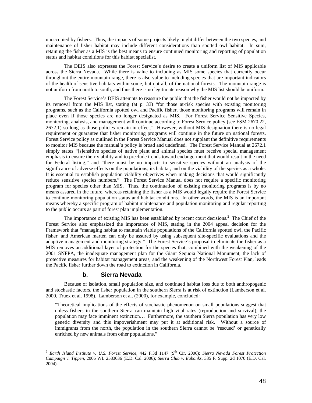unoccupied by fishers. Thus, the impacts of some projects likely might differ between the two species, and maintenance of fisher habitat may include different considerations than spotted owl habitat. In sum, retaining the fisher as a MIS is the best means to ensure continued monitoring and reporting of population status and habitat conditions for this habitat specialist.

The DEIS also expresses the Forest Service's desire to create a uniform list of MIS applicable across the Sierra Nevada. While there is value to including as MIS some species that currently occur throughout the entire mountain range, there is also value to including species that are important indicators of the health of sensitive habitats within some, but not all, of the national forests. The mountain range is not uniform from north to south, and thus there is no legitimate reason why the MIS list should be uniform.

The Forest Service's DEIS attempts to reassure the public that the fisher would not be impacted by its removal from the MIS list, stating (at p. 33) "for those at-risk species with existing monitoring programs, such as the California spotted owl and Pacific fisher, those monitoring programs will remain in place even if those species are no longer designated as MIS. For Forest Service Sensitive Species, monitoring, analysis, and management will continue according to Forest Service policy (see FSM 2670.22, 2672.1) so long as those policies remain in effect." However, without MIS designation there is no legal requirement or guarantee that fisher monitoring programs will continue in the future on national forests. Forest Service policy as outlined in the Forest Service Manual does not supplant the definitive requirements to monitor MIS because the manual's policy is broad and undefined. The Forest Service Manual at 2672.1 simply states "[s]ensitive species of native plant and animal species must receive special management emphasis to ensure their viability and to preclude trends toward endangerment that would result in the need for Federal listing," and "there must be no impacts to sensitive species without an analysis of the significance of adverse effects on the populations, its habitat, and on the viability of the species as a whole. It is essential to establish population viability objectives when making decisions that would significantly reduce sensitive species numbers." The Forest Service Manual does not require a specific monitoring program for species other than MIS. Thus, the continuation of existing monitoring programs is by no means assured in the future, whereas retaining the fisher as a MIS would legally require the Forest Service to continue monitoring population status and habitat conditions. In other words, the MIS is an important means whereby a specific program of habitat maintenance and population monitoring and regular reporting to the public occurs as part of forest plan implementation.

The importance of existing MIS has been established by recent court decisions.<sup>2</sup> The Chief of the Forest Service also emphasized the importance of MIS, stating in the 2004 appeal decision for the Framework that "managing habitat to maintain viable populations of the California spotted owl, the Pacific fisher, and American marten can only be assured by using subsequent site-specific evaluations and the adaptive management and monitoring strategy." The Forest Service's proposal to eliminate the fisher as a MIS removes an additional layer of protection for the species that, combined with the weakening of the 2001 SNFPA, the inadequate management plan for the Giant Sequoia National Monument, the lack of protective measures for habitat management areas, and the weakening of the Northwest Forest Plan, leads the Pacific fisher further down the road to extinction in California.

### **b. Sierra Nevada**

 $\overline{a}$ 

Because of isolation, small population size, and continued habitat loss due to both anthropogenic and stochastic factors, the fisher population in the southern Sierra is at risk of extinction (Lamberson et al. 2000, Truex et al. 1998). Lamberson et al. (2000), for example, concluded:

"Theoretical implications of the effects of stochastic phenomenon on small populations suggest that unless fishers in the southern Sierra can maintain high vital rates (reproduction and survival), the population may face imminent extinction… Furthermore, the southern Sierra population has very low genetic diversity and this impoverishment may put it at additional risk. Without a source of immigrants from the north, the population in the southern Sierra cannot be 'rescued' or genetically enriched by new animals from other populations."

<sup>&</sup>lt;sup>2</sup> Earth Island Institute v. U.S. Forest Service, 442 F.3d 1147 (9<sup>th</sup> Cir. 2006); Sierra Nevada Forest Protection *Campaign v. Tippen*, 2006 WL 2583036 (E.D. Cal. 2006); *Sierra Club v. Eubanks*, 335 F. Supp. 2d 1070 (E.D. Cal. 2004).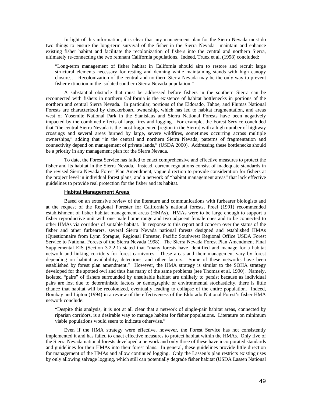In light of this information, it is clear that any management plan for the Sierra Nevada must do two things to ensure the long-term survival of the fisher in the Sierra Nevada—maintain and enhance existing fisher habitat and facilitate the recolonization of fishers into the central and northern Sierra, ultimately re-connecting the two remnant California populations. Indeed, Truex et al. (1998) concluded:

"Long-term management of fisher habitat in California should aim to restore and recruit large structural elements necessary for resting and denning while maintaining stands with high canopy closure… Recolonization of the central and northern Sierra Nevada may be the only way to prevent fisher extinction in the isolated southern Sierra Nevada population."

A substantial obstacle that must be addressed before fishers in the southern Sierra can be reconnected with fishers in northern California is the existence of habitat bottlenecks in portions of the northern and central Sierra Nevada. In particular, portions of the Eldorado, Tahoe, and Plumas National Forests are characterized by checkerboard ownership, which has led to habitat fragmentation, and areas west of Yosemite National Park in the Stanislaus and Sierra National Forests have been negatively impacted by the combined effects of large fires and logging. For example, the Forest Service concluded that "the central Sierra Nevada is the most fragmented [region in the Sierra] with a high number of highway crossings and several areas burned by large, severe wildfires, sometimes occurring across multiple ownerships," adding that "in the central and northern Sierra Nevada, patterns of fragmentation and connectivity depend on management of private lands," (USDA 2000). Addressing these bottlenecks should be a priority in any management plan for the Sierra Nevada.

To date, the Forest Service has failed to enact comprehensive and effective measures to protect the fisher and its habitat in the Sierra Nevada. Instead, current regulations consist of inadequate standards in the revised Sierra Nevada Forest Plan Amendment, vague direction to provide consideration for fishers at the project level in individual forest plans, and a network of "habitat management areas" that lack effective guidelines to provide real protection for the fisher and its habitat.

#### **Habitat Management Areas**

Based on an extensive review of the literature and communications with furbearer biologists and at the request of the Regional Forester for California's national forests, Freel (1991) recommended establishment of fisher habitat management areas (HMAs). HMAs were to be large enough to support a fisher reproductive unit with one male home range and two adjacent female ones and to be connected to other HMAs via corridors of suitable habitat. In response to this report and concern over the status of the fisher and other furbearers, several Sierra Nevada national forests designed and established HMAs (Questionnaire from Lynn Sprague, Regional Forester, Pacific Southwest Regional Office USDA Forest Service to National Forests of the Sierra Nevada 1998). The Sierra Nevada Forest Plan Amendment Final Supplemental EIS (Section 3.2.2.1) stated that "many forests have identified and manage for a habitat network and linking corridors for forest carnivores. These areas and their management vary by forest depending on habitat availability, detections, and other factors. Some of these networks have been established by forest plan amendment." However, the HMA strategy is similar to the SOHA strategy developed for the spotted owl and thus has many of the same problems (see Thomas et al. 1990). Namely, isolated "pairs" of fishers surrounded by unsuitable habitat are unlikely to persist because as individual pairs are lost due to deterministic factors or demographic or environmental stochasticity, there is little chance that habitat will be recolonized, eventually leading to collapse of the entire population. Indeed, Bombay and Lipton (1994) in a review of the effectiveness of the Eldorado National Forest's fisher HMA network conclude:

"Despite this analysis, it is not at all clear that a network of single-pair habitat areas, connected by riparian corridors, is a desirable way to manage habitat for fisher populations. Literature on minimum viable populations would seem to indicate otherwise."

Even if the HMA strategy were effective, however, the Forest Service has not consistently implemented it and has failed to enact effective measures to protect habitat within the HMAs. Only five of the Sierra Nevada national forests developed a network and only three of these have incorporated standards and guidelines for their HMAs into their forest plans. In general, these guidelines provide little direction for management of the HMAs and allow continued logging. Only the Lassen's plan restricts existing uses by only allowing salvage logging, which still can potentially degrade fisher habitat (USDA Lassen National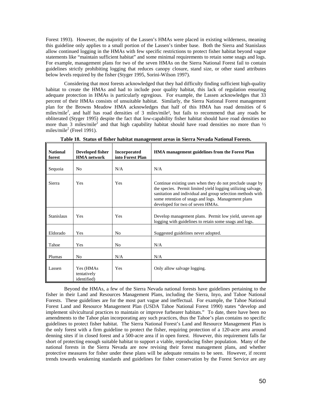Forest 1993). However, the majority of the Lassen's HMAs were placed in existing wilderness, meaning this guideline only applies to a small portion of the Lassen's timber base. Both the Sierra and Stanislaus allow continued logging in the HMAs with few specific restrictions to protect fisher habitat beyond vague statements like "maintain sufficient habitat" and some minimal requirements to retain some snags and logs. For example, management plans for two of the seven HMAs on the Sierra National Forest fail to contain guidelines strictly prohibiting logging that reduces canopy closure, stand size, or other stand attributes below levels required by the fisher (Styger 1995, Sorini-Wilson 1997).

Considering that most forests acknowledged that they had difficulty finding sufficient high-quality habitat to create the HMAs and had to include poor quality habitat, this lack of regulation ensuring adequate protection in HMAs is particularly egregious. For example, the Lassen acknowledges that 33 percent of their HMAs consists of unsuitable habitat. Similarly, the Sierra National Forest management plan for the Browns Meadow HMA acknowledges that half of this HMA has road densities of 6 miles/mile<sup>2</sup>, and half has road densities of 3 miles/mile<sup>2</sup>, but fails to recommend that any roads be obliterated (Styger 1995) despite the fact that low-capability fisher habitat should have road densities no more than 3 miles/mile<sup>2</sup> and that high capability habitat should have road densities no more than  $\frac{1}{2}$ miles/mile<sup>2</sup> (Freel 1991).

| <b>National</b><br>forest | Developed fisher<br><b>HMA</b> network  | <b>Incorporated</b><br>into Forest Plan | <b>HMA</b> management guidelines from the Forest Plan                                                                                                                                                                                                                             |
|---------------------------|-----------------------------------------|-----------------------------------------|-----------------------------------------------------------------------------------------------------------------------------------------------------------------------------------------------------------------------------------------------------------------------------------|
| Sequoia                   | N <sub>0</sub>                          | N/A                                     | N/A                                                                                                                                                                                                                                                                               |
| Sierra                    | Yes                                     | Yes                                     | Continue existing uses when they do not preclude usage by<br>the species. Permit limited yield logging utilizing salvage,<br>sanitation and individual and group selection methods with<br>some retention of snags and logs. Management plans<br>developed for two of seven HMAs. |
| <b>Stanislaus</b>         | Yes                                     | Yes                                     | Develop management plans. Permit low yield, uneven age<br>logging with guidelines to retain some snags and logs.                                                                                                                                                                  |
| Eldorado                  | Yes                                     | N <sub>0</sub>                          | Suggested guidelines never adopted.                                                                                                                                                                                                                                               |
| Tahoe                     | Yes                                     | N <sub>0</sub>                          | N/A                                                                                                                                                                                                                                                                               |
| Plumas                    | N <sub>0</sub>                          | N/A                                     | N/A                                                                                                                                                                                                                                                                               |
| Lassen                    | Yes (HMAs<br>tentatively<br>identified) | Yes                                     | Only allow salvage logging.                                                                                                                                                                                                                                                       |

**Table 18. Status of fisher habitat management areas in Sierra Nevada National Forests.** 

 Beyond the HMAs, a few of the Sierra Nevada national forests have guidelines pertaining to the fisher in their Land and Resources Management Plans, including the Sierra, Inyo, and Tahoe National Forests. These guidelines are for the most part vague and ineffectual. For example, the Tahoe National Forest Land and Resource Management Plan (USDA Tahoe National Forest 1990) states "develop and implement silvicultural practices to maintain or improve furbearer habitats." To date, there have been no amendments to the Tahoe plan incorporating any such practices, thus the Tahoe's plan contains no specific guidelines to protect fisher habitat. The Sierra National Forest's Land and Resource Management Plan is the only forest with a firm guideline to protect the fisher, requiring protection of a 120-acre area around denning sites if in closed forest and a 500-acre area if in open forest. However, this requirement falls far short of protecting enough suitable habitat to support a viable, reproducing fisher population. Many of the national forests in the Sierra Nevada are now revising their forest management plans, and whether protective measures for fisher under these plans will be adequate remains to be seen. However, if recent trends towards weakening standards and guidelines for fisher conservation by the Forest Service are any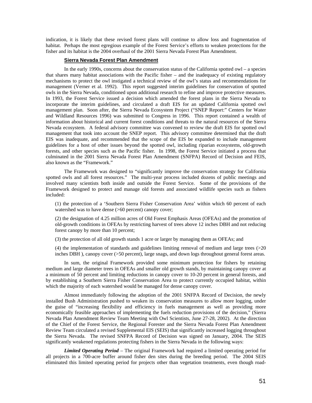indication, it is likely that these revised forest plans will continue to allow loss and fragmentation of habitat. Perhaps the most egregious example of the Forest Service's efforts to weaken protections for the fisher and its habitat is the 2004 overhaul of the 2001 Sierra Nevada Forest Plan Amendment.

#### **Sierra Nevada Forest Plan Amendment**

In the early 1990s, concerns about the conservation status of the California spotted owl – a species that shares many habitat associations with the Pacific fisher – and the inadequacy of existing regulatory mechanisms to protect the owl instigated a technical review of the owl's status and recommendations for management (Verner et al. 1992). This report suggested interim guidelines for conservation of spotted owls in the Sierra Nevada, conditioned upon additional research to refine and improve protective measures. In 1993, the Forest Service issued a decision which amended the forest plans in the Sierra Nevada to incorporate the interim guidelines, and circulated a draft EIS for an updated California spotted owl management plan. Soon after, the Sierra Nevada Ecosystem Project ("SNEP Report:" Centers for Water and Wildland Resources 1996) was submitted to Congress in 1996. This report contained a wealth of information about historical and current forest conditions and threats to the natural resources of the Sierra Nevada ecosystem. A federal advisory committee was convened to review the draft EIS for spotted owl management that took into account the SNEP report. This advisory committee determined that the draft EIS was inadequate, and recommended that the scope of the EIS be expanded to include management guidelines for a host of other issues beyond the spotted owl, including riparian ecosystems, old-growth forests, and other species such as the Pacific fisher. In 1998, the Forest Service initiated a process that culminated in the 2001 Sierra Nevada Forest Plan Amendment (SNFPA) Record of Decision and FEIS, also known as the "Framework."

The Framework was designed to "significantly improve the conservation strategy for California spotted owls and all forest resources." The multi-year process included dozens of public meetings and involved many scientists both inside and outside the Forest Service. Some of the provisions of the Framework designed to protect and manage old forests and associated wildlife species such as fishers included:

(1) the protection of a 'Southern Sierra Fisher Conservation Area' within which 60 percent of each watershed was to have dense (>60 percent) canopy cover;

(2) the designation of 4.25 million acres of Old Forest Emphasis Areas (OFEAs) and the promotion of old-growth conditions in OFEAs by restricting harvest of trees above 12 inches DBH and not reducing forest canopy by more than 10 percent;

(3) the protection of all old growth stands 1 acre or larger by managing them as OFEAs; and

(4) the implementation of standards and guidelines limiting removal of medium and large trees (>20 inches DBH ), canopy cover (>50 percent), large snags, and down logs throughout general forest areas.

In sum, the original Framework provided some minimum protection for fishers by retaining medium and large diameter trees in OFEAs and smaller old growth stands, by maintaining canopy cover at a minimum of 50 percent and limiting reductions in canopy cover to 10-20 percent in general forests, and by establishing a Southern Sierra Fisher Conservation Area to protect currently occupied habitat, within which the majority of each watershed would be managed for dense canopy cover.

Almost immediately following the adoption of the 2001 SNFPA Record of Decision, the newly installed Bush Administration pushed to weaken its conservation measures to allow more logging, under the guise of "increasing flexibility and efficiency in fuels management as well as providing more economically feasible approaches of implementing the fuels reduction provisions of the decision," (Sierra Nevada Plan Amendment Review Team Meeting with Owl Scientists, June 27-28, 2002). At the direction of the Chief of the Forest Service, the Regional Forester and the Sierra Nevada Forest Plan Amendment Review Team circulated a revised Supplemental EIS (SEIS) that significantly increased logging throughout the Sierra Nevada. The revised SNFPA Record of Decision was signed on January, 2004. The SEIS significantly weakened regulations protecting fishers in the Sierra Nevada in the following ways:

*Limited Operating Period* – The original Framework had required a limited operating period for all projects in a 700-acre buffer around fisher den sites during the breeding period. The 2004 SEIS eliminated this limited operating period for projects other than vegetation treatments, even though road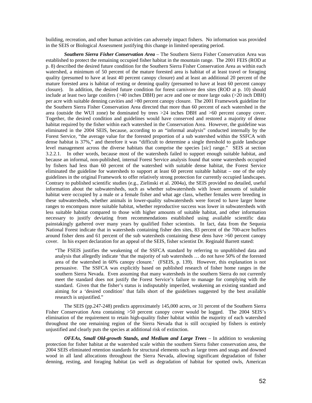building, recreation, and other human activities can adversely impact fishers. No information was provided in the SEIS or Biological Assessment justifying this change in limited operating period.

*Southern Sierra Fisher Conservation Area* – The Southern Sierra Fisher Conservation Area was established to protect the remaining occupied fisher habitat in the mountain range. The 2001 FEIS (ROD at p. 8) described the desired future condition for the Southern Sierra Fisher Conservation Area as within each watershed, a minimum of 50 percent of the mature forested area is habitat of at least travel or foraging quality (presumed to have at least 40 percent canopy closure) and at least an additional 20 percent of the mature forested area is habitat of resting or denning quality (presumed to have at least 60 percent canopy closure). In addition, the desired future condition for forest carnivore den sites (ROD at p. 10) should include at least two large conifers (>40 inches DBH) per acre and one or more large oaks (>20 inch DBH) per acre with suitable denning cavities and >80 percent canopy closure. The 2001 Framework guideline for the Southern Sierra Fisher Conservation Area directed that more than 60 percent of each watershed in the area (outside the WUI zone) be dominated by trees >24 inches DBH and >60 percent canopy cover. Together, the desired condition and guidelines would have conserved and restored a majority of dense habitat required by the fisher within each watershed in the Conservation Area. However, the guideline was eliminated in the 2004 SEIS, because, according to an "informal analysis" conducted internally by the Forest Service, "the average value for the forested proportion of a sub watershed within the SSFCA with dense habitat is 37%," and therefore it was "difficult to determine a single threshold to guide landscape level management across the diverse habitats that comprise the species [*sic*] range." SEIS at section 3.2.2.1. In other words, because most of the watersheds failed to support enough suitable habitat, and because an informal, non-published, internal Forest Service analysis found that some watersheds occupied by fishers had less than 60 percent of the watershed with suitable dense habitat, the Forest Service eliminated the guideline for watersheds to support at least 60 percent suitable habitat – one of the only guidelines in the original Framework to offer relatively strong protection for currently occupied landscapes. Contrary to published scientific studies (e.g., Zielinski et al. 2004a), the SEIS provided no detailed, useful information about the subwatersheds, such as whether subwatersheds with lower amounts of suitable habitat were occupied by a male or a female fisher and what age class, whether females were breeding in these subwatersheds, whether animals in lower-quality subwatersheds were forced to have larger home ranges to encompass more suitable habitat, whether reproductive success was lower in subwatersheds with less suitable habitat compared to those with higher amounts of suitable habitat, and other information necessary to justify deviating from recommendations established using available scientific data painstakingly gathered over many years by qualified fisher scientists. In fact, data from the Sequoia National Forest indicate that in watersheds containing fisher den sites, 83 percent of the 700-acre buffers around fisher dens and 61 percent of the sub watersheds containing these dens have >60 percent canopy cover. In his expert declaration for an appeal of the SEIS, fisher scientist Dr. Reginald Barrett stated:

"The FSEIS justifies the weakening of the SSFCA standard by referring to unpublished data and analysis that allegedly indicate 'that the majority of sub watersheds … do not have 50% of the forested area of the watershed in 60% canopy closure.' (FSEIS, p. 139). However, this explanation is not persuasive. The SSFCA was explicitly based on published research of fisher home ranges in the southern Sierra Nevada. Even assuming that many watersheds in the southern Sierra do not currently meet the standard does not justify the Forest Service's failure to manage for complying with the standard. Given that the fisher's status is indisputably imperiled, weakening an existing standard and aiming for a 'desired condition' that falls short of the guidelines suggested by the best available research is unjustified."

The SEIS (pp.247-248) predicts approximately 145,000 acres, or 31 percent of the Southern Sierra Fisher Conservation Area containing >50 percent canopy cover would be logged. The 2004 SEIS's elimination of the requirement to retain high-quality fisher habitat within the majority of each watershed throughout the one remaining region of the Sierra Nevada that is still occupied by fishers is entirely unjustified and clearly puts the species at additional risk of extinction.

*OFEAs, Small Old-growth Stands, and Medium and Large Trees* – In addition to weakening protection for fisher habitat at the watershed scale within the southern Sierra fisher conservation area, the 2004 SEIS eliminated retention standards for structural elements such as large trees and snags and downed wood in all land allocations throughout the Sierra Nevada, allowing significant degradation of fisher denning, resting, and foraging habitat (as well as degradation of habitat for spotted owls, American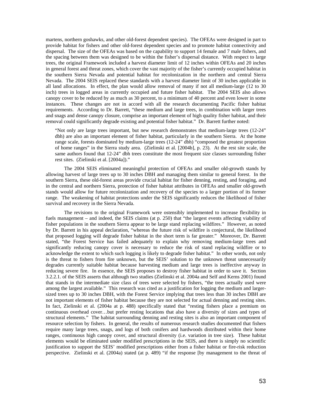martens, northern goshawks, and other old-forest dependent species). The OFEAs were designed in part to provide habitat for fishers and other old-forest dependent species and to promote habitat connectivity and dispersal. The size of the OFEAs was based on the capability to support 14 female and 7 male fishers, and the spacing between them was designed to be within the fisher's dispersal distance. With respect to large trees, the original Framework included a harvest diameter limit of 12 inches within OFEAs and 20 inches in general forest and threat zones, which cover the vast majority of the fisher's currently occupied habitat in the southern Sierra Nevada and potential habitat for recolonization in the northern and central Sierra Nevada. The 2004 SEIS replaced these standards with a harvest diameter limit of 30 inches applicable in all land allocations. In effect, the plan would allow removal of many if not all medium-large (12 to 30 inch) trees in logged areas in currently occupied and future fisher habitat. The 2004 SEIS also allows canopy cover to be reduced by as much as 30 percent, to a minimum of 40 percent and even lower in some instances. These changes are not in accord with all the research documenting Pacific fisher habitat requirements. According to Dr. Barrett, "these medium and large trees, in combination with larger trees and snags and dense canopy closure, comprise an important element of high quality fisher habitat, and their removal could significantly degrade existing and potential fisher habitat." Dr. Barrett further noted:

"Not only are large trees important, but new research demonstrates that medium-large trees (12-24" dbh) are also an important element of fisher habitat, particularly in the southern Sierra. At the home range scale, forests dominated by medium-large trees (12-24" dbh) "composed the greatest proportion of home ranges" in the Sierra study area. (Zielinski et al. [2004b], p. 23). At the rest site scale, the same authors found that 12-24" dbh trees constitute the most frequent size classes surrounding fisher rest sites. (Zielinski et al. [2004a])."

The 2004 SEIS eliminated meaningful protection of OFEAs and smaller old-growth stands by allowing harvest of large trees up to 30 inches DBH and managing them similar to general forest. In the southern Sierra, these old-forest areas provide crucial habitat for fisher denning, resting, and foraging, and in the central and northern Sierra, protection of fisher habitat attributes in OFEAs and smaller old-growth stands would allow for future recolonization and recovery of the species to a larger portion of its former range. The weakening of habitat protections under the SEIS significantly reduces the likelihood of fisher survival and recovery in the Sierra Nevada.

The revisions to the original Framework were ostensibly implemented to increase flexibility in fuels management – and indeed, the SEIS claims (at p. 250) that "the largest events affecting viability of fisher populations in the southern Sierra appear to be large stand replacing wildfires." However, as noted by Dr. Barrett in his appeal declaration, "whereas the future risk of wildfire is conjectural, the likelihood that proposed logging will degrade fisher habitat in the short term is far greater." Moreover, Dr. Barrett stated, "the Forest Service has failed adequately to explain why removing medium-large trees and significantly reducing canopy cover is necessary to reduce the risk of stand replacing wildfire or to acknowledge the extent to which such logging is likely to degrade fisher habitat." In other words, not only is the threat to fishers from fire unknown, but the SEIS' solution to the unknown threat unnecessarily degrades currently suitable habitat because harvesting medium and large trees is ineffective anyway in reducing severe fire. In essence, the SEIS proposes to destroy fisher habitat in order to save it. Section 3.2.2.1. of the SEIS asserts that although two studies (Zielinski et al. 2004a and Self and Kerns 2001) found that stands in the intermediate size class of trees were selected by fishers, "the trees actually used were among the largest available." This research was cited as a justification for logging the medium and largersized trees up to 30 inches DBH, with the Forest Service implying that trees less than 30 inches DBH are not important elements of fisher habitat because they are not selected for actual denning and resting sites. In fact, Zielinski et al. (2004a at p. 488) specifically stated that "resting fishers place a premium on continuous overhead cover…but prefer resting locations that also have a diversity of sizes and types of structural elements." The habitat surrounding denning and resting sites is also an important component of resource selection by fishers. In general, the results of numerous research studies documented that fishers require many large trees, snags, and logs of both conifers and hardwoods distributed within their home ranges, continuous high canopy cover, and structural diversity (i.e. variation in tree size). These habitat elements would be eliminated under modified prescriptions in the SEIS, and there is simply no scientific justification to support the SEIS' modified prescriptions either from a fisher habitat or fire-risk reduction perspective. Zielinski et al. (2004a) stated (at p. 489) "if the response [by management to the threat of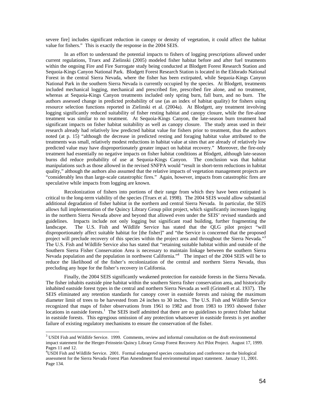severe fire] includes significant reduction in canopy or density of vegetation, it could affect the habitat value for fishers." This is exactly the response in the 2004 SEIS.

In an effort to understand the potential impacts to fishers of logging prescriptions allowed under current regulations, Truex and Zielinski (2005) modeled fisher habitat before and after fuel treatments within the ongoing Fire and Fire Surrogate study being conducted at Blodgett Forest Research Station and Sequoia-Kings Canyon National Park. Blodgett Forest Research Station is located in the Eldorado National Forest in the central Sierra Nevada, where the fisher has been extirpated, while Sequoia-Kings Canyon National Park in the southern Sierra Nevada is currently occupied by the species. At Blodgett, treatments included mechanical logging, mechanical and prescribed fire, prescribed fire alone, and no treatment, whereas at Sequoia-Kings Canyon treatments included only spring burn, fall burn, and no burn. The authors assessed change in predicted probability of use (as an index of habitat quality) for fishers using resource selection functions reported in Zielinski et al. (2004a). At Blodgett, any treatment involving logging significantly reduced suitability of fisher resting habitat and canopy closure, while the fire-alone treatment was similar to no treatment. At Sequoia-Kings Canyon, the late-season burn treatment had significant impacts on fisher habitat suitability as well as canopy closure. The study areas used in their research already had relatively low predicted habitat value for fishers prior to treatment, thus the authors noted (at p. 15) "although the decrease in predicted resting and foraging habitat value attributed to the treatments was small, relatively modest reductions in habitat value at sites that are already of relatively low predicted value may have disproportionately greater impact on habitat recovery." Moreover, the fire-only treatment had essentially no negative impacts on fisher habitat conditions at Blodgett, although late-season burns did reduce probability of use at Sequoia-Kings Canyon. The conclusion was that habitat manipulations such as those allowed in the revised SNFPA would "result in short-term reductions in habitat quality," although the authors also assumed that the relative impacts of vegetation management projects are "considerably less than large-scale catastrophic fires." Again, however, impacts from catastrophic fires are speculative while impacts from logging are known.

Recolonization of fishers into portions of their range from which they have been extirpated is critical to the long-term viability of the species (Truex et al. 1998). The 2004 SEIS would allow substantial additional degradation of fisher habitat in the northern and central Sierra Nevada. In particular, the SEIS allows full implementation of the Quincy Library Group pilot project, which significantly increases logging in the northern Sierra Nevada above and beyond that allowed even under the SEIS' revised standards and guidelines. Impacts include not only logging but significant road building, further fragmenting the landscape. The U.S. Fish and Wildlife Service has stated that the QLG pilot project "will disproportionately affect suitable habitat for [the fisher]" and "the Service is concerned that the proposed project will preclude recovery of this species within the project area and throughout the Sierra Nevada."<sup>3</sup> The U.S. Fish and Wildlife Service also has stated that "retaining suitable habitat within and outside of the Southern Sierra Fisher Conservation Area is necessary to maintain linkage between the southern Sierra Nevada population and the population in northwest California.<sup>4</sup> The impact of the 2004 SEIS will be to reduce the likelihood of the fisher's recolonization of the central and northern Sierra Nevada, thus precluding any hope for the fisher's recovery in California.

Finally, the 2004 SEIS significantly weakened protection for eastside forests in the Sierra Nevada. The fisher inhabits eastside pine habitat within the southern Sierra fisher conservation area, and historically inhabited eastside forest types in the central and northern Sierra Nevada as well (Grinnell et al. 1937). The SEIS eliminated any retention standards for canopy cover in eastside forests and raising the maximum diameter limit of trees to be harvested from 24 inches to 30 inches. The U.S. Fish and Wildlife Service recognized that maps of fisher observations from 1961 to 1982 and from 1983 to 1993 showed fisher locations in eastside forests.<sup>1</sup> The SEIS itself admitted that there are no guidelines to protect fisher habitat in eastside forests. This egregious omission of any protection whatsoever in eastside forests is yet another failure of existing regulatory mechanisms to ensure the conservation of the fisher.

 $\overline{a}$ 

<sup>&</sup>lt;sup>3</sup> USDI Fish and Wildlife Service. 1999. Comments, review and informal consultation on the draft environmental impact statement for the Herger-Feinstein Quincy Library Group Forest Recovery Act Pilot Project. August 17, 1999. Pages 11 and 12.

<sup>4</sup> USDI Fish and Wildlife Service. 2001. Formal endangered species consultation and conference on the biological assessment for the Sierra Nevada Forest Plan Amendment final environmental impact statement. January 11, 2001. Page 134.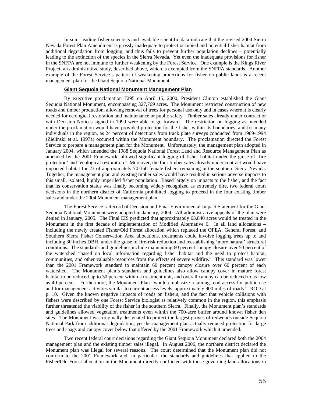In sum, leading fisher scientists and available scientific data indicate that the revised 2004 Sierra Nevada Forest Plan Amendment is grossly inadequate to protect occupied and potential fisher habitat from additional degradation from logging, and thus fails to prevent further population declines – potentially leading to the extinction of the species in the Sierra Nevada. Yet even the inadequate provisions for fisher in the SNFPA are not immune to further weakening by the Forest Service. One example is the Kings River Project, an administrative study, described above, which is exempted from the SNFPA standards. Another example of the Forest Service's pattern of weakening protections for fisher on public lands is a recent management plan for the Giant Sequoia National Monument.

## **Giant Sequoia National Monument Management Plan**

 By executive proclamation 7295 on April 15, 2000, President Clinton established the Giant Sequoia National Monument, encompassing 327,769 acres. The Monument restricted construction of new roads and timber production, allowing removal of trees for personal use only and in cases where it is clearly needed for ecological restoration and maintenance or public safety. Timber sales already under contract or with Decision Notices signed in 1999 were able to go forward. The restriction on logging as intended under the proclamation would have provided protection for the fisher within its boundaries, and for many individuals in the region, as 24 percent of detections from track plate surveys conducted from 1989-1994 (Zielinski et al. 1997a) occurred within the Monument boundary. The proclamation directed the Forest Service to prepare a management plan for the Monument. Unfortunately, the management plan adopted in January 2004, which amended the 1988 Sequoia National Forest Land and Resource Management Plan as amended by the 2001 Framework, allowed significant logging of fisher habitat under the guise of 'fire protection' and 'ecological restoration.' Moreover, the four timber sales already under contract would have impacted habitat for 23 of approximately 70-150 female fishers remaining in the southern Sierra Nevada. Together, the management plan and existing timber sales would have resulted in serious adverse impacts to this small, isolated, highly imperiled fisher population. Based largely on impacts to the fisher, and the fact that its conservation status was finally becoming widely recognized as extremely dire, two federal court decisions in the northern district of California prohibited logging to proceed in the four existing timber sales and under the 2004 Monument management plan.

 The Forest Service's Record of Decision and Final Environmental Impact Statement for the Giant Sequoia National Monument were adopted in January, 2004. All administrative appeals of the plan were denied in January, 2005. The Final EIS predicted that approximately 63,840 acres would be treated in the Monument in the first decade of implementation of Modified Alternative 6. In all land allocations – including the newly created Fisher/Old Forest allocation which replaced the OFEA, General Forest, and Southern Sierra Fisher Conservation Area allocations, treatments could involve logging trees up to and including 30 inches DBH, under the guise of fire-risk reduction and reestablishing 'more natural' structural conditions. The standards and guidelines include maintaining 60 percent canopy closure over 50 percent of the watershed "based on local information regarding fisher habitat and the need to protect habitat, communities, and other valuable resources from the effects of severe wildfire." This standard was lower than the 2001 Framework standard to maintain 60 percent canopy closure over 60 percent of each watershed. The Monument plan's standards and guidelines also allow canopy cover in mature forest habitat to be reduced up to 30 percent within a treatment unit, and overall canopy can be reduced to as low as 40 percent. Furthermore, the Monument Plan "would emphasize retaining road access for public use and for management activities similar to current access levels, approximately 900 miles of roads." ROD at p. 10. Given the known negative impacts of roads on fishers, and the fact that vehicle collisions with fishers were described by one Forest Service biologist as relatively common in the region, this emphasis further threatened the viability of the fisher in the southern Sierra. Finally, the Monument plan's standards and guidelines allowed vegetation treatments even within the 700-acre buffer around known fisher den sites. The Monument was originally designated to protect the largest groves of redwoods outside Sequoia National Park from additional degradation, yet the management plan actually reduced protection for large trees and snags and canopy cover below that offered by the 2001 Framework which it amended.

 Two recent federal court decisions regarding the Giant Sequoia Monument declared both the 2004 management plan and the existing timber sales illegal. In August 2006, the northern district declared the Monument plan was illegal for several reasons. The court determined that the Monument plan did not conform to the 2001 Framework and, in particular, the standards and guidelines that applied to the Fisher/Old Forest allocation in the Monument directly conflicted with those governing land allocations in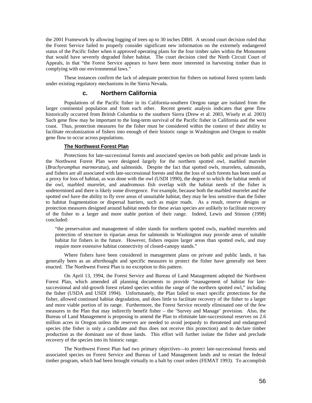the 2001 Framework by allowing logging of trees up to 30 inches DBH. A second court decision ruled that the Forest Service failed to properly consider significant new information on the extremely endangered status of the Pacific fisher when it approved operating plans for the four timber sales within the Monument that would have severely degraded fisher habitat. The court decision cited the Ninth Circuit Court of Appeals, in that "the Forest Service appears to have been more interested in harvesting timber than in complying with our environmental laws."

 These instances confirm the lack of adequate protection for fishers on national forest system lands under existing regulatory mechanisms in the Sierra Nevada.

# **c. Northern California**

 Populations of the Pacific fisher in its California-southern Oregon range are isolated from the larger continental population and from each other. Recent genetic analysis indicates that gene flow historically occurred from British Columbia to the southern Sierra (Drew et al. 2003, Wisely et al. 2003) Such gene flow may be important to the long-term survival of the Pacific fisher in California and the west coast. Thus, protection measures for the fisher must be considered within the context of their ability to facilitate recolonization of fishers into enough of their historic range in Washington and Oregon to enable gene flow to occur across populations.

### **The Northwest Forest Plan**

 Protections for late-successional forests and associated species on both public and private lands in the Northwest Forest Plan were designed largely for the northern spotted owl, marbled murrelet (*Brachyramphus marmoratus*), and salmonids. Despite the fact that spotted owls, murrelets, salmonids, and fishers are all associated with late-successional forests and that the loss of such forests has been used as a proxy for loss of habitat, as was done with the owl (USDI 1990), the degree to which the habitat needs of the owl, marbled murrelet, and anadromous fish overlap with the habitat needs of the fisher is undetermined and there is likely some divergence. For example, because both the marbled murrelet and the spotted owl have the ability to fly over areas of unsuitable habitat, they may be less sensitive than the fisher to habitat fragmentation or dispersal barriers, such as major roads. As a result, reserve designs or protection measures designed around habitat needs for these avian species are unlikely to facilitate recovery of the fisher to a larger and more stable portion of their range. Indeed, Lewis and Stinson (1998) concluded:

"the preservation and management of older stands for northern spotted owls, marbled murrelets and protection of structure in riparian areas for salmonids in Washington may provide areas of suitable habitat for fishers in the future. However, fishers require larger areas than spotted owls, and may require more extensive habitat connectivity of closed-canopy stands."

Where fishers have been considered in management plans on private and public lands, it has generally been as an afterthought and specific measures to protect the fisher have generally not been enacted. The Northwest Forest Plan is no exception to this pattern.

On April 13, 1994, the Forest Service and Bureau of Land Management adopted the Northwest Forest Plan, which amended all planning documents to provide "management of habitat for latesuccessional and old-growth forest related species within the range of the northern spotted owl," including the fisher (USDA and USDI 1994). Unfortunately, the Plan failed to enact specific protections for the fisher, allowed continued habitat degradation, and does little to facilitate recovery of the fisher to a larger and more viable portion of its range. Furthermore, the Forest Service recently eliminated one of the few measures in the Plan that may indirectly benefit fisher – the 'Survey and Manage' provision. Also, the Bureau of Land Management is proposing to amend the Plan to eliminate late-successional reserves on 2.6 million acres in Oregon unless the reserves are needed to avoid jeopardy to threatened and endangered species (the fisher is only a candidate and thus does not receive this protection) and to declare timber production as the dominant use of those lands. This effort will further isolate the fisher and preclude recovery of the species into its historic range.

The Northwest Forest Plan had two primary objectives—to protect late-successional forests and associated species on Forest Service and Bureau of Land Management lands and to restart the federal timber program, which had been brought virtually to a halt by court orders (FEMAT 1993). To accomplish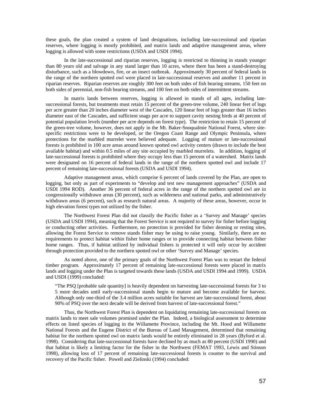these goals, the plan created a system of land designations, including late-successional and riparian reserves, where logging is mostly prohibited, and matrix lands and adaptive management areas, where logging is allowed with some restrictions (USDA and USDI 1994).

In the late-successional and riparian reserves, logging is restricted to thinning in stands younger than 80 years old and salvage in any stand larger than 10 acres, where there has been a stand-destroying disturbance, such as a blowdown, fire, or an insect outbreak. Approximately 30 percent of federal lands in the range of the northern spotted owl were placed in late-successional reserves and another 11 percent in riparian reserves. Riparian reserves are roughly 300 feet on both sides of fish bearing streams, 150 feet on both sides of perennial, non-fish bearing streams, and 100 feet on both sides of intermittent streams.

In matrix lands between reserves, logging is allowed in stands of all ages, including latesuccessional forests, but treatments must retain 15 percent of the green-tree volume, 240 linear feet of logs per acre greater than 20 inches diameter west of the Cascades, 120 linear feet of logs greater than 16 inches diameter east of the Cascades, and sufficient snags per acre to support cavity nesting birds at 40 percent of potential population levels (number per acre depends on forest type). The restriction to retain 15 percent of the green-tree volume, however, does not apply in the Mt. Baker-Snoqualmie National Forest, where sitespecific restrictions were to be developed, or the Oregon Coast Range and Olympic Peninsula, where protections for the marbled murrelet were believed adequate. Logging of mature or late-successional forests is prohibited in 100 acre areas around known spotted owl activity centers (drawn to include the best available habitat) and within 0.5 miles of any site occupied by marbled murrelets. In addition, logging of late-successional forests is prohibited where they occupy less than 15 percent of a watershed. Matrix lands were designated on 16 percent of federal lands in the range of the northern spotted owl and include 17 percent of remaining late-successional forests (USDA and USDI 1994).

Adaptive management areas, which comprise 6 percent of lands covered by the Plan, are open to logging, but only as part of experiments to "develop and test new management approaches" (USDA and USDI 1994 ROD). Another 36 percent of federal acres in the range of the northern spotted owl are in congressionally withdrawn areas (30 percent), such as wilderness and national parks, and administratively withdrawn areas (6 percent), such as research natural areas. A majority of these areas, however, occur in high elevation forest types not utilized by the fisher.

The Northwest Forest Plan did not classify the Pacific fisher as a 'Survey and Manage' species (USDA and USDI 1994), meaning that the Forest Service is not required to survey for fisher before logging or conducting other activities. Furthermore, no protection is provided for fisher denning or resting sites, allowing the Forest Service to remove stands fisher may be using to raise young. Similarly, there are no requirements to protect habitat within fisher home ranges or to provide connecting habitat between fisher home ranges. Thus, if habitat utilized by individual fishers is protected it will only occur by accident through protection provided to the northern spotted owl or other 'Survey and Manage' species.

As noted above, one of the primary goals of the Northwest Forest Plan was to restart the federal timber program. Approximately 17 percent of remaining late-successional forests were placed in matrix lands and logging under the Plan is targeted towards these lands (USDA and USDI 1994 and 1999). USDA and USDI (1999) concluded:

"The PSQ [probable sale quantity] is heavily dependent on harvesting late-successional forests for 3 to 5 more decades until early-successional stands begin to mature and become available for harvest. Although only one-third of the 3.4 million acres suitable for harvest are late-successional forest, about 90% of PSQ over the next decade will be derived from harvest of late-successional forest."

Thus, the Northwest Forest Plan is dependent on liquidating remaining late-successional forests on matrix lands to meet sale volumes promised under the Plan. Indeed, a biological assessment to determine effects on listed species of logging in the Willamette Province, including the Mt. Hood and Willamette National Forests and the Eugene District of the Bureau of Land Management, determined that remaining habitat for the northern spotted owl on matrix lands would be entirely eliminated in 28 years (Byford et al. 1998). Considering that late-successional forests have declined by as much as 80 percent (USDI 1990) and that habitat is likely a limiting factor for the fisher in the Northwest (FEMAT 1993, Lewis and Stinson 1998), allowing loss of 17 percent of remaining late-successional forests is counter to the survival and recovery of the Pacific fisher. Powell and Zielinski (1994) concluded: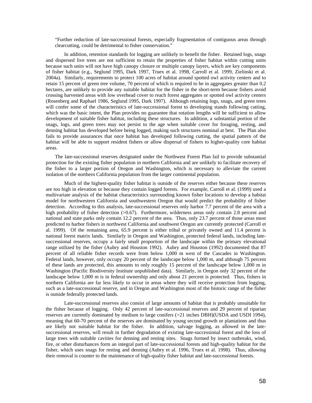"Further reduction of late-successional forests, especially fragmentation of contiguous areas through clearcutting, could be detrimental to fisher conservation."

In addition, retention standards for logging are unlikely to benefit the fisher. Retained logs, snags and dispersed live trees are not sufficient to retain the properties of fisher habitat within cutting units because such units will not have high canopy closure or multiple canopy layers, which are key components of fisher habitat (e.g., Seglund 1995, Dark 1997, Truex et al. 1998, Carroll et al. 1999, Zielinski et al. 2004a). Similarly, requirements to protect 100 acres of habitat around spotted owl activity centers and to retain 15 percent of green tree volume, 70 percent of which is required to be in aggregates greater than 0.2 hectares, are unlikely to provide any suitable habitat for the fisher in the short-term because fishers avoid crossing harvested areas with low overhead cover to reach forest aggregates or spotted owl activity centers (Rosenberg and Raphael 1986, Seglund 1995, Dark 1997). Although retaining logs, snags, and green trees will confer some of the characteristics of late-successional forest to developing stands following cutting, which was the basic intent, the Plan provides no guarantee that rotation lengths will be sufficient to allow development of suitable fisher habitat, including these structures. In addition, a substantial portion of the snags, logs, and green trees may not persist to the age when suitable cover for foraging, resting, and denning habitat has developed before being logged, making such structures nominal at best. The Plan also fails to provide assurances that once habitat has developed following cutting, the spatial pattern of the habitat will be able to support resident fishers or allow dispersal of fishers to higher-quality core habitat areas.

The late-successional reserves designated under the Northwest Forest Plan fail to provide substantial protection for the existing fisher population in northern California and are unlikely to facilitate recovery of the fisher to a larger portion of Oregon and Washington, which is necessary to alleviate the current isolation of the northern California population from the larger continental population.

Much of the highest-quality fisher habitat is outside of the reserves either because these reserves are too high in elevation or because they contain logged forests. For example, Carroll et al. (1999) used a multivariate analysis of the habitat characteristics surrounding known fisher locations to develop a habitat model for northwestern California and southwestern Oregon that would predict the probability of fisher detection. According to this analysis, late-successional reserves only harbor 7.7 percent of the area with a high probability of fisher detection (>0.67). Furthermore, wilderness areas only contain 2.8 percent and national and state parks only contain 12.2 percent of the area. Thus, only 23.7 percent of those areas most predicted to harbor fishers in northwest California and southwest Oregon are currently protected (Carroll et al. 1999). Of the remaining area, 65.9 percent is either tribal or privately owned and 11.4 percent is national forest matrix lands. Similarly in Oregon and Washington, protected federal lands, including latesuccessional reserves, occupy a fairly small proportion of the landscape within the primary elevational range utilized by the fisher (Aubry and Houston 1992). Aubry and Houston (1992) documented that 87 percent of all reliable fisher records were from below 1,000 m west of the Cascades in Washington. Federal lands, however, only occupy 20 percent of the landscape below 1,000 m, and although 75 percent of these lands are protected, this amounts to only roughly 15 percent of the landscape below 1,000 m in Washington (Pacific Biodiversity Institute unpublished data). Similarly, in Oregon only 32 percent of the landscape below 1,000 m is in federal ownership and only about 21 percent is protected. Thus, fishers in northern California are far less likely to occur in areas where they will receive protection from logging, such as a late-successional reserve, and in Oregon and Washington most of the historic range of the fisher is outside federally protected lands.

Late-successional reserves also consist of large amounts of habitat that is probably unsuitable for the fisher because of logging. Only 42 percent of late-successional reserves and 29 percent of riparian reserves are currently dominated by medium to large conifers (>21 inches DBH)(USDA and USDI 1994), meaning that 60-70 percent of the reserves are dominated by young second growth or plantations and thus are likely not suitable habitat for the fisher. In addition, salvage logging, as allowed in the latesuccessional reserves, will result in further degradation of existing late-successional forest and the loss of large trees with suitable cavities for denning and resting sites. Snags formed by insect outbreaks, wind, fire, or other disturbances form an integral part of late-successional forests and high-quality habitat for the fisher, which uses snags for resting and denning (Aubry et al. 1996, Truex et al. 1998). Thus, allowing their removal is counter to the maintenance of high-quality fisher habitat and late-successional forests.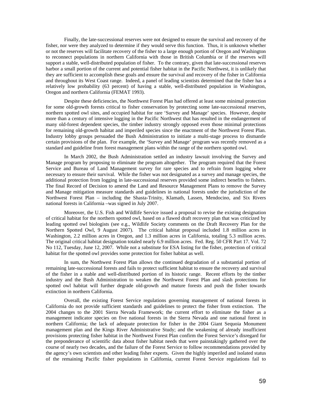Finally, the late-successional reserves were not designed to ensure the survival and recovery of the fisher, nor were they analyzed to determine if they would serve this function. Thus, it is unknown whether or not the reserves will facilitate recovery of the fisher to a large enough portion of Oregon and Washington to reconnect populations in northern California with those in British Columbia or if the reserves will support a stable, well-distributed population of fisher. To the contrary, given that late-successional reserves harbor a small portion of the current and potential fisher habitat in the Pacific Northwest, it is unlikely that they are sufficient to accomplish these goals and ensure the survival and recovery of the fisher in California and throughout its West Coast range. Indeed, a panel of leading scientists determined that the fisher has a relatively low probability (63 percent) of having a stable, well-distributed population in Washington, Oregon and northern California (FEMAT 1993).

Despite these deficiencies, the Northwest Forest Plan had offered at least some minimal protection for some old-growth forests critical to fisher conservation by protecting some late-successional reserves, northern spotted owl sites, and occupied habitat for rare 'Survey and Manage' species. However, despite more than a century of intensive logging in the Pacific Northwest that has resulted in the endangerment of many old-forest dependent species, the timber industry strongly opposed even those minimal protections for remaining old-growth habitat and imperiled species since the enactment of the Northwest Forest Plan. Industry lobby groups persuaded the Bush Administration to initiate a multi-stage process to dismantle certain provisions of the plan. For example, the 'Survey and Manage' program was recently removed as a standard and guideline from forest management plans within the range of the northern spotted owl.

In March 2002, the Bush Administration settled an industry lawsuit involving the Survey and Manage program by proposing to eliminate the program altogether. The program required that the Forest Service and Bureau of Land Management survey for rare species and to refrain from logging where necessary to ensure their survival. While the fisher was not designated as a survey and manage species, the additional protection from logging in late-successional reserves provided some indirect benefits to fishers. The final Record of Decision to amend the Land and Resource Management Plans to remove the Survey and Manage mitigation measure standards and guidelines in national forests under the jurisdiction of the Northwest Forest Plan – including the Shasta-Trinity, Klamath, Lassen, Mendocino, and Six Rivers national forests in California –was signed in July 2007.

Moreover, the U.S. Fish and Wildlife Service issued a proposal to revise the existing designation of critical habitat for the northern spotted owl, based on a flawed draft recovery plan that was criticized by leading spotted owl biologists (see e.g., Wildlife Society comments on the Draft Recovery Plan for the Northern Spotted Owl, 9 August 2007). The critical habitat proposal included 1.8 million acres in Washington, 2.2 million acres in Oregon, and 1.3 million acres in California, totaling 5.3 million acres. The original critical habitat designation totaled nearly 6.9 million acres. Fed. Reg. 50 CFR Part 17. Vol. 72 No 112, Tuesday, June 12, 2007. While not a substitute for ESA listing for the fisher, protection of critical habitat for the spotted owl provides some protection for fisher habitat as well.

In sum, the Northwest Forest Plan allows the continued degradation of a substantial portion of remaining late-successional forests and fails to protect sufficient habitat to ensure the recovery and survival of the fisher in a stable and well-distributed portion of its historic range. Recent efforts by the timber industry and the Bush Administration to weaken the Northwest Forest Plan and slash protections for spotted owl habitat will further degrade old-growth and mature forests and push the fisher towards extinction in northern California.

Overall, the existing Forest Service regulations governing management of national forests in California do not provide sufficient standards and guidelines to protect the fisher from extinction. The 2004 changes to the 2001 Sierra Nevada Framework; the current effort to eliminate the fisher as a management indicator species on five national forests in the Sierra Nevada and one national forest in northern California; the lack of adequate protection for fisher in the 2004 Giant Sequoia Monument management plan and the Kings River Administrative Study; and the weakening of already insufficient provisions protecting fisher habitat in the Northwest Forest Plan confirm the Forest Service's disregard for the preponderance of scientific data about fisher habitat needs that were painstakingly gathered over the course of nearly two decades, and the failure of the Forest Service to follow recommendations provided by the agency's own scientists and other leading fisher experts. Given the highly imperiled and isolated status of the remaining Pacific fisher populations in California, current Forest Service regulations fail to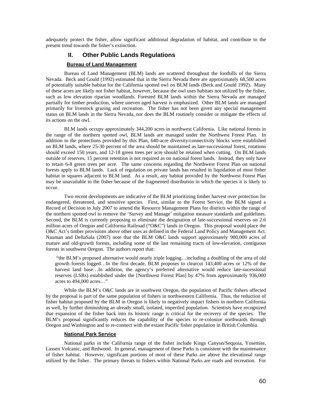adequately protect the fisher, allow significant additional degradation of habitat, and contribute to the present trend towards the fisher's extinction.

## **II. Other Public Lands Regulations**

## **Bureau of Land Management**

Bureau of Land Management (BLM) lands are scattered throughout the foothills of the Sierra Nevada. Beck and Gould (1992) estimated that in the Sierra Nevada there are approximately 68,500 acres of potentially suitable habitat for the California spotted owl on BLM lands (Beck and Gould 1992). Many of these acres are likely not fisher habitat, however, because the owl uses habitats not utilized by the fisher, such as low elevation riparian woodlands. Forested BLM lands within the Sierra Nevada are managed partially for timber production, where uneven aged harvest is emphasized. Other BLM lands are managed primarily for livestock grazing and recreation. The fisher has not been given any special management status on BLM lands in the Sierra Nevada, nor does the BLM routinely consider or mitigate the effects of its actions on the owl.

BLM lands occupy approximately 344,200 acres in northwest California. Like national forests in the range of the northern spotted owl, BLM lands are managed under the Northwest Forest Plan. In addition to the protections provided by this Plan, 640-acre diversity/connectivity blocks were established on BLM lands, where 25-30 percent of the area should be maintained as late-successional forest, rotations should exceed 150 years, and 12-18 green trees per acre should be retained when cutting. On BLM lands outside of reserves, 15 percent retention is not required as on national forest lands. Instead, they only have to retain 6-8 green trees per acre. The same concerns regarding the Northwest Forest Plan on national forests apply to BLM lands. Lack of regulation on private lands has resulted in liquidation of most fisher habitat in squares adjacent to BLM land. As a result, any habitat provided by the Northwest Forest Plan may be unavailable to the fisher because of the fragmented distribution in which the species it is likely to occur.

Two recent developments are indicative of the BLM prioritizing timber harvest over protection for endangered, threatened, and sensitive species. First, similar to the Forest Service, the BLM signed a Record of Decision in July 2007 to amend the Resource Management Plans for districts within the range of the northern spotted owl to remove the 'Survey and Manage' mitigation measure standards and guidelines. Second, the BLM is currently proposing to eliminate the designation of late-successional reserves on 2.6 million acres of Oregon and California Railroad ("O&C") lands in Oregon. This proposal would place the O&C Act's timber provisions above other uses as defined in the Federal Land Policy and Management Act. Nauman and DellaSala (2007) note that the BLM O&C lands support approximately 900,000 acres of mature and old-growth forests, including some of the last remaining tracts of low-elevation, contiguous forests in southwest Oregon. The authors report that:

 "the BLM's proposed alternative would nearly triple logging…including a doubling of the area of old growth forests logged…In the first decade, BLM proposes to clearcut 143,400 acres or 12% of the harvest land base...In addition, the agency's preferred alternative would reduce late-sucessional reserves (LSRs) established under the [Northwest Forest Plan] by 47% from approximately 936,000 acres to 494,000 acres…"

While the BLM's O&C lands are in southwest Oregon, the population of Pacific fishers affected by the proposal is part of the same population of fishers in northwestern California. Thus, the reduction of fisher habitat proposed by the BLM in Oregon is likely to negatively impact fishers in northern California as well, by further diminishing an already small, isolated, imperiled population. Scientists have recognized that expansion of the fisher back into its historic range is critical for the recovery of the species. The BLM's proposal significantly reduces the capability of the species to re-colonize northwards through Oregon and Washington and to re-connect with the extant Pacific fisher population in British Columbia.

### **National Park Service**

National parks in the California range of the fisher include Kings Canyon/Sequoia, Yosemite, Lassen Volcanic, and Redwood. In general, management of these Parks is consistent with the maintenance of fisher habitat. However, significant portions of most of these Parks are above the elevational range utilized by the fisher. The primary threats to fishers within National Parks are roads and recreation. For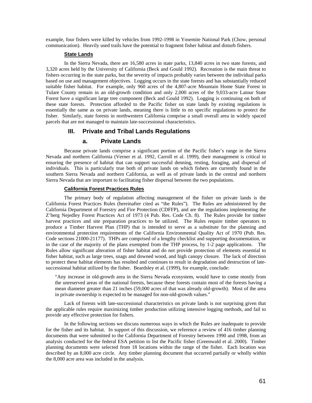example, four fishers were killed by vehicles from 1992-1998 in Yosemite National Park (Chow, personal communication). Heavily used trails have the potential to fragment fisher habitat and disturb fishers.

## **State Lands**

 In the Sierra Nevada, there are 16,580 acres in state parks, 13,840 acres in two state forests, and 3,320 acres held by the University of California (Beck and Gould 1992). Recreation is the main threat to fishers occurring in the state parks, but the severity of impacts probably varies between the individual parks based on use and management objectives. Logging occurs in the state forests and has substantially reduced suitable fisher habitat. For example, only 960 acres of the 4,807-acre Mountain Home State Forest in Tulare County remain in an old-growth condition and only 2,000 acres of the 9,033-acre Latour State Forest have a significant large tree component (Beck and Gould 1992). Logging is continuing on both of these state forests. Protection afforded to the Pacific fisher on state lands by existing regulations is essentially the same as on private lands, meaning there is little to no specific regulations to protect the fisher. Similarly, state forests in northwestern California comprise a small overall area in widely spaced parcels that are not managed to maintain late-successional characteristics.

### **III. Private and Tribal Lands Regulations**

## **a. Private Lands**

 Because private lands comprise a significant portion of the Pacific fisher's range in the Sierra Nevada and northern California (Verner et al. 1992, Carroll et al. 1999), their management is critical to ensuring the presence of habitat that can support successful denning, resting, foraging, and dispersal of individuals. This is particularly true both of private lands on which fishers are currently found in the southern Sierra Nevada and northern California, as well as of private lands in the central and northern Sierra Nevada that are important to facilitating fisher dispersal between the two populations.

#### **California Forest Practices Rules**

 The primary body of regulation affecting management of the fisher on private lands is the California Forest Practices Rules (hereinafter cited as "the Rules"). The Rules are administered by the California Department of Forestry and Fire Protection (CDFFP), and are the regulations implementing the Z'berg Nejedley Forest Practices Act of 1973 (4 Pub. Res. Code Ch. 8). The Rules provide for timber harvest practices and site preparation practices to be utilized. The Rules require timber operators to produce a Timber Harvest Plan (THP) that is intended to serve as a substitute for the planning and environmental protection requirements of the California Environmental Quality Act of 1970 (Pub. Res. Code sections 21000-21177). THPs are comprised of a lengthy checklist and supporting documentation, or in the case of the majority of the plans exempted from the THP process, by 1-2 page applications. The Rules allow significant alteration of fisher habitat and do not provide protection of elements essential to fisher habitat, such as large trees, snags and downed wood, and high canopy closure. The lack of direction to protect these habitat elements has resulted and continues to result in degradation and destruction of latesuccessional habitat utilized by the fisher. Beardsley et al. (1999), for example, conclude:

"Any increase in old-growth area in the Sierra Nevada ecosystem, would have to come mostly from the unreserved areas of the national forests, because these forests contain most of the forests having a mean diameter greater than 21 inches (59,000 acres of that was already old-growth). Most of the area in private ownership is expected to be managed for non-old-growth values."

Lack of forests with late-successional characteristics on private lands is not surprising given that the applicable rules require maximizing timber production utilizing intensive logging methods, and fail to provide any effective protection for fishers.

In the following sections we discuss numerous ways in which the Rules are inadequate to provide for the fisher and its habitat. In support of this discussion, we reference a review of 416 timber planning documents that were submitted to the California Department of Forestry between 1990 and 1998, from an analysis conducted for the federal ESA petition to list the Pacific fisher (Greenwald et al. 2000). Timber planning documents were selected from 18 locations within the range of the fisher. Each location was described by an 8,000 acre circle. Any timber planning document that occurred partially or wholly within the 8,000 acre area was included in the analysis.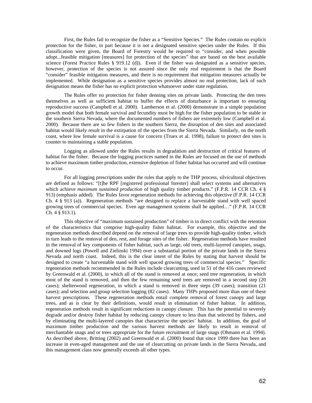First, the Rules fail to recognize the fisher as a "Sensitive Species." The Rules contain no explicit protection for the fisher, in part because it is not a designated sensitive species under the Rules. If this classification were given, the Board of Forestry would be required to "consider, and when possible adopt...feasible mitigation [measures] for protection of the species" that are based on the best available science (Forest Practice Rules § 919.12 (d)). Even if the fisher was designated as a sensitive species, however, protection of the species is not assured since the only real requirement is that the Board "consider" feasible mitigation measures, and there is no requirement that mitigation measures actually be implemented. While designation as a sensitive species provides almost no real protection, lack of such designation means the fisher has no explicit protection whatsoever under state regulation.

The Rules offer no protection for fisher denning sites on private lands. Protecting the den trees themselves as well as sufficient habitat to buffer the effects of disturbance is important to ensuring reproductive success (Campbell et al. 2000). Lamberson et al. (2000) demonstrate in a simple population growth model that both female survival and fecundity must be high for the fisher population to be stable in the southern Sierra Nevada, where the documented numbers of fishers are extremely low (Campbell et al. 2000). Because there are so few fishers in the southern Sierra, the disruption of den sites and associated habitat would likely result in the extirpation of the species from the Sierra Nevada. Similarly, on the north coast, where low female survival is a cause for concern (Truex et al. 1998), failure to protect den sites is counter to maintaining a stable population.

Logging as allowed under the Rules results in degradation and destruction of critical features of habitat for the fisher. Because the logging practices named in the Rules are focused on the use of methods to achieve maximum timber production, extensive depletion of fisher habitat has occurred and will continue to occur.

For all logging prescriptions under the rules that apply to the THP process, silvicultural objectives are defined as follows: "[t]he RPF [registered professional forester] shall select systems and alternatives which achieve *maximum sustained production* of high quality timber products." (F.P.R. 14 CCR Ch. 4 § 913) (emphasis added). The Rules favor regeneration methods for achieving this objective (F.P.R. 14 CCR Ch. 4 § 913 (a)). Regeneration methods "are designed to replace a harvestable stand with well spaced growing trees of commercial species. Even age management systems shall be applied…" (F.P.R. 14 CCR Ch. 4 § 913.1).

This objective of "maximum sustained production" of timber is in direct conflict with the retention of the characteristics that comprise high-quality fisher habitat. For example, this objective and the regeneration methods described depend on the removal of large trees to provide high-quality timber, which in turn leads to the removal of den, rest, and forage sites of the fisher. Regeneration methods have resulted in the removal of key components of fisher habitat, such as large, old trees, multi-layered canopies, snags, and downed logs (Powell and Zielinski 1994) over a substantial portion of the private lands in the Sierra Nevada and north coast. Indeed, this is the clear intent of the Rules by stating that harvest should be designed to create "a harvestable stand with well spaced growing trees of commercial species." Specific regeneration methods recommended in the Rules include clearcutting, used in 51 of the 416 cases reviewed by Greenwald et al. (2000), in which all of the stand is removed at once; seed tree regeneration, in which most of the stand is removed, and then the few remaining seed trees are removed in a second step (20 cases); shelterwood regeneration, in which a stand is removed in three steps (39 cases); transition (21 cases); and selection and group selection logging (82 cases). Many THPs proposed more than one of these harvest prescriptions. These regeneration methods entail complete removal of forest canopy and large trees, and as is clear by their definitions, would result in elimination of fisher habitat. In addition, regeneration methods result in significant reductions in canopy closure. This has the potential to severely degrade and/or destroy fisher habitat by reducing canopy closure to less than that selected by fishers, and by eliminating the multi-layered canopies that characterize the species' habitat. In addition, the goal of maximum timber production and the various harvest methods are likely to result in removal of merchantable snags and or trees appropriate for the future recruitment of large snags (Ohmann et al. 1994). As described above, Britting (2002) and Greenwald et al. (2000) found that since 1999 there has been an increase in even-aged management and the use of clearcutting on private lands in the Sierra Nevada, and this management class now generally exceeds all other types.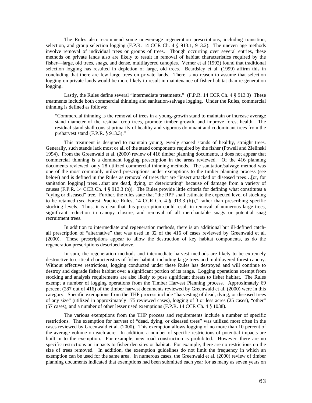The Rules also recommend some uneven-age regeneration prescriptions, including transition, selection, and group selection logging (F.P.R. 14 CCR Ch. 4 § 913.1, 913.2). The uneven age methods involve removal of individual trees or groups of trees. Though occurring over several entries, these methods on private lands also are likely to result in removal of habitat characteristics required by the fisher—large, old trees, snags, and dense, multilayered canopies. Verner et al (1992) found that traditional selection logging has resulted in depletion of large, old trees. Beardsley et al. (1999) affirm this in concluding that there are few large trees on private lands. There is no reason to assume that selection logging on private lands would be more likely to result in maintenance of fisher habitat than re-generation logging.

Lastly, the Rules define several "intermediate treatments." (F.P.R. 14 CCR Ch. 4 § 913.3) These treatments include both commercial thinning and sanitation-salvage logging. Under the Rules, commercial thinning is defined as follows:

"Commercial thinning is the removal of trees in a young-growth stand to maintain or increase average stand diameter of the residual crop trees, promote timber growth, and improve forest health. The residual stand shall consist primarily of healthy and vigorous dominant and codominant trees from the preharvest stand (F.P.R. § 913.3)."

This treatment is designed to maintain young, evenly spaced stands of healthy, straight trees. Generally, such stands lack most or all of the stand components required by the fisher (Powell and Zielinski 1994). From the Greenwald et al. (2000) review of 416 timber planning documents, it does not appear that commercial thinning is a dominant logging prescription in the areas reviewed. Of the 416 planning documents reviewed, only 28 utilized commercial thinning methods. The sanitation/salvage method was one of the most commonly utilized prescriptions under exemptions to the timber planning process (see below) and is defined in the Rules as removal of trees that are "insect attacked or diseased trees...[or, for sanitation logging] trees…that are dead, dying, or deteriorating" because of damage from a variety of causes (F.P.R. 14 CCR Ch. 4 § 913.3 (b)). The Rules provide little criteria for defining what constitutes a "dying or diseased" tree. Further, the rules state that "the RPF shall estimate the expected level of stocking to be retained (*see* Forest Practice Rules, 14 CCR Ch. 4 § 913.3 (b))," rather than prescribing specific stocking levels. Thus, it is clear that this prescription could result in removal of numerous large trees, significant reduction in canopy closure, and removal of all merchantable snags or potential snag recruitment trees.

In addition to intermediate and regeneration methods, there is an additional but ill-defined catchall prescription of "alternative" that was used in 32 of the 416 of cases reviewed by Greenwald et al. (2000). These prescriptions appear to allow the destruction of key habitat components, as do the regeneration prescriptions described above.

In sum, the regeneration methods and intermediate harvest methods are likely to be extremely destructive to critical characteristics of fisher habitat, including large trees and multilayered forest canopy. Without effective restrictions, logging conducted under these Rules has destroyed and will continue to destroy and degrade fisher habitat over a significant portion of its range. Logging operations exempt from stocking and analysis requirements are also likely to pose significant threats to fisher habitat. The Rules exempt a number of logging operations from the Timber Harvest Planning process. Approximately 69 percent (287 out of 416) of the timber harvest documents reviewed by Greenwald et al. (2000) were in this category. Specific exemptions from the THP process include "harvesting of dead, dying, or diseased trees of any size" (utilized in approximately 175 reviewed cases), logging of 3 or less acres (25 cases), "other" (57 cases), and a number of other lesser used exemptions (F.P.R. 14 CCR Ch. 4 § 1038).

The various exemptions from the THP process and requirements include a number of specific restrictions. The exemption for harvest of "dead, dying, or diseased trees" was utilized most often in the cases reviewed by Greenwald et al. (2000). This exemption allows logging of no more than 10 percent of the average volume on each acre. In addition, a number of specific restrictions of potential impacts are built in to the exemption. For example, new road construction is prohibited. However, there are no specific restrictions on impacts to fisher den sites or habitat. For example, there are no restrictions on the size of trees removed. In addition, the exemption guidelines do not limit the frequency in which an exemption can be used for the same area. In numerous cases, the Greenwald et al. (2000) review of timber planning documents indicated that exemptions had been submitted each year for as many as seven years on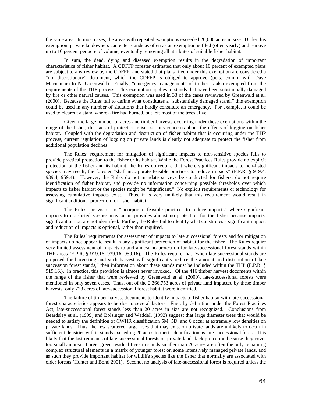the same area. In most cases, the areas with repeated exemptions exceeded 20,000 acres in size. Under this exemption, private landowners can enter stands as often as an exemption is filed (often yearly) and remove up to 10 percent per acre of volume, eventually removing all attributes of suitable fisher habitat.

In sum, the dead, dying and diseased exemption results in the degradation of important characteristics of fisher habitat. A CDFFP forester estimated that only about 10 percent of exempted plans are subject to any review by the CDFFP, and stated that plans filed under this exemption are considered a "non-discretionary" document, which the CDFFP is obliged to approve (pers. comm. with Dave Macnamara to N. Greenwald). Finally, "emergency management" of timber is also exempted from the requirements of the THP process. This exemption applies to stands that have been substantially damaged by fire or other natural causes. This exemption was used in 33 of the cases reviewed by Greenwald et al. (2000). Because the Rules fail to define what constitutes a "substantially damaged stand," this exemption could be used in any number of situations that hardly constitute an emergency. For example, it could be used to clearcut a stand where a fire had burned, but left most of the trees alive.

Given the large number of acres and timber harvests occurring under these exemptions within the range of the fisher, this lack of protection raises serious concerns about the effects of logging on fisher habitat. Coupled with the degradation and destruction of fisher habitat that is occurring under the THP process, current regulation of logging on private lands is clearly not adequate to protect the fisher from additional population declines.

 The Rules' requirement for mitigation of significant impacts to non-sensitive species fails to provide practical protection to the fisher or its habitat. While the Forest Practices Rules provide no explicit protection of the fisher and its habitat, the Rules do require that where significant impacts to non-listed species may result, the forester "shall incorporate feasible practices to reduce impacts" (F.P.R. § 919.4, 939.4, 959.4). However, the Rules do not mandate surveys be conducted for fishers, do not require identification of fisher habitat, and provide no information concerning possible thresholds over which impacts to fisher habitat or the species might be "significant." No explicit requirements or technology for assessing cumulative impacts exist. Thus, it is very unlikely that this requirement would result in significant additional protection for fisher habitat.

The Rules' provision to "incorporate feasible practices to reduce impacts" where significant impacts to non-listed species may occur provides almost no protection for the fisher because impacts, significant or not, are not identified. Further, the Rules fail to identify what constitutes a significant impact, and reduction of impacts is optional, rather than required.

The Rules' requirements for assessment of impacts to late successional forests and for mitigation of impacts do not appear to result in any significant protection of habitat for the fisher. The Rules require very limited assessment of impacts to and almost no protection for late-successional forest stands within THP areas (F.P.R. § 919.16, 939.16, 959.16). The Rules require that "when late successional stands are proposed for harvesting and such harvest will significantly reduce the amount and distribution of late succession forest stands," then information about these stands must be included within the THP (F.P.R. § 919.16.). In practice, this provision is almost never invoked. Of the 416 timber harvest documents within the range of the fisher that were reviewed by Greenwald et al. (2000), late-successional forests were mentioned in only seven cases. Thus, out of the 2,366,753 acres of private land impacted by these timber harvests, only 728 acres of late-successional forest habitat were identified.

The failure of timber harvest documents to identify impacts to fisher habitat with late-successional forest characteristics appears to be due to several factors. First, by definition under the Forest Practices Act, late-successional forest stands less than 20 acres in size are not recognized. Conclusions from Beardsley et al. (1999) and Bolsinger and Waddell (1993) suggest that large diameter trees that would be needed to satisfy the definition of CWHR classification 5M, 5D, and 6 occur at extremely low densities on private lands. Thus, the few scattered large trees that may exist on private lands are unlikely to occur in sufficient densities within stands exceeding 20 acres to merit identification as late-successional forest. It is likely that the last remnants of late-successional forests on private lands lack protection because they cover too small an area. Large, green residual trees in stands smaller than 20 acres are often the only remaining complex structural elements in a matrix of younger forest on some intensively managed private lands, and as such they provide important habitat for wildlife species like the fisher that normally are associated with older forests (Hunter and Bond 2001). Second, no analysis of late-successional forest is required unless the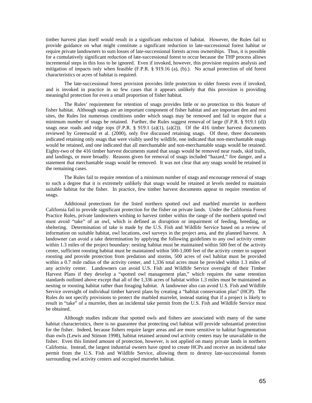timber harvest plan itself would result in a significant reduction of habitat. However, the Rules fail to provide guidance on what might constitute a significant reduction in late-successional forest habitat or require private landowners to sum losses of late-successional forests across ownerships. Thus, it is possible for a cumulatively significant reduction of late-successional forest to occur because the THP process allows incremental steps in this loss to be ignored. Even if invoked, however, this provision requires analysis and mitigation of impacts only when feasible (F.P.R. § 919.16 (a), (b).). No actual protection of old forest characteristics or acres of habitat is required.

The late-successional forest provision provides little protection to older forests even if invoked, and is invoked in practice in so few cases that it appears unlikely that this provision is providing meaningful protection for even a small proportion of fisher habitat.

The Rules' requirement for retention of snags provides little or no protection to this feature of fisher habitat. Although snags are an important component of fisher habitat and are important den and rest sites, the Rules list numerous conditions under which snags may be removed and fail to require that a minimum number of snags be retained. Further, the Rules suggest removal of large (F.P.R. § 919.1 (d)) snags near roads and ridge tops  $(F.P.R. \S 919.1 \text{ (a)}(1), \text{ (a)}(2))$ . Of the 416 timber harvest documents reviewed by Greenwald et al. (2000), only five discussed retaining snags. Of these, three documents indicated retaining only snags that were visibly used by wildlife, one indicated that non-merchantable snags would be retained, and one indicated that all merchantable and non-merchantable snags would be retained. Eighty-two of the 416 timber harvest documents stated that snags would be removed near roads, skid trails, and landings, or more broadly. Reasons given for removal of snags included "hazard," fire danger, and a statement that merchantable snags would be removed. It was not clear that any snags would be retained in the remaining cases.

The Rules fail to require retention of a minimum number of snags and encourage removal of snags to such a degree that it is extremely unlikely that snags would be retained at levels needed to maintain suitable habitat for the fisher. In practice, few timber harvest documents appear to require retention of snags.

Additional protections for the listed northern spotted owl and marbled murrelet in northern California fail to provide significant protection for the fisher on private lands. Under the California Forest Practice Rules, private landowners wishing to harvest timber within the range of the northern spotted owl must avoid "take" of an owl, which is defined as disruption or impairment of feeding, breeding, or sheltering. Determination of take is made by the U.S. Fish and Wildlife Service based on a review of information on suitable habitat, owl locations, owl surveys in the project area, and the planned harvest. A landowner can avoid a take determination by applying the following guidelines to any owl activity center within 1.3 miles of the project boundary: nesting habitat must be maintained within 500 feet of the activity center, sufficient roosting habitat must be maintained within 500-1,000 feet of the activity center to support roosting and provide protection from predation and storms, 500 acres of owl habitat must be provided within a 0.7 mile radius of the activity center, and 1,336 total acres must be provided within 1.3 miles of any activity center. Landowners can avoid U.S. Fish and Wildlife Service oversight of their Timber Harvest Plans if they develop a "spotted owl management plan," which requires the same retention standards outlined above except that all of the 1,336 acres of habitat within 1.3 miles must be maintained as nesting or roosting habitat rather than foraging habitat. A landowner also can avoid U.S. Fish and Wildlife Service oversight of individual timber harvest plans by creating a "habitat conservation plan" (HCP). The Rules do not specify provisions to protect the marbled murrelet, instead stating that if a project is likely to result in "take" of a murrelet, then an incidental take permit from the U.S. Fish and Wildlife Service must be obtained.

Although studies indicate that spotted owls and fishers are associated with many of the same habitat characteristics, there is no guarantee that protecting owl habitat will provide substantial protection for the fisher. Indeed, because fishers require larger areas and are more sensitive to habitat fragmentation than owls (Lewis and Stinson 1998), habitat retained around owl activity centers may be unavailable to the fisher. Even this limited amount of protection, however, is not applied on many private lands in northern California. Instead, the largest industrial owners have opted to create HCPs and receive an incidental take permit from the U.S. Fish and Wildlife Service, allowing them to destroy late-successional forests surrounding owl activity centers and occupied murrelet habitat.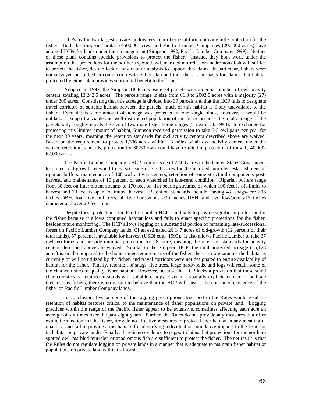HCPs by the two largest private landowners in northern California provide little protection for the fisher. Both the Simpson Timber (450,000 acres) and Pacific Lumber Companies (200,000 acres) have adopted HCPs for lands under their management (Simpson 1992, Pacific Lumber Company 1999). Neither of these plans contains specific provisions to protect the fisher. Instead, they both work under the assumption that protections for the northern spotted owl, marbled murrelet, or anadromous fish will suffice to protect the fisher, despite lack of any data or analysis to support this claim. In particular, fishers were not surveyed or studied in conjunction with either plan and thus there is no basis for claims that habitat protected by either plan provides substantial benefit to the fisher.

Adopted in 1992, the Simpson HCP sets aside 39 parcels with an equal number of owl activity centers, totaling 13,242.5 acres. The parcels range in size from 61.3 to 2002.5 acres with a majority (27) under 300 acres. Considering that this acreage is divided into 39 parcels and that the HCP fails to designate travel corridors of suitable habitat between the parcels, much of this habitat is likely unavailable to the fisher. Even if this same amount of acreage was protected in one single block, however, it would be unlikely to support a viable and well-distributed population of the fisher because the total acreage of the parcels only roughly equals the size of two male fisher home ranges (Truex et al. 1998). In exchange for protecting this limited amount of habitat, Simpson received permission to take 3-5 owl pairs per year for the next 30 years, meaning the retention standards for owl activity centers described above are waived. Based on the requirement to protect 1,336 acres within 1.3 miles of all owl activity centers under the waived retention standards, protection for 30-50 owls could have resulted in protection of roughly 40,000- 67,000 acres.

The Pacific Lumber Company's HCP requires sale of 7,400 acres to the United States Government to protect old-growth redwood trees, set aside of 7,728 acres for the marbled murrelet, establishment of riparian buffers, maintenance of 108 owl activity centers, retention of some structural components postharvest, and maintenance of 10 percent of each watershed in late-seral condition. Riparian buffers range from 30 feet on intermittent streams to 170 feet on fish bearing streams, of which 100 feet is off-limits to harvest and 70 feet is open to limited harvest. Retention standards include leaving 4.8 snags/acre >15 inches DBH, four live cull trees, all live hardwoods  $>30$  inches DBH, and two logs/acre  $>15$  inches diameter and over 20 feet long.

Despite these protections, the Pacific Lumber HCP is unlikely to provide significant protection for the fisher because it allows continued habitat loss and fails to enact specific protections for the fisher, besides future monitoring. The HCP allows logging of a substantial portion of remaining late-successional forest on Pacific Lumber Company lands. Of an estimated 26,147 acres of old-growth (12 percent of their total lands), 57 percent is available for harvest (USDI et al. 1999). It also allows Pacific Lumber to take 37 owl territories and provide minimal protection for 28 more, meaning the retention standards for activity centers described above are waived. Similar to the Simpson HCP, the total protected acreage (15,128 acres) is small compared to the home range requirements of the fisher, there is no guarantee the habitat is currently or will be utilized by the fisher, and travel corridors were not designated to ensure availability of habitat for the fisher. Finally, retention of snags, live trees, large hardwoods, and logs will retain some of the characteristics of quality fisher habitat. However, because the HCP lacks a provision that these stand characteristics be retained in stands with suitable canopy cover in a spatially explicit manner to facilitate their use by fishers, there is no reason to believe that the HCP will ensure the continued existence of the fisher on Pacific Lumber Company lands.

In conclusion, few or none of the logging prescriptions described in the Rules would result in retention of habitat features critical to the maintenance of fisher populations on private land. Logging practices within the range of the Pacific fisher appear to be extensive, sometimes affecting each acre an average of six times over the past eight years. Further, the Rules do not provide any measures that offer explicit protection for the fisher, provide no effective measures to protect fisher habitat in any meaningful quantity, and fail to provide a mechanism for identifying individual or cumulative impacts to the fisher or its habitat on private lands. Finally, there is no evidence to support claims that protections for the northern spotted owl, marbled murrelet, or anadromous fish are sufficient to protect the fisher. The net result is that the Rules do not regulate logging on private lands in a manner that is adequate to maintain fisher habitat or populations on private land within California.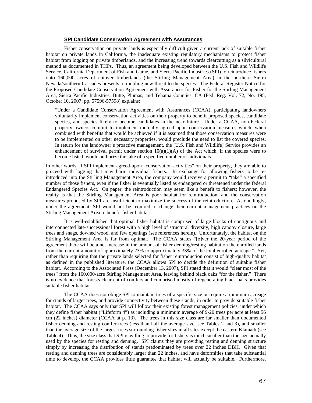#### **SPI Candidate Conservation Agreement with Assurances**

Fisher conservation on private lands is especially difficult given a current lack of suitable fisher habitat on private lands in California, the inadequate existing regulatory mechanisms to protect fisher habitat from logging on private timberlands, and the increasing trend towards clearcutting as a silvicultural method as documented in THPs. Thus, an agreement being developed between the U.S. Fish and Wildlife Service, California Department of Fish and Game, and Sierra Pacific Industries (SPI) to reintroduce fishers onto 160,000 acres of cutover timberlands (the Stirling Management Area) in the northern Sierra Nevada/southern Cascades presents a troubling new threat to the species. The Federal Register Notice for the Proposed Candidate Conservation Agreement with Assurances for Fisher for the Stirling Management Area, Sierra Pacific Industries, Butte, Plumas, and Tehama Counties, CA (Fed. Reg. Vol. 72, No. 195, October 10, 2007; pp. 57596-57598) explains:

"Under a Candidate Conservation Agreement with Assurances (CCAA), participating landowners voluntarily implement conservation activities on their property to benefit proposed species, candidate species, and species likely to become candidates in the near future. Under a CCAA, non-Federal property owners commit to implement mutually agreed upon conservation measures which, when combined with benefits that would be achieved if it is assumed that those conservation measures were to be implemented on other necessary properties, would preclude the need to list the covered species. In return for the landowner's proactive management, the [U.S. Fish and Wildlife] Service provides an enhancement of survival permit under section  $10(a)(1)(A)$  of the Act which, if the species were to become listed, would authorize the take of a specified number of individuals."

In other words, if SPI implement agreed-upon "conservation activities" on their property, they are able to proceed with logging that may harm individual fishers. In exchange for allowing fishers to be reintroduced into the Stirling Management Area, the company would receive a permit to "take" a specified number of those fishers, even if the fisher is eventually listed as endangered or threatened under the federal Endangered Species Act. On paper, the reintroduction may seem like a benefit to fishers; however, the reality is that the Stirling Management Area is poor habitat for reintroduction, and the conservation measures proposed by SPI are insufficient to maximize the success of the reintroduction. Astoundingly, under the agreement, SPI would not be required to change their current management practices on the Stirling Management Area to benefit fisher habitat.

It is well-established that optimal fisher habitat is comprised of large blocks of contiguous and interconnected late-successional forest with a high level of structural diversity, high canopy closure, large trees and snags, downed wood, and few openings (see references herein). Unfortunately, the habitat on the Stirling Management Area is far from optimal. The CCAA states "[o]ver the 20-year period of the agreement there will be a net increase in the amount of fisher denning/resting habitat on the enrolled lands from the current amount of approximately 23% to approximately 33% of the total enrolled acreage." Yet, rather than requiring that the private lands selected for fisher reintroduction consist of high-quality habitat as defined in the published literature, the CCAA allows SPI to decide the definition of suitable fisher habitat. According to the Associated Press (December 13, 2007), SPI stated that it would "clear most of the trees" from the 160,000-acre Stirling Management Area, leaving behind black oaks "for the fisher." There is no evidence that forests clear-cut of conifers and comprised mostly of regenerating black oaks provides suitable fisher habitat.

The CCAA does not oblige SPI to maintain trees of a specific size or require a minimum acreage for stands of larger trees, and provide connectivity between these stands, in order to provide suitable fisher habitat. The CCAA says only that SPI will follow their existing forest management policies, under which they define fisher habitat ("Lifeform 4") as including a minimum average of 9-20 trees per acre at least 56 cm (22 inches) diameter (CCAA at p. 13). The trees in this size class are far smaller than documented fisher denning and resting conifer trees (less than half the average size; see Tables 2 and 3), and smaller than the average size of the largest trees surrounding fisher sites in all sites except the eastern Klamath (see Table 4). Thus, the size class that SPI is willing to provide for fishers is much smaller than the size actually used by the species for resting and denning. SPI claims they are providing resting and denning structure simply by increasing the distribution of stands predominated by trees over 22 inches DBH. Given that resting and denning trees are considerably larger than 22 inches, and have deformities that take substantial time to develop, the CCAA provides little guarantee that habitat will actually be suitable. Furthermore,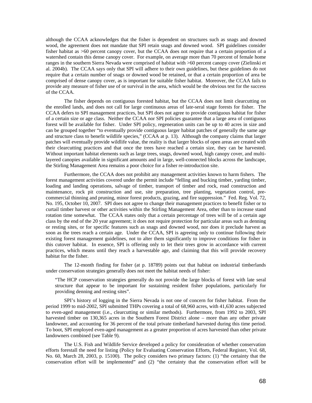although the CCAA acknowledges that the fisher is dependent on structures such as snags and downed wood, the agreement does not mandate that SPI retain snags and downed wood. SPI guidelines consider fisher habitat as >60 percent canopy cover, but the CCAA does not require that a certain proportion of a watershed contain this dense canopy cover. For example, on average more than 70 percent of female home ranges in the southern Sierra Nevada were comprised of habitat with >60 percent canopy cover (Zielinski et al. 2004b). The CCAA says only that SPI will adhere to their own guidelines, but these guidelines do not require that a certain number of snags or downed wood be retained, or that a certain proportion of area be comprised of dense canopy cover, as is important for suitable fisher habitat. Moreover, the CCAA fails to provide any measure of fisher use of or survival in the area, which would be the obvious test for the success of the CCAA.

The fisher depends on contiguous forested habitat, but the CCAA does not limit clearcutting on the enrolled lands, and does not call for large continuous areas of late-seral stage forests for fisher. The CCAA defers to SPI management practices, but SPI does not agree to provide contiguous habitat for fisher of a certain size or age class. Neither the CCAA nor SPI policies guarantee that a large area of contiguous forest will be available for fisher. Under SPI policy, regeneration units can be up to 40 acres in size and can be grouped together "to eventually provide contiguous larger habitat patches of generally the same age and structure class to benefit wildlife species," (CCAA at p. 13). Although the company claims that larger patches will eventually provide wildlife value, the reality is that larger blocks of open areas are created with their clearcutting practices and that once the trees have reached a certain size, they can be harvested. Without important habitat elements such as large trees, snags, downed wood, high canopy cover, and multilayered canopies available in significant amounts and in large, well-connected blocks across the landscape, the Stirling Management Area remains a poor choice for a fisher re-introduction site.

Furthermore, the CCAA does not prohibit any management activities known to harm fishers. The forest management activities covered under the permit include "felling and bucking timber, yarding timber, loading and landing operations, salvage of timber, transport of timber and rock, road construction and maintenance, rock pit construction and use, site preparation, tree planting, vegetation control, precommercial thinning and pruning, minor forest products, grazing, and fire suppression." Fed. Reg. Vol. 72, No. 195, October 10, 2007. SPI does not agree to change their management practices to benefit fisher or to curtail timber harvest or other activities within the Stirling Management Area, other than to increase stand rotation time somewhat. The CCAA states only that a certain percentage of trees will be of a certain age class by the end of the 20 year agreement; it does not require protection for particular areas such as denning or resting sites, or for specific features such as snags and downed wood, nor does it preclude harvest as soon as the trees reach a certain age. Under the CCAA, SPI is agreeing only to continue following their existing forest management guidelines, not to alter them significantly to improve conditions for fisher in this cutover habitat. In essence, SPI is offering only to let their trees grow in accordance with current practices, which means until they reach a harvestable age, and claiming that this will provide recovery habitat for the fisher.

The 12-month finding for fisher (at p. 18789) points out that habitat on industrial timberlands under conservation strategies generally does not meet the habitat needs of fisher:

"The HCP conservation strategies generally do not provide the large blocks of forest with late seral structure that appear to be important for sustaining resident fisher populations, particularly for providing denning and resting sites".

SPI's history of logging in the Sierra Nevada is not one of concern for fisher habitat. From the period 1999 to mid-2002, SPI submitted THPs covering a total of 68,960 acres, with 41,630 acres subjected to even-aged management (i.e., clearcutting or similar methods). Furthermore, from 1992 to 2003, SPI harvested timber on 130,365 acres in the Southern Forest District alone – more than any other private landowner, and accounting for 36 percent of the total private timberland harvested during this time period. To boot, SPI employed even-aged management as a greater proportion of acres harvested than other private landowners combined (see Table 9).

The U.S. Fish and Wildlife Service developed a policy for consideration of whether conservation efforts forestall the need for listing (Policy for Evaluating Conservation Efforts, Federal Register, Vol. 68, No. 60, March 28, 2003, p. 15100). The policy considers two primary factors: (1) "the certainty that the conservation effort will be implemented" and (2) "the certainty that the conservation effort will be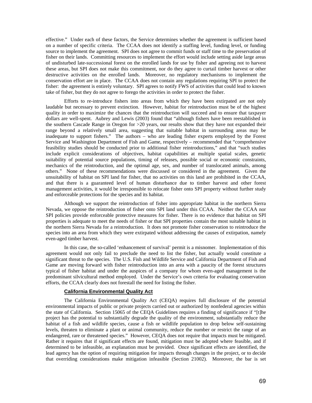effective." Under each of these factors, the Service determines whether the agreement is sufficient based on a number of specific criteria. The CCAA does not identify a staffing level, funding level, or funding source to implement the agreement. SPI does not agree to commit funds or staff time to the preservation of fisher on their lands. Committing resources to implement the effort would include setting aside large areas of undisturbed late-successional forest on the enrolled lands for use by fisher and agreeing not to harvest these areas, but SPI does not make this commitment, nor do they agree to curtail timber harvest or other destructive activities on the enrolled lands. Moreover, no regulatory mechanisms to implement the conservation effort are in place. The CCAA does not contain any regulations requiring SPI to protect the fisher: the agreement is entirely voluntary. SPI agrees to notify FWS of activities that could lead to known take of fisher, but they do not agree to forego the activities in order to protect the fisher.

Efforts to re-introduce fishers into areas from which they have been extirpated are not only laudable but necessary to prevent extinction. However, habitat for reintroduction must be of the highest quality in order to maximize the chances that the reintroduction will succeed and to ensure that taxpayer dollars are well-spent. Aubrey and Lewis (2003) found that "although fishers have been reestablished in the southern Cascade Range in Oregon for >20 years, our results show that they have not expanded their range beyond a relatively small area, suggesting that suitable habitat in surrounding areas may be inadequate to support fishers." The authors – who are leading fisher experts employed by the Forest Service and Washington Department of Fish and Game, respectively – recommended that "comprehensive feasibility studies should be conducted prior to additional fisher reintroductions," and that "such studies include explicit considerations of objectives, habitat capabilities at multiple spatial scales, genetic suitability of potential source populations, timing of releases, possible social or economic constraints, mechanics of the reintroduction, and the optimal age, sex, and number of translocated animals, among others." None of these recommendations were discussed or considered in the agreement. Given the unsuitability of habitat on SPI land for fisher, that no activities on this land are prohibited in the CCAA, and that there is a guaranteed level of human disturbance due to timber harvest and other forest management activities, it would be irresponsible to relocate fisher onto SPI property without further study and enforceable protections for the species and its habitat.

Although we support the reintroduction of fisher into appropriate habitat in the northern Sierra Nevada, we oppose the reintroduction of fisher onto SPI land under this CCAA. Neither the CCAA nor SPI policies provide enforceable protective measures for fisher. There is no evidence that habitat on SPI properties is adequate to meet the needs of fisher or that SPI properties contain the most suitable habitat in the northern Sierra Nevada for a reintroduction. It does not promote fisher conservation to reintroduce the species into an area from which they were extirpated without addressing the causes of extirpation, namely even-aged timber harvest.

In this case, the so-called 'enhancement of survival' permit is a misnomer. Implementation of this agreement would not only fail to preclude the need to list the fisher, but actually would constitute a significant threat to the species. The U.S. Fish and Wildlife Service and California Department of Fish and Game are moving forward with fisher reintroduction into an area with a paucity of the forest structures typical of fisher habitat and under the auspices of a company for whom even-aged management is the predominant silvicultural method employed. Under the Service's own criteria for evaluating conservation efforts, the CCAA clearly does not forestall the need for listing the fisher.

### **California Environmental Quality Act**

The California Environmental Quality Act (CEQA) requires full disclosure of the potential environmental impacts of public or private projects carried out or authorized by nonfederal agencies within the state of California. Section 15065 of the CEQA Guidelines requires a finding of significance if "[t]he project has the potential to substantially degrade the quality of the environment, substantially reduce the habitat of a fish and wildlife species, cause a fish or wildlife population to drop below self-sustaining levels, threaten to eliminate a plant or animal community, reduce the number or restrict the range of an endangered, rare or threatened species." However, CEQA does not require that impacts must be mitigated. Rather it requires that if significant effects are found, mitigation must be adopted where feasible, and if determined to be infeasible, an explanation must be provided. Once significant effects are identified, the lead agency has the option of requiring mitigation for impacts through changes in the project, or to decide that overriding considerations make mitigation infeasible (Section 21002). Moreover, the bar is set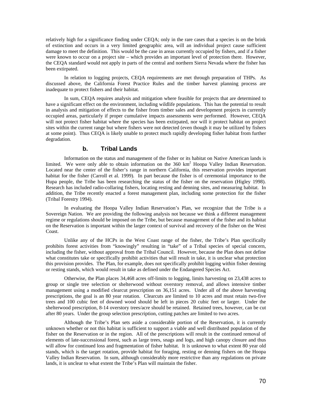relatively high for a significance finding under CEQA; only in the rare cases that a species is on the brink of extinction and occurs in a very limited geographic area, will an individual project cause sufficient damage to meet the definition. This would be the case in areas currently occupied by fishers, and if a fisher were known to occur on a project site – which provides an important level of protection there. However, the CEQA standard would not apply in parts of the central and northern Sierra Nevada where the fisher has been extirpated.

In relation to logging projects, CEQA requirements are met through preparation of THPs. As discussed above, the California Forest Practice Rules and the timber harvest planning process are inadequate to protect fishers and their habitat.

In sum, CEQA requires analysis and mitigation where feasible for projects that are determined to have a significant effect on the environment, including wildlife populations. This has the potential to result in analysis and mitigation of effects to the fisher from timber sales and development projects in currently occupied areas, particularly if proper cumulative impacts assessments were performed. However, CEQA will not protect fisher habitat where the species has been extirpated, nor will it protect habitat on project sites within the current range but where fishers were not detected (even though it may be utilized by fishers at some point). Thus CEQA is likely unable to protect much rapidly developing fisher habitat from further degradation.

## **b. Tribal Lands**

 Information on the status and management of the fisher or its habitat on Native American lands is limited. We were only able to obtain information on the 360 km<sup>2</sup> Hoopa Valley Indian Reservation. Located near the center of the fisher's range in northern California, this reservation provides important habitat for the fisher (Carroll et al. 1999). In part because the fisher is of ceremonial importance to the Hupa people, the Tribe has been researching the status of the fisher on the reservation (Higley 1998). Research has included radio-collaring fishers, locating resting and denning sites, and measuring habitat. In addition, the Tribe recently enacted a forest management plan, including some protection for the fisher (Tribal Forestry 1994).

In evaluating the Hoopa Valley Indian Reservation's Plan, we recognize that the Tribe is a Sovereign Nation. We are providing the following analysis not because we think a different management regime or regulations should be imposed on the Tribe, but because management of the fisher and its habitat on the Reservation is important within the larger context of survival and recovery of the fisher on the West Coast.

Unlike any of the HCPs in the West Coast range of the fisher, the Tribe's Plan specifically prohibits forest activities from "knowingly" resulting in "take" of a Tribal species of special concern, including the fisher, without approval from the Tribal Council. However, because the Plan does not define what constitutes take or specifically prohibit activities that will result in take, it is unclear what protection this provision provides. The Plan, for example, does not specifically prohibit logging within fisher denning or resting stands, which would result in take as defined under the Endangered Species Act.

Otherwise, the Plan places 34,468 acres off-limits to logging, limits harvesting on 23,438 acres to group or single tree selection or shelterwood without overstory removal, and allows intensive timber management using a modified clearcut prescription on 36,151 acres. Under all of the above harvesting prescriptions, the goal is an 80 year rotation. Clearcuts are limited to 10 acres and must retain two-five trees and 100 cubic feet of downed wood should be left in pieces 20 cubic feet or larger. Under the shelterwood prescription, 8-14 overstory trees/acre should be retained. Retained trees, however, can be cut after 80 years. Under the group selection prescription, cutting patches are limited to two acres.

Although the Tribe's Plan sets aside a considerable portion of the Reservation, it is currently unknown whether or not this habitat is sufficient to support a viable and well distributed population of the fisher on the Reservation or in the region. All of the prescriptions will result in the continued removal of elements of late-successional forest, such as large trees, snags and logs, and high canopy closure and thus will allow for continued loss and fragmentation of fisher habitat. It is unknown to what extent 80 year old stands, which is the target rotation, provide habitat for foraging, resting or denning fishers on the Hoopa Valley Indian Reservation. In sum, although considerably more restrictive than any regulations on private lands, it is unclear to what extent the Tribe's Plan will maintain the fisher.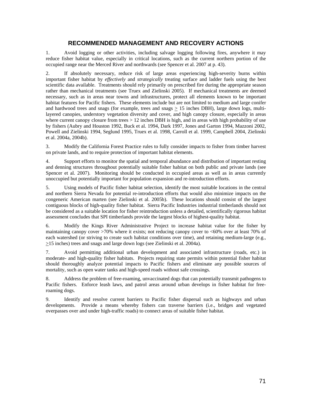# **RECOMMENDED MANAGEMENT AND RECOVERY ACTIONS**

1. Avoid logging or other activities, including salvage logging following fires, anywhere it may reduce fisher habitat value, especially in critical locations, such as the current northern portion of the occupied range near the Merced River and northwards (see Spencer et al. 2007 at p. 43).

2. If absolutely necessary, reduce risk of large areas experiencing high-severity burns within important fisher habitat by *effectively* and *strategically* treating surface and ladder fuels using the best scientific data available. Treatments should rely primarily on prescribed fire during the appropriate season rather than mechanical treatments (see Truex and Zielinski 2005). If mechanical treatments are deemed necessary, such as in areas near towns and infrastructures, protect all elements known to be important habitat features for Pacific fishers. These elements include but are not limited to medium and large conifer and hardwood trees and snags (for example, trees and snags  $\geq$  15 inches DBH), large down logs, multilayered canopies, understory vegetation diversity and cover, and high canopy closure, especially in areas where current canopy closure from trees > 12 inches DBH is high, and in areas with high probability of use by fishers (Aubry and Houston 1992, Buck et al. 1994, Dark 1997, Jones and Garton 1994, Mazzoni 2002, Powell and Zielinski 1994, Seglund 1995, Truex et al. 1998, Carroll et al. 1999, Campbell 2004, Zielinski et al. 2004a, 2004b).

3. Modify the California Forest Practice rules to fully consider impacts to fisher from timber harvest on private lands, and to require protection of important habitat elements.

4. Support efforts to monitor the spatial and temporal abundance and distribution of important resting and denning structures throughout potentially suitable fisher habitat on both public and private lands (see Spencer et al. 2007). Monitoring should be conducted in occupied areas as well as in areas currently unoccupied but potentially important for population expansion and re-introduction efforts.

5. Using models of Pacific fisher habitat selection, identify the most suitable locations in the central and northern Sierra Nevada for potential re-introduction efforts that would also minimize impacts on the congeneric American marten (see Zielinski et al. 2005b). These locations should consist of the largest contiguous blocks of high-quality fisher habitat. Sierra Pacific Industries industrial timberlands should not be considered as a suitable location for fisher reintroduction unless a detailed, scientifically rigorous habitat assessment concludes that SPI timberlands provide the largest blocks of highest-quality habitat.

6. Modify the Kings River Administrative Project to increase habitat value for the fisher by maintaining canopy cover >70% where it exists; not reducing canopy cover to <60% over at least 70% of each watershed (or striving to create such habitat conditions over time), and retaining medium-large (e.g., >15 inches) trees and snags and large down logs (see Zielinski et al. 2004a).

7. Avoid permitting additional urban development and associated infrastructure (roads, etc.) in moderate- and high-quality fisher habitats. Projects requiring state permits within potential fisher habitat should thoroughly analyze potential impacts to Pacific fishers and eliminate any possible sources of mortality, such as open water tanks and high-speed roads without safe crossings.

8. Address the problem of free-roaming, unvaccinated dogs that can potentially transmit pathogens to Pacific fishers. Enforce leash laws, and patrol areas around urban develops in fisher habitat for freeroaming dogs.

9. Identify and resolve current barriers to Pacific fisher dispersal such as highways and urban developments. Provide a means whereby fishers can traverse barriers (i.e., bridges and vegetated overpasses over and under high-traffic roads) to connect areas of suitable fisher habitat.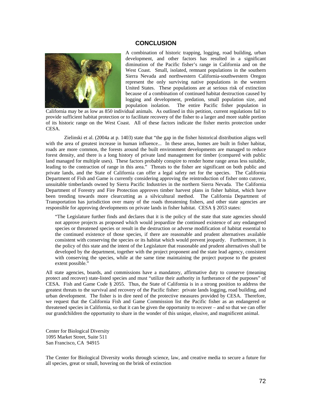#### **CONCLUSION**



A combination of historic trapping, logging, road building, urban development, and other factors has resulted in a significant diminution of the Pacific fisher's range in California and on the West Coast. Small, isolated, remnant populations in the southern Sierra Nevada and northwestern California-southwestern Oregon represent the only surviving native populations in the western United States. These populations are at serious risk of extinction because of a combination of continued habitat destruction caused by logging and development, predation, small population size, and population isolation. The entire Pacific fisher population in

California may be as low as 850 individual animals. As outlined in this petition, current regulations fail to provide sufficient habitat protection or to facilitate recovery of the fisher to a larger and more stable portion of its historic range on the West Coast. All of these factors indicate the fisher merits protection under CESA.

Zielinski et al. (2004a at p. 1403) state that "the gap in the fisher historical distribution aligns well with the area of greatest increase in human influence... In these areas, homes are built in fisher habitat, roads are more common, the forests around the built environment developments are managed to reduce forest density, and there is a long history of private land management for timber (compared with public land managed for multiple uses). These factors probably conspire to render home range areas less suitable, leading to the contraction of range in this area." Threats to the fisher are significant on both public and private lands, and the State of California can offer a legal safety net for the species. The California Department of Fish and Game is currently considering approving the reintroduction of fisher onto cutover, unsuitable timberlands owned by Sierra Pacific Industries in the northern Sierra Nevada. The California Department of Forestry and Fire Protection approves timber harvest plans in fisher habitat, which have been trending towards more clearcutting as a silvicultural method. The California Department of Transportation has jurisdiction over many of the roads threatening fishers, and other state agencies are responsible for approving developments on private lands in fisher habitat. CESA § 2053 states:

"The Legislature further finds and declares that it is the policy of the state that state agencies should not approve projects as proposed which would jeopardize the continued existence of any endangered species or threatened species or result in the destruction or adverse modification of habitat essential to the continued existence of those species, if there are reasonable and prudent alternatives available consistent with conserving the species or its habitat which would prevent jeopardy. Furthermore, it is the policy of this state and the intent of the Legislature that reasonable and prudent alternatives shall be developed by the department, together with the project proponent and the state lead agency, consistent with conserving the species, while at the same time maintaining the project purpose to the greatest extent possible."

All state agencies, boards, and commissions have a mandatory, affirmative duty to conserve (meaning protect and recover) state-listed species and must "utilize their authority in furtherance of the purposes" of CESA. Fish and Game Code § 2055. Thus, the State of California is in a strong position to address the greatest threats to the survival and recovery of the Pacific fisher: private lands logging, road building, and urban development. The fisher is in dire need of the protective measures provided by CESA. Therefore, we request that the California Fish and Game Commission list the Pacific fisher as an endangered or threatened species in California, so that it can be given the opportunity to recover – and so that we can offer our grandchildren the opportunity to share in the wonder of this unique, elusive, and magnificent animal.

Center for Biological Diversity 1095 Market Street, Suite 511 San Francisco, CA 94915

The Center for Biological Diversity works through science, law, and creative media to secure a future for all species, great or small, hovering on the brink of extinction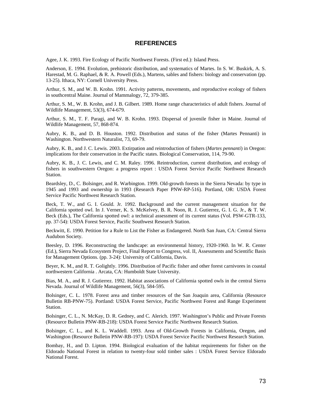## **REFERENCES**

Agee, J. K. 1993. Fire Ecology of Pacific Northwest Forests. (First ed.): Island Press.

Anderson, E. 1994. Evolution, prehistoric distribution, and systematics of Martes. In S. W. Buskirk, A. S. Harestad, M. G. Raphael, & R. A. Powell (Eds.), Martens, sables and fishers: biology and conservation (pp. 13-25). Ithaca, NY: Cornell University Press.

Arthur, S. M., and W. B. Krohn. 1991. Activity patterns, movements, and reproductive ecology of fishers in southcentral Maine. Journal of Mammalogy, 72, 379-385.

Arthur, S. M., W. B. Krohn, and J. B. Gilbert. 1989. Home range characteristics of adult fishers. Journal of Wildlife Management, 53(3), 674-679.

Arthur, S. M., T. F. Paragi, and W. B. Krohn. 1993. Dispersal of juvenile fisher in Maine. Journal of Wildlife Management, 57, 868-874.

Aubry, K. B., and D. B. Houston. 1992. Distribution and status of the fisher (Martes Pennanti) in Washington. Northwestern Naturalist, 73, 69-79.

Aubry, K. B., and J. C. Lewis. 2003. Extirpation and reintroduction of fishers (*Martes pennanti*) in Oregon: implications for their conservation in the Pacific states. Biological Conservation, 114, 79-90.

Aubry, K. B., J. C. Lewis, and C. M. Raley. 1996. Reintroduction, current distribution, and ecology of fishers in southwestern Oregon: a progress report : USDA Forest Service Pacific Northwest Research Station.

Beardsley, D., C. Bolsinger, and R. Warbington. 1999. Old-growth forests in the Sierra Nevada: by type in 1945 and 1993 and ownership in 1993 (Research Paper PNW-RP-516). Portland, OR: USDA Forest Service Pacific Northwest Research Station.

Beck, T. W., and G. I. Gould. Jr. 1992. Background and the current management situation for the California spotted owl. In J. Verner, K. S. McKelvey, B. R. Noon, R. J. Gutierrez, G. I. G. Jr., & T. W. Beck (Eds.), The California spotted owl: a technical assessment of its current status (Vol. PSW-GTR-133, pp. 37-54): USDA Forest Service, Pacific Southwest Research Station.

Beckwitt, E. 1990. Petition for a Rule to List the Fisher as Endangered. North San Juan, CA: Central Sierra Audubon Society.

Beesley, D. 1996. Reconstructing the landscape: an environmental history, 1920-1960. In W. R. Center (Ed.), Sierra Nevada Ecosystem Project, Final Report to Congress, vol. II, Assessments and Scientific Basis for Management Options. (pp. 3-24): University of California, Davis.

Beyer, K. M., and R. T. Golightly. 1996. Distribution of Pacific fisher and other forest carnivores in coastal northwestern California . Arcata, CA: Humboldt State University.

Bias, M. A., and R. J. Gutierrez. 1992. Habitat associations of California spotted owls in the central Sierra Nevada. Journal of Wildlife Management, 56(3), 584-595.

Bolsinger, C. L. 1978. Forest area and timber resources of the San Joaquin area, California (Resource Bulletin RB-PNW-75). Portland: USDA Forest Service, Pacific Northwest Forest and Range Experiment Station.

Bolsinger, C. L., N. McKay, D. R. Gedney, and C. Alerich. 1997. Washington's Public and Private Forests (Resource Bulletin PNW-RB-218): USDA Forest Service Pacific Northwest Research Station.

Bolsinger, C. L., and K. L. Waddell. 1993. Area of Old-Growth Forests in California, Oregon, and Washington (Resource Bulletin PNW-RB-197): USDA Forest Service Pacific Northwest Research Station.

Bombay, H., and D. Lipton. 1994. Biological evaluation of the habitat requirements for fisher on the Eldorado National Forest in relation to twenty-four sold timber sales : USDA Forest Service Eldorado National Forest.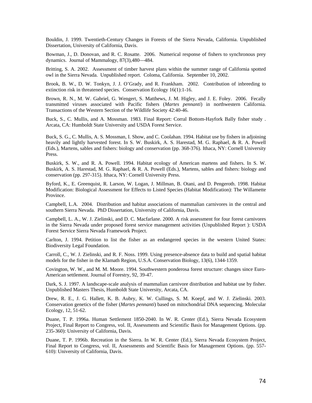Bouldin, J. 1999. Twentieth-Century Changes in Forests of the Sierra Nevada, California. Unpublished Dissertation, University of California, Davis.

Bowman, J., D. Donovan, and R. C. Rosatte. 2006. Numerical response of fishers to synchronous prey dynamics. Journal of Mammalogy, 87(3),480—484.

Britting, S. A. 2002. Assessment of timber harvest plans within the summer range of California spotted owl in the Sierra Nevada. Unpublished report. Coloma, California. September 10, 2002.

Brook, B. W., D. W. Tonkyn, J. J. O'Grady, and R. Frankham. 2002. Contribution of inbreeding to extinction risk in threatened species. Conservation Ecology 16(1):1-16.

Brown, R. N., M. W. Gabriel, G. Wengert, S. Matthews, J. M. Higley, and J. E. Foley. 2006. Fecally transmitted viruses associated with Pacific fishers (*Martes pennanti*) in northwestern California. Transactions of the Western Section of the Wildlife Society 42:40-46.

Buck, S., C. Mullis, and A. Mossman. 1983. Final Report: Corral Bottom-Hayfork Bally fisher study . Arcata, CA: Humboldt State University and USDA Forest Service.

Buck, S. G., C. Mullis, A. S. Mossman, I. Show, and C. Coolahan. 1994. Habitat use by fishers in adjoining heavily and lightly harvested forest. In S. W. Buskirk, A. S. Harestad, M. G. Raphael, & R. A. Powell (Eds.), Martens, sables and fishers: biology and conservation (pp. 368-376). Ithaca, NY: Cornell University Press.

Buskirk, S. W., and R. A. Powell. 1994. Habitat ecology of American martens and fishers. In S. W. Buskirk, A. S. Harestad, M. G. Raphael, & R. A. Powell (Eds.), Martens, sables and fishers: biology and conservation (pp. 297-315). Ithaca, NY: Cornell University Press.

Byford, K., E. Greenquist, R. Larson, W. Logan, J. Millman, B. Otani, and D. Pengeroth. 1998. Habitat Modification: Biological Assessment for Effects to Listed Species (Habitat Modification): The Willamette Province.

Campbell, L.A. 2004. Distribution and habitat associations of mammalian carnivores in the central and southern Sierra Nevada. PhD Dissertation, University of California, Davis.

Campbell, L. A., W. J. Zielinski, and D. C. Macfarlane. 2000. A risk assessment for four forest carnivores in the Sierra Nevada under proposed forest service management activities (Unpublished Report ): USDA Forest Service Sierra Nevada Framework Project.

Carlton, J. 1994. Petition to list the fisher as an endangered species in the western United States: Biodiversity Legal Foundation.

Carroll, C., W. J. Zielinski, and R. F. Noss. 1999. Using presence-absence data to build and spatial habitat models for the fisher in the Klamath Region, U.S.A. Conservation Biology, 13(6), 1344-1359.

Covington, W. W., and M. M. Moore. 1994. Southwestern ponderosa forest structure: changes since Euro-American settlement. Journal of Forestry, 92, 39-47.

Dark, S. J. 1997. A landscape-scale analysis of mammalian carnivore distribution and habitat use by fisher. Unpublished Masters Thesis, Humboldt State University, Arcata, CA.

Drew, R. E., J. G. Hallett, K. B. Aubry, K. W. Cullings, S. M. Koepf, and W. J. Zielinski. 2003. Conservation genetics of the fisher (*Martes pennanti*) based on mitochondrial DNA sequencing. Molecular Ecology, 12, 51-62.

Duane, T. P. 1996a. Human Settlement 1850-2040. In W. R. Center (Ed.), Sierra Nevada Ecosystem Project, Final Report to Congress, vol. II, Assessments and Scientific Basis for Management Options. (pp. 235-360): University of California, Davis.

Duane, T. P. 1996b. Recreation in the Sierra. In W. R. Center (Ed.), Sierra Nevada Ecosystem Project, Final Report to Congress, vol. II, Assessments and Scientific Basis for Management Options. (pp. 557- 610): University of California, Davis.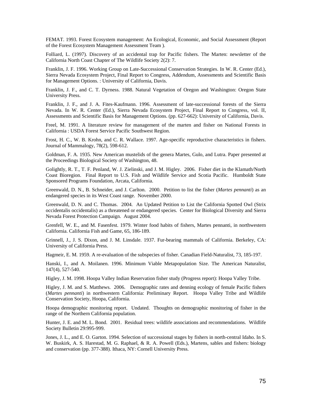FEMAT. 1993. Forest Ecosystem management: An Ecological, Economic, and Social Assessment (Report of the Forest Ecosystem Management Assessment Team ).

Folliard, L. (1997). Discovery of an accidental trap for Pacific fishers. The Marten: newsletter of the California North Coast Chapter of The Wildlife Society 2(2): 7.

Franklin, J. F. 1996. Working Group on Late-Successional Conservation Strategies. In W. R. Center (Ed.), Sierra Nevada Ecosystem Project, Final Report to Congress, Addendum, Assessments and Scientific Basis for Management Options. : University of California, Davis.

Franklin, J. F., and C. T. Dyrness. 1988. Natural Vegetation of Oregon and Washington: Oregon State University Press.

Franklin, J. F., and J. A. Fites-Kaufmann. 1996. Assessment of late-successional forests of the Sierra Nevada. In W. R. Center (Ed.), Sierra Nevada Ecosystem Project, Final Report to Congress, vol. II, Assessments and Scientific Basis for Management Options. (pp. 627-662): University of California, Davis.

Freel, M. 1991. A literature review for management of the marten and fisher on National Forests in California : USDA Forest Service Pacific Southwest Region.

Frost, H. C., W. B. Krohn, and C. R. Wallace. 1997. Age-specific reproductive characteristics in fishers. Journal of Mammalogy, 78(2), 598-612.

Goldman, F. A. 1935. New American mustelids of the genera Martes, Gulo, and Lutra. Paper presented at the Proceedings Biological Society of Washington, 48.

Golightly, R. T., T. F. Penland, W. J. Zielinski, and J. M. Higley. 2006. Fisher diet in the Klamath/North Coast Bioregion. Final Report to U.S. Fish and Wildlife Service and Scotia Pacific. Humboldt State Sponsored Programs Foundation, Arcata, California.

Greenwald, D. N., B. Schneider, and J. Carlton. 2000. Petition to list the fisher (*Martes pennanti*) as an endangered species in its West Coast range. November 2000.

Greenwald, D. N. and C. Thomas. 2004. An Updated Petition to List the California Spotted Owl (Strix occidentalis occidentalis) as a threatened or endangered species. Center for Biological Diversity and Sierra Nevada Forest Protection Campaign. August 2004.

Grenfell, W. E., and M. Fasenfest. 1979. Winter food habits of fishers, Martes pennanti, in northwestern California. California Fish and Game, 65, 186-189.

Grinnell, J., J. S. Dixon, and J. M. Linsdale. 1937. Fur-bearing mammals of California. Berkeley, CA: University of California Press.

Hagmeir, E. M. 1959. A re-evaluation of the subspecies of fisher. Canadian Field-Naturalist, 73, 185-197.

Hanski, I., and A. Moilanen. 1996. Minimum Viable Metapopulation Size. The American Naturalist, 147(4), 527-540.

Higley, J. M. 1998. Hoopa Valley Indian Reservation fisher study (Progress report): Hoopa Valley Tribe.

Higley, J. M. and S. Matthews. 2006. Demographic rates and denning ecology of female Pacific fishers (*Martes pennanti*) in northwestern California: Preliminary Report. Hoopa Valley Tribe and Wildlife Conservation Society, Hoopa, California.

Hoopa demographic monitoring report. Undated. Thoughts on demographic monitoring of fisher in the range of the Northern California population.

Hunter, J. E. and M. L. Bond. 2001. Residual trees: wildlife associations and recommendations. Wildlife Society Bulletin 29:995-999.

Jones, J. L., and E. O. Garton. 1994. Selection of successional stages by fishers in north-central Idaho. In S. W. Buskirk, A. S. Harestad, M. G. Raphael, & R. A. Powell (Eds.), Martens, sables and fishers: biology and conservation (pp. 377-388). Ithaca, NY: Cornell University Press.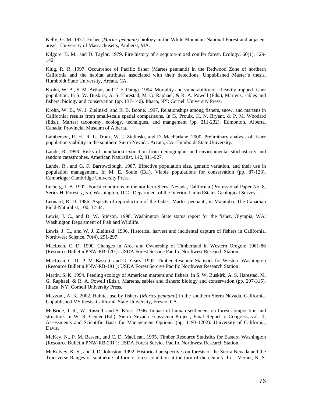Kelly, G. M. 1977. Fisher (*Martes pennanti*) biology in the White Mountain National Forest and adjacent areas. University of Massachusetts, Amherst, MA.

Kilgore, B. M., and D. Taylor. 1979. Fire history of a sequoia-mixed conifer forest. Ecology, 60(1), 129- 142.

Klug, R. R. 1997. Occurrence of Pacific fisher (Martes pennanti) in the Redwood Zone of northern California and the habitat attributes associated with their detections. Unpublished Master's thesis, Humboldt State University, Arcata, CA.

Krohn, W. B., S. M. Arthur, and T. F. Paragi. 1994. Mortality and vulnerability of a heavily trapped fisher population. In S. W. Buskirk, A. S. Harestad, M. G. Raphael, & R. A. Powell (Eds.), Martens, sables and fishers: biology and conservation (pp. 137-146). Ithaca, NY: Cornell University Press.

Krohn, W. B., W. J. Zielinski, and R. B. Boone. 1997. Relationships among fishers, snow, and martens in California: results from small-scale spatial comparisons. In G. Proulx, H. N. Bryant, & P. M. Woodard (Eds.), Martes: taxonomy, ecology, techniques, and mangement (pp. 211-232). Edmonton, Alberta, Canada: Provincial Museum of Alberta.

Lamberson, R. H., R. L. Truex, W. J. Zielinski, and D. MacFarlane. 2000. Preliminary analysis of fisher population viability in the southern Sierra Nevada. Arcata, CA: Humboldt State University.

Lande, R. 1993. Risks of population extinction from demographic and environmental stochasticity and random catastrophes. American Naturalist, 142, 911-927.

Lande, R., and G. F. Barrowclough. 1987. Effective population size, genetic variation, and their use in population management. In M. E. Soule (Ed.), Viable populations for conservation (pp. 87-123). Cambridge: Cambridge University Press.

Leiberg, J. B. 1902. Forest conditions in the northern Sierra Nevada, California (Professional Paper No. 8, Series H, Forestry, 5 ). Washington, D.C.: Department of the Interior, United States Geological Survey.

Leonard, R. D. 1986. Aspects of reproduction of the fisher, Martes pennanti, in Manitoba. The Canadian Field-Naturalist, 100, 32-44.

Lewis, J. C., and D. W. Stinson. 1998. Washington State status report for the fisher. Olympia, WA: Washington Department of Fish and Wildlife.

Lewis, J. C., and W. J. Zielinski. 1996. Historical harvest and incidental capture of fishers in California. Northwest Science, 70(4), 291-297.

MacLean, C. D. 1990. Changes in Area and Ownership of Timberland in Western Oregon: 1961-86 (Resource Bulletin PNW-RB-170 ): USDA Forest Service Pacific Northwest Research Station.

MacLean, C. D., P. M. Bassett, and G. Yeary. 1992. Timber Resource Statistics for Western Washington (Resource Bulletin PNW-RB-191 ): USDA Forest Sercive Pacific Northwest Research Station.

Martin, S. K. 1994. Feeding ecology of American martens and fishers. In S. W. Buskirk, A. S. Harestad, M. G. Raphael, & R. A. Powell (Eds.), Martens, sables and fishers: biology and conservation (pp. 297-315). Ithaca, NY: Cornell University Press.

Mazzoni, A. K. 2002. Habitat use by fishers (*Martes pennanti*) in the southern Sierra Nevada, California. Unpublished MS thesis, California State University, Fresno, CA.

McBride, J. R., W. Russell, and S. Kloss. 1996. Impact of human settlement on forest composition and structure. In W. R. Center (Ed.), Sierra Nevada Ecosystem Project, Final Report to Congress, vol. II, Assessments and Scientific Basis for Management Options. (pp. 1193-1202): University of California, Davis.

McKay, N., P. M. Bassett, and C. D. MacLean. 1995. Timber Resource Statistics for Eastern Washington (Resource Bulletin PNW-RB-201 ): USDA Forest Service Pacific Northwest Research Station.

McKelvey, K. S., and J. D. Johnston. 1992. Historical perspectives on forests of the Sierra Nevada and the Transverse Ranges of southern California: forest condition at the turn of the century. In J. Verner, K. S.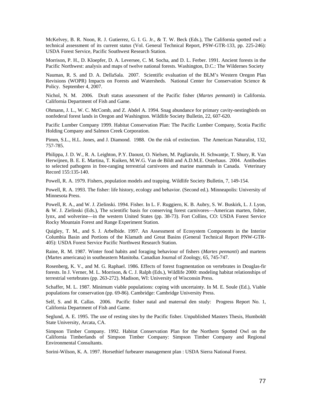McKelvey, B. R. Noon, R. J. Gutierrez, G. I. G. Jr., & T. W. Beck (Eds.), The California spotted owl: a technical assessment of its current status (Vol. General Technical Report, PSW-GTR-133, pp. 225-246): USDA Forest Service, Pacific Southwest Research Station.

Morrison, P. H., D. Kloepfer, D. A. Leversee, C. M. Socha, and D. L. Ferber. 1991. Ancient forests in the Pacific Northwest: analysis and maps of twelve national forests. Washington, D.C.: The Wildernes Society

Nauman, R. S. and D. A. DellaSala. 2007. Scientific evaluation of the BLM's Western Oregon Plan Revisions (WOPR) Impacts on Forests and Watersheds. National Center for Conservation Science & Policy. September 4, 2007.

Nichol, N. M. 2006. Draft status assessment of the Pacific fisher (*Martes pennanti*) in California. California Department of Fish and Game.

Ohmann, J. L., W. C. McComb, and Z. Abdel A. 1994. Snag abundance for primary cavity-nestingbirds on nonfederal forest lands in Oregon and Washington. Wildlife Society Bulletin, 22, 607-620.

Pacific Lumber Company 1999. Habitat Conservation Plan: The Pacific Lumber Company, Scotia Pacific Holding Company and Salmon Creek Corporation.

Pimm, S.L., H.L. Jones, and J. Diamond. 1988. On the risk of extinction. The American Naturalist, 132, 757-785.

Philippa, J. D. W., R. A. Leighton, P.Y. Daoust, O. Nielsen, M. Pagliarulo, H. Schwantje, T. Shury, R. Van Herwijnen, B. E. E. Martina, T. Kuiken, M.W.G. Van de Bildt and A.D.M.E. Osterhaus. 2004. Antibodies to selected pathogens in free-ranging terrestrial carnivores and marine mammals in Canada. Veterinary Record 155:135-140.

Powell, R. A. 1979. Fishers, population models and trapping. Wildlife Society Bulletin, 7, 149-154.

Powell, R. A. 1993. The fisher: life history, ecology and behavior. (Second ed.). Minneapolis: University of Minnesota Press.

Powell, R. A., and W. J. Zielinski. 1994. Fisher. In L. F. Ruggiero, K. B. Aubry, S. W. Buskirk, L. J. Lyon, & W. J. Zielinski (Eds.), The scientific basis for conserving forest carnivores—American marten, fisher, lynx, and wolverine—in the western United States (pp. 38-73). Fort Collins, CO: USDA Forest Service Rocky Mountain Forest and Range Experiment Station.

Quigley, T. M., and S. J. Arbelbide. 1997. An Assessment of Ecosystem Components in the Interior Columbia Basin and Portions of the Klamath and Great Basins (General Technical Report PNW-GTR-405): USDA Forest Service Pacific Northwest Research Station.

Raine, R. M. 1987. Winter food habits and foraging behaviour of fishers (*Martes pennanti*) and martens (Martes americana) in southeastern Manitoba. Canadian Journal of Zoology, 65, 745-747.

Rosenberg, K. V., and M. G. Raphael. 1986. Effects of forest fragmentation on vertebrates in Douglas-fir forests. In J. Verner, M. L. Morrison, & C. J. Ralph (Eds.), Wildlife 2000: modeling habitat relationships of terrestrial vertebrates (pp. 263-272). Madison, WI: University of Wisconsin Press.

Schaffer, M. L. 1987. Minimum viable populations: coping with uncertainty. In M. E. Soule (Ed.), Viable populations for conservation (pp. 69-86). Cambridge: Cambridge University Press.

Self, S. and R. Callas. 2006. Pacific fisher natal and maternal den study: Progress Report No. 1, California Department of Fish and Game.

Seglund, A. E. 1995. The use of resting sites by the Pacific fisher. Unpublished Masters Thesis, Humboldt State University, Arcata, CA.

Simpson Timber Company. 1992. Habitat Conservation Plan for the Northern Spotted Owl on the California Timberlands of Simpson Timber Company: Simpson Timber Company and Regional Environmental Consultants.

Sorini-Wilson, K. A. 1997. Horsethief furbearer management plan : USDA Sierra National Forest.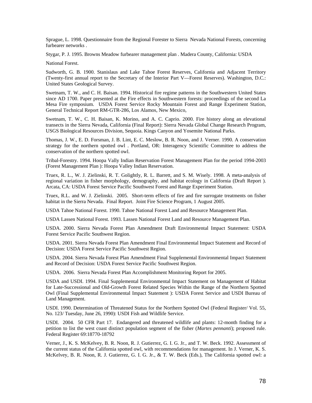Sprague, L. 1998. Questionnaire from the Regional Forester to Sierra Nevada National Forests, concerning furbearer networks .

Stygar, P. J. 1995. Browns Meadow furbearer management plan . Madera County, California: USDA

National Forest.

Sudworth, G. B. 1900. Stanislaus and Lake Tahoe Forest Reserves, California and Adjacent Territory (Twenty-first annual report to the Secretary of the Interior Part V—Forest Reserves). Washington, D.C.: United States Geological Survey.

Swetnam, T. W., and C. H. Baisan. 1994. Historical fire regime patterns in the Southwestern United States since AD 1700. Paper presented at the Fire effects in Southwestern forests: proceedings of the second La Mesa Fire symposium. USDA Forest Service Rocky Mountain Forest and Range Experiment Station, General Technical Report RM-GTR-286, Los Alamos, New Mexico,

Swetnam, T. W., C. H. Baisan, K. Morino, and A. C. Caprio. 2000. Fire history along an elevational transects in the Sierra Nevada, California (Final Report): Sierra Nevada Global Change Research Program, USGS Biological Resources Division, Sequoia. Kings Canyon and Yosemite National Parks.

Thomas, J. W., E. D. Forsman, J. B. Lint, E. C. Meslow, B. R. Noon, and J. Verner. 1990. A conservation strategy for the northern spotted owl . Portland, OR: Interagency Scientific Committee to address the conservation of the northern spotted owl.

Tribal-Forestry. 1994. Hoopa Vally Indian Reservation Forest Management Plan for the period 1994-2003 (Forest Management Plan ): Hoopa Valley Indian Reservation.

Truex, R. L., W. J. Zielinski, R. T. Golightly, R. L. Barrett, and S. M. Wisely. 1998. A meta-analysis of regional variation in fisher morphology, demography, and habitat ecology in California (Draft Report ). Arcata, CA: USDA Forest Service Pacific Southwest Forest and Range Experiment Station.

Truex, R.L. and W. J. Zielinski. 2005. Short-term effects of fire and fire surrogate treatments on fisher habitat in the Sierra Nevada. Final Report. Joint Fire Science Program, 1 August 2005.

USDA Tahoe National Forest. 1990. Tahoe National Forest Land and Resource Management Plan.

USDA Lassen National Forest. 1993. Lassen National Forest Land and Resource Management Plan.

USDA. 2000. Sierra Nevada Forest Plan Amendment Draft Environmental Impact Statement: USDA Forest Service Pacific Southwest Region.

USDA. 2001. Sierra Nevada Forest Plan Amendment Final Environmental Impact Statement and Record of Decision: USDA Forest Service Pacific Southwest Region.

USDA. 2004. Sierra Nevada Forest Plan Amendment Final Supplemental Environmental Impact Statement and Record of Decision: USDA Forest Service Pacific Southwest Region.

USDA. 2006. Sierra Nevada Forest Plan Accomplishment Monitoring Report for 2005.

USDA and USDI. 1994. Final Supplemental Environmental Impact Statement on Management of Habitat for Late-Successional and Old-Growth Forest Related Species Within the Range of the Northern Spotted Owl (Final Supplemental Environmental Impact Statement ): USDA Forest Service and USDI Bureau of Land Management.

USDI. 1990. Determination of Threatened Status for the Northern Spotted Owl (Federal Register/ Vol. 55, No. 123/ Tuesday, June 26, 1990): USDI Fish and Wildlife Service.

USDI. 2004. 50 CFR Part 17. Endangered and threatened wildlife and plants: 12-month finding for a petition to list the west coast distinct population segment of the fisher (*Martes pennanti*); proposed rule. Federal Register 69:18770-18792

Verner, J., K. S. McKelvey, B. R. Noon, R. J. Gutierrez, G. I. G. Jr., and T. W. Beck. 1992. Assessment of the current status of the California spotted owl, with recommendations for management. In J. Verner, K. S. McKelvey, B. R. Noon, R. J. Gutierrez, G. I. G. Jr., & T. W. Beck (Eds.), The California spotted owl: a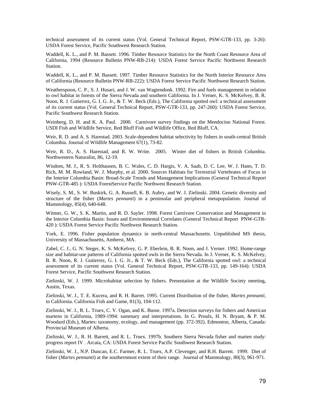technical assessment of its current status (Vol. General Technical Report, PSW-GTR-133, pp. 3-26): USDA Forest Service, Pacific Southwest Research Station.

Waddell, K. L., and P. M. Bassett. 1996. Timber Resource Statistics for the North Coast Resource Area of California, 1994 (Resource Bulletin PNW-RB-214): USDA Forest Service Pacific Northwest Research Station.

Waddell, K. L., and P. M. Bassett. 1997. Timber Resource Statistics for the North Interior Resource Area of California (Resource Bulletin PNW-RB-222): USDA Forest Service Pacific Northwest Research Station.

Weatherspoon, C. P., S. J. Husari, and J. W. van Wagtendonk. 1992. Fire and fuels management in relation to owl habitat in forests of the Sierra Nevada and southern California. In J. Verner, K. S. McKelvey, B. R. Noon, R. J. Gutierrez, G. I. G. Jr., & T. W. Beck (Eds.), The California spotted owl: a technical assessment of its current status (Vol. General Technical Report, PSW-GTR-133, pp. 247-260): USDA Forest Service, Pacific Southwest Research Station.

Weinberg, D. H. and K. A. Paul. 2000. Carnivore survey findings on the Mendocino National Forest. USDI Fish and Wildlife Service, Red Bluff Fish and Wildlife Office, Red Bluff, CA.

Weir, R. D. and A. S. Harestad. 2003. Scale-dependent habitat selectivity by fishers in south-central British Columbia. Journal of Wildlife Management 67(1), 73-82.

Weir, R. D., A. S. Harestad, and R. W. Write. 2005. Winter diet of fishers in British Columbia. Northwestern Naturalist, 86, 12-19.

Wisdom, M. J., R. S. Holthausen, B. C. Wales, C. D. Hargis, V. A. Saab, D. C. Lee, W. J. Hann, T. D. Rich, M. M. Rowland, W. J. Murphy, et al. 2000. Sources Habitats for Terrestrial Vertebrates of Focus in the Interior Columbia Basin: Broad-Scale Trends and Management Implications (General Technical Report PNW-GTR-485 ): USDA ForestService Pacific Northwest Research Station.

Wisely, S. M., S. W. Buskirk, G. A. Russell, K. B. Aubry, and W. J. Zielinski. 2004. Genetic diversity and structure of the fisher (*Martes pennanti*) in a peninsular and peripheral metapopulation. Journal of Mammology, 85(4), 640-648.

Witmer, G. W., S. K. Martin, and R. D. Sayler. 1998. Forest Carnivore Conservation and Management in the Interior Columbia Basin: Issues and Environmental Correlates (General Technical Report PNW-GTR-420 ): USDA Forest Service Pacific Northwest Research Station.

York, E. 1996. Fisher population dynamics in north-central Massachusetts. Unpublished MS thesis, University of Massachusetts, Amherst, MA.

Zabel, C. J., G. N. Steger, K. S. McKelvey, G. P. Eberlein, B. R. Noon, and J. Verner. 1992. Home-range size and habitat-use patterns of California spotted owls in the Sierra Nevada. In J. Verner, K. S. McKelvey, B. R. Noon, R. J. Gutierrez, G. I. G. Jr., & T. W. Beck (Eds.), The California spotted owl: a technical assessment of its current status (Vol. General Technical Report, PSW-GTR-133, pp. 149-164): USDA Forest Service, Pacific Southwest Research Station.

Zielinski, W. J. 1999. Microhabitat selection by fishers. Presentation at the Wildlife Society meeting, Austin, Texas.

Zielinski, W. J., T. E. Kucera, and R. H. Barret. 1995. Current Distribution of the fisher, *Martes pennanti*, in California. California Fish and Game, 81(3), 104-112.

Zielinski, W. J., R. L. Truex, C. V. Ogan, and K. Busse. 1997a. Detection surveys for fishers and American martens in California, 1989-1994: summary and interpretations. In G. Proulx, H. N. Bryant, & P. M. Woodard (Eds.), Martes: taxonomy, ecology, and management (pp. 372-392). Edmonton, Alberta, Canada: Provincial Museum of Alberta.

Zielinski, W. J., R. H. Barrett, and R. L. Truex. 1997b. Southern Sierra Nevada fisher and marten study: progress report IV . Arcata, CA: USDA Forest Service Pacific Southwest Research Station.

Zielinski, W. J., N.P. Duncan, E.C. Farmer, R. L. Truex, A.P. Clevenger, and R.H. Barrett. 1999. Diet of fisher (*Martes pennanti*) at the southernmost extent of their range. Journal of Mammalogy, 80(3), 961-971.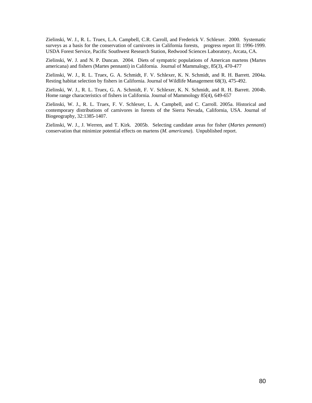Zielinski, W. J., R. L. Truex, L.A. Campbell, C.R. Carroll, and Frederick V. Schlexer. 2000. Systematic surveys as a basis for the conservation of carnivores in California forests, progress report II: 1996-1999. USDA Forest Service, Pacific Southwest Research Station, Redwood Sciences Laboratory, Arcata, CA.

Zielinski, W. J. and N. P. Duncan. 2004. Diets of sympatric populations of American martens (Martes americana) and fishers (Martes pennanti) in California. Journal of Mammalogy, 85(3), 470-477

Zielinski, W. J., R. L. Truex, G. A. Schmidt, F. V. Schlexer, K. N. Schmidt, and R. H. Barrett. 2004a. Resting habitat selection by fishers in California. Journal of Wildlife Management 68(3), 475-492.

Zielinski, W. J., R. L. Truex, G. A. Schmidt, F. V. Schlexer, K. N. Schmidt, and R. H. Barrett. 2004b. Home range characteristics of fishers in California. Journal of Mammology 85(4), 649-657

Zielinski, W. J., R. L. Truex, F. V. Schlexer, L. A. Campbell, and C. Carroll. 2005a. Historical and contemporary distributions of carnivores in forests of the Sierra Nevada, California, USA. Journal of Biogeography, 32:1385-1407.

Zielinski, W. J., J. Werren, and T. Kirk. 2005b. Selecting candidate areas for fisher (*Martes pennanti*) conservation that minimize potential effects on martens (*M. americana*). Unpublished report.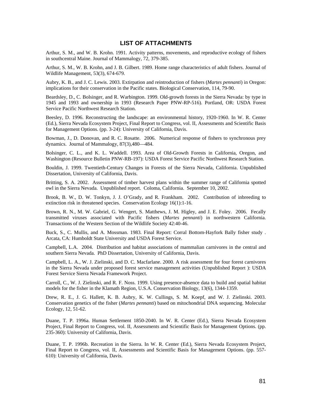## **LIST OF ATTACHMENTS**

Arthur, S. M., and W. B. Krohn. 1991. Activity patterns, movements, and reproductive ecology of fishers in southcentral Maine. Journal of Mammalogy, 72, 379-385.

Arthur, S. M., W. B. Krohn, and J. B. Gilbert. 1989. Home range characteristics of adult fishers. Journal of Wildlife Management, 53(3), 674-679.

Aubry, K. B., and J. C. Lewis. 2003. Extirpation and reintroduction of fishers (*Martes pennanti*) in Oregon: implications for their conservation in the Pacific states. Biological Conservation, 114, 79-90.

Beardsley, D., C. Bolsinger, and R. Warbington. 1999. Old-growth forests in the Sierra Nevada: by type in 1945 and 1993 and ownership in 1993 (Research Paper PNW-RP-516). Portland, OR: USDA Forest Service Pacific Northwest Research Station.

Beesley, D. 1996. Reconstructing the landscape: an environmental history, 1920-1960. In W. R. Center (Ed.), Sierra Nevada Ecosystem Project, Final Report to Congress, vol. II, Assessments and Scientific Basis for Management Options. (pp. 3-24): University of California, Davis.

Bowman, J., D. Donovan, and R. C. Rosatte. 2006. Numerical response of fishers to synchronous prey dynamics. Journal of Mammalogy, 87(3),480—484.

Bolsinger, C. L., and K. L. Waddell. 1993. Area of Old-Growth Forests in California, Oregon, and Washington (Resource Bulletin PNW-RB-197): USDA Forest Service Pacific Northwest Research Station.

Bouldin, J. 1999. Twentieth-Century Changes in Forests of the Sierra Nevada, California. Unpublished Dissertation, University of California, Davis.

Britting, S. A. 2002. Assessment of timber harvest plans within the summer range of California spotted owl in the Sierra Nevada. Unpublished report. Coloma, California. September 10, 2002.

Brook, B. W., D. W. Tonkyn, J. J. O'Grady, and R. Frankham. 2002. Contribution of inbreeding to extinction risk in threatened species. Conservation Ecology 16(1):1-16.

Brown, R. N., M. W. Gabriel, G. Wengert, S. Matthews, J. M. Higley, and J. E. Foley. 2006. Fecally transmitted viruses associated with Pacific fishers (*Martes pennanti*) in northwestern California. Transactions of the Western Section of the Wildlife Society 42:40-46.

Buck, S., C. Mullis, and A. Mossman. 1983. Final Report: Corral Bottom-Hayfork Bally fisher study . Arcata, CA: Humboldt State University and USDA Forest Service.

Campbell, L.A. 2004. Distribution and habitat associations of mammalian carnivores in the central and southern Sierra Nevada. PhD Dissertation, University of California, Davis.

Campbell, L. A., W. J. Zielinski, and D. C. Macfarlane. 2000. A risk assessment for four forest carnivores in the Sierra Nevada under proposed forest service management activities (Unpublished Report ): USDA Forest Service Sierra Nevada Framework Project.

Carroll, C., W. J. Zielinski, and R. F. Noss. 1999. Using presence-absence data to build and spatial habitat models for the fisher in the Klamath Region, U.S.A. Conservation Biology, 13(6), 1344-1359.

Drew, R. E., J. G. Hallett, K. B. Aubry, K. W. Cullings, S. M. Koepf, and W. J. Zielinski. 2003. Conservation genetics of the fisher (*Martes pennanti*) based on mitochondrial DNA sequencing. Molecular Ecology, 12, 51-62.

Duane, T. P. 1996a. Human Settlement 1850-2040. In W. R. Center (Ed.), Sierra Nevada Ecosystem Project, Final Report to Congress, vol. II, Assessments and Scientific Basis for Management Options. (pp. 235-360): University of California, Davis.

Duane, T. P. 1996b. Recreation in the Sierra. In W. R. Center (Ed.), Sierra Nevada Ecosystem Project, Final Report to Congress, vol. II, Assessments and Scientific Basis for Management Options. (pp. 557- 610): University of California, Davis.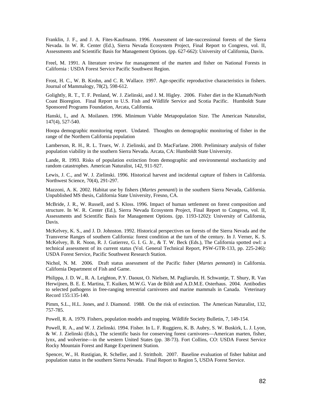Franklin, J. F., and J. A. Fites-Kaufmann. 1996. Assessment of late-successional forests of the Sierra Nevada. In W. R. Center (Ed.), Sierra Nevada Ecosystem Project, Final Report to Congress, vol. II, Assessments and Scientific Basis for Management Options. (pp. 627-662): University of California, Davis.

Freel, M. 1991. A literature review for management of the marten and fisher on National Forests in California : USDA Forest Service Pacific Southwest Region.

Frost, H. C., W. B. Krohn, and C. R. Wallace. 1997. Age-specific reproductive characteristics in fishers. Journal of Mammalogy, 78(2), 598-612.

Golightly, R. T., T. F. Penland, W. J. Zielinski, and J. M. Higley. 2006. Fisher diet in the Klamath/North Coast Bioregion. Final Report to U.S. Fish and Wildlife Service and Scotia Pacific. Humboldt State Sponsored Programs Foundation, Arcata, California.

Hanski, I., and A. Moilanen. 1996. Minimum Viable Metapopulation Size. The American Naturalist, 147(4), 527-540.

Hoopa demographic monitoring report. Undated. Thoughts on demographic monitoring of fisher in the range of the Northern California population

Lamberson, R. H., R. L. Truex, W. J. Zielinski, and D. MacFarlane. 2000. Preliminary analysis of fisher population viability in the southern Sierra Nevada. Arcata, CA: Humboldt State University.

Lande, R. 1993. Risks of population extinction from demographic and environmental stochasticity and random catastrophes. American Naturalist, 142, 911-927.

Lewis, J. C., and W. J. Zielinski. 1996. Historical harvest and incidental capture of fishers in California. Northwest Science, 70(4), 291-297.

Mazzoni, A. K. 2002. Habitat use by fishers (*Martes pennanti*) in the southern Sierra Nevada, California. Unpublished MS thesis, California State University, Fresno, CA.

McBride, J. R., W. Russell, and S. Kloss. 1996. Impact of human settlement on forest composition and structure. In W. R. Center (Ed.), Sierra Nevada Ecosystem Project, Final Report to Congress, vol. II, Assessments and Scientific Basis for Management Options. (pp. 1193-1202): University of California, Davis.

McKelvey, K. S., and J. D. Johnston. 1992. Historical perspectives on forests of the Sierra Nevada and the Transverse Ranges of southern California: forest condition at the turn of the century. In J. Verner, K. S. McKelvey, B. R. Noon, R. J. Gutierrez, G. I. G. Jr., & T. W. Beck (Eds.), The California spotted owl: a technical assessment of its current status (Vol. General Technical Report, PSW-GTR-133, pp. 225-246): USDA Forest Service, Pacific Southwest Research Station.

Nichol, N. M. 2006. Draft status assessment of the Pacific fisher (*Martes pennanti*) in California. California Department of Fish and Game.

Philippa, J. D. W., R. A. Leighton, P.Y. Daoust, O. Nielsen, M. Pagliarulo, H. Schwantje, T. Shury, R. Van Herwijnen, B. E. E. Martina, T. Kuiken, M.W.G. Van de Bildt and A.D.M.E. Osterhaus. 2004. Antibodies to selected pathogens in free-ranging terrestrial carnivores and marine mammals in Canada. Veterinary Record 155:135-140.

Pimm, S.L., H.L. Jones, and J. Diamond. 1988. On the risk of extinction. The American Naturalist, 132, 757-785.

Powell, R. A. 1979. Fishers, population models and trapping. Wildlife Society Bulletin, 7, 149-154.

Powell, R. A., and W. J. Zielinski. 1994. Fisher. In L. F. Ruggiero, K. B. Aubry, S. W. Buskirk, L. J. Lyon, & W. J. Zielinski (Eds.), The scientific basis for conserving forest carnivores—American marten, fisher, lynx, and wolverine—in the western United States (pp. 38-73). Fort Collins, CO: USDA Forest Service Rocky Mountain Forest and Range Experiment Station.

Spencer, W., H. Rustigian, R. Scheller, and J. Strittholt. 2007. Baseline evaluation of fisher habitat and population status in the southern Sierra Nevada. Final Report to Region 5, USDA Forest Service.